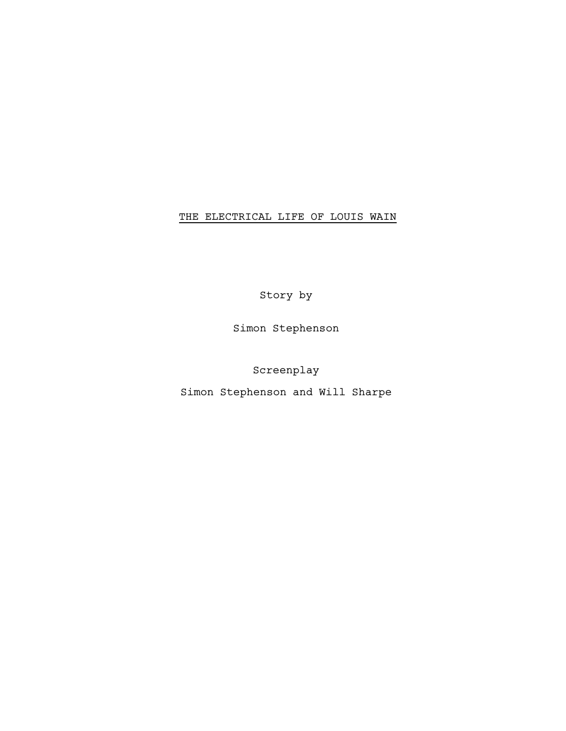# THE ELECTRICAL LIFE OF LOUIS WAIN

Story by

Simon Stephenson

Screenplay

Simon Stephenson and Will Sharpe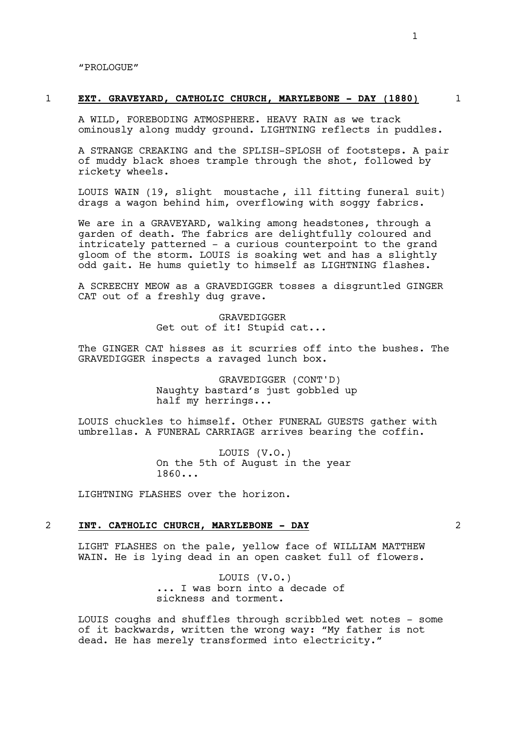"PROLOGUE"

#### 1 **EXT. GRAVEYARD, CATHOLIC CHURCH, MARYLEBONE - DAY (1880)** 1

A WILD, FOREBODING ATMOSPHERE. HEAVY RAIN as we track ominously along muddy ground. LIGHTNING reflects in puddles.

A STRANGE CREAKING and the SPLISH-SPLOSH of footsteps. A pair of muddy black shoes trample through the shot, followed by rickety wheels.

LOUIS WAIN (19, slight moustache , ill fitting funeral suit) drags a wagon behind him, overflowing with soggy fabrics.

We are in a GRAVEYARD, walking among headstones, through a garden of death. The fabrics are delightfully coloured and intricately patterned - a curious counterpoint to the grand gloom of the storm. LOUIS is soaking wet and has a slightly odd gait. He hums quietly to himself as LIGHTNING flashes.

A SCREECHY MEOW as a GRAVEDIGGER tosses a disgruntled GINGER CAT out of a freshly dug grave.

> GRAVEDIGGER Get out of it! Stupid cat...

The GINGER CAT hisses as it scurries off into the bushes. The GRAVEDIGGER inspects a ravaged lunch box.

> GRAVEDIGGER (CONT'D) Naughty bastard's just gobbled up half my herrings...

LOUIS chuckles to himself. Other FUNERAL GUESTS gather with umbrellas. A FUNERAL CARRIAGE arrives bearing the coffin.

> LOUIS (V.O.) On the 5th of August in the year 1860...

LIGHTNING FLASHES over the horizon**.**

## 2 **INT. CATHOLIC CHURCH, MARYLEBONE - DAY** 2

LIGHT FLASHES on the pale, yellow face of WILLIAM MATTHEW WAIN. He is lying dead in an open casket full of flowers.

> LOUIS (V.O.) ... I was born into a decade of sickness and torment.

LOUIS coughs and shuffles through scribbled wet notes - some of it backwards, written the wrong way: "My father is not dead. He has merely transformed into electricity."

1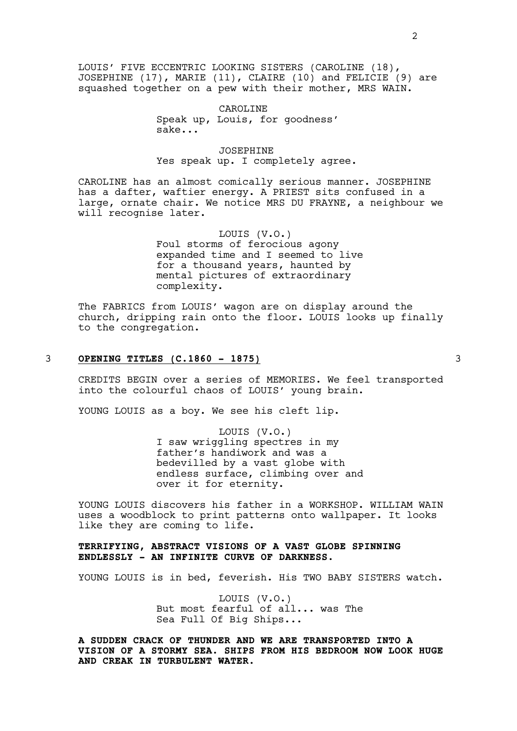LOUIS' FIVE ECCENTRIC LOOKING SISTERS (CAROLINE (18), JOSEPHINE (17), MARIE (11), CLAIRE (10) and FELICIE (9) are squashed together on a pew with their mother, MRS WAIN.

> CAROLINE Speak up, Louis, for goodness' sake...

## JOSEPHINE Yes speak up. I completely agree.

CAROLINE has an almost comically serious manner. JOSEPHINE has a dafter, waftier energy. A PRIEST sits confused in a large, ornate chair. We notice MRS DU FRAYNE, a neighbour we will recognise later.

> LOUIS (V.O.) Foul storms of ferocious agony expanded time and I seemed to live for a thousand years, haunted by mental pictures of extraordinary complexity.

The FABRICS from LOUIS' wagon are on display around the church, dripping rain onto the floor. LOUIS looks up finally to the congregation.

# 3 **OPENING TITLES (C.1860 - 1875)** 3

CREDITS BEGIN over a series of MEMORIES. We feel transported into the colourful chaos of LOUIS' young brain.

YOUNG LOUIS as a boy. We see his cleft lip.

LOUIS (V.O.) I saw wriggling spectres in my father's handiwork and was a bedevilled by a vast globe with endless surface, climbing over and over it for eternity.

YOUNG LOUIS discovers his father in a WORKSHOP. WILLIAM WAIN uses a woodblock to print patterns onto wallpaper. It looks like they are coming to life.

# **TERRIFYING, ABSTRACT VISIONS OF A VAST GLOBE SPINNING ENDLESSLY - AN INFINITE CURVE OF DARKNESS.**

YOUNG LOUIS is in bed, feverish. His TWO BABY SISTERS watch.

LOUIS (V.O.) But most fearful of all... was The Sea Full Of Big Ships...

**A SUDDEN CRACK OF THUNDER AND WE ARE TRANSPORTED INTO A VISION OF A STORMY SEA. SHIPS FROM HIS BEDROOM NOW LOOK HUGE AND CREAK IN TURBULENT WATER.**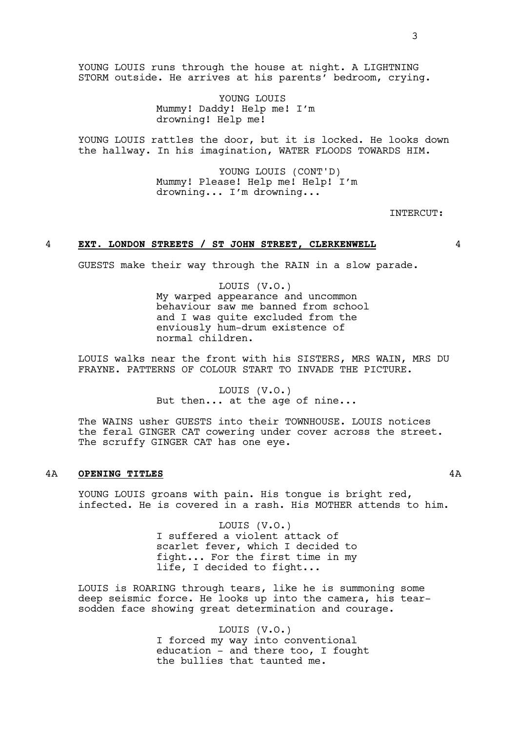YOUNG LOUIS runs through the house at night. A LIGHTNING STORM outside. He arrives at his parents' bedroom, crying.

> YOUNG LOUIS Mummy! Daddy! Help me! I'm drowning! Help me!

YOUNG LOUIS rattles the door, but it is locked. He looks down the hallway. In his imagination, WATER FLOODS TOWARDS HIM.

> YOUNG LOUIS (CONT'D) Mummy! Please! Help me! Help! I'm drowning... I'm drowning...

> > INTERCUT:

#### 4 **EXT. LONDON STREETS / ST JOHN STREET, CLERKENWELL** 4

GUESTS make their way through the RAIN in a slow parade.

LOUIS (V.O.) My warped appearance and uncommon behaviour saw me banned from school and I was quite excluded from the enviously hum-drum existence of normal children.

LOUIS walks near the front with his SISTERS, MRS WAIN, MRS DU FRAYNE. PATTERNS OF COLOUR START TO INVADE THE PICTURE.

> LOUIS (V.O.) But then... at the age of nine...

The WAINS usher GUESTS into their TOWNHOUSE. LOUIS notices the feral GINGER CAT cowering under cover across the street. The scruffy GINGER CAT has one eye.

# 4A **OPENING TITLES** 4A

YOUNG LOUIS groans with pain. His tongue is bright red, infected. He is covered in a rash. His MOTHER attends to him.

> LOUIS (V.O.) I suffered a violent attack of scarlet fever, which I decided to fight... For the first time in my life, I decided to fight...

LOUIS is ROARING through tears, like he is summoning some deep seismic force. He looks up into the camera, his tearsodden face showing great determination and courage.

> LOUIS (V.O.) I forced my way into conventional education - and there too, I fought the bullies that taunted me.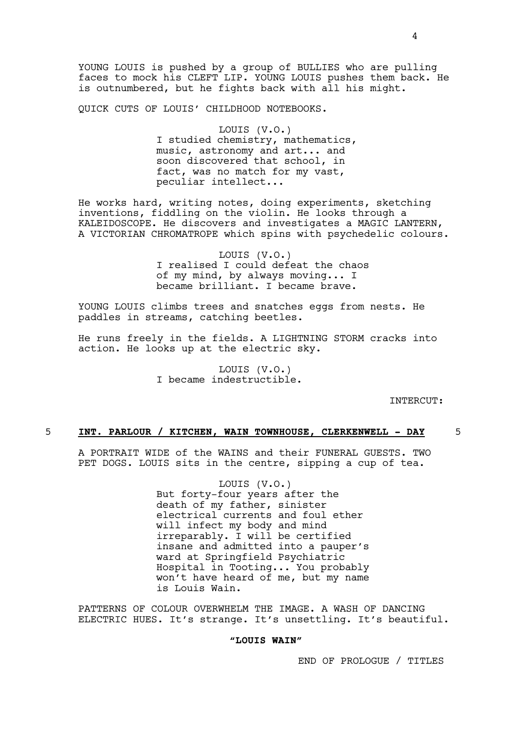YOUNG LOUIS is pushed by a group of BULLIES who are pulling faces to mock his CLEFT LIP. YOUNG LOUIS pushes them back. He is outnumbered, but he fights back with all his might.

QUICK CUTS OF LOUIS' CHILDHOOD NOTEBOOKS.

LOUIS (V.O.) I studied chemistry, mathematics, music, astronomy and art... and soon discovered that school, in fact, was no match for my vast, peculiar intellect...

He works hard, writing notes, doing experiments, sketching inventions, fiddling on the violin. He looks through a KALEIDOSCOPE. He discovers and investigates a MAGIC LANTERN, A VICTORIAN CHROMATROPE which spins with psychedelic colours.

> LOUIS (V.O.) I realised I could defeat the chaos of my mind, by always moving... I became brilliant. I became brave.

YOUNG LOUIS climbs trees and snatches eggs from nests. He paddles in streams, catching beetles.

He runs freely in the fields. A LIGHTNING STORM cracks into action. He looks up at the electric sky.

> LOUIS (V.O.) I became indestructible.

> > INTERCUT:

# 5 **INT. PARLOUR / KITCHEN, WAIN TOWNHOUSE, CLERKENWELL - DAY** 5

A PORTRAIT WIDE of the WAINS and their FUNERAL GUESTS. TWO PET DOGS. LOUIS sits in the centre, sipping a cup of tea.

> LOUIS (V.O.) But forty-four years after the death of my father, sinister electrical currents and foul ether will infect my body and mind irreparably. I will be certified insane and admitted into a pauper's ward at Springfield Psychiatric Hospital in Tooting... You probably won't have heard of me, but my name is Louis Wain.

PATTERNS OF COLOUR OVERWHELM THE IMAGE. A WASH OF DANCING ELECTRIC HUES. It's strange. It's unsettling. It's beautiful.

## **"LOUIS WAIN"**

END OF PROLOGUE / TITLES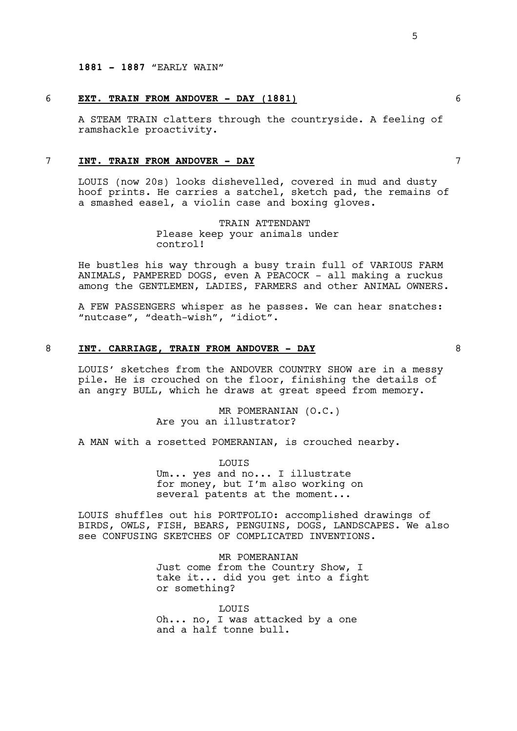# 6 **EXT. TRAIN FROM ANDOVER - DAY (1881)** 6

A STEAM TRAIN clatters through the countryside. A feeling of ramshackle proactivity.

# 7 **INT. TRAIN FROM ANDOVER - DAY** 7

LOUIS (now 20s) looks dishevelled, covered in mud and dusty hoof prints. He carries a satchel, sketch pad, the remains of a smashed easel, a violin case and boxing gloves.

> TRAIN ATTENDANT Please keep your animals under control!

He bustles his way through a busy train full of VARIOUS FARM ANIMALS, PAMPERED DOGS, even A PEACOCK - all making a ruckus among the GENTLEMEN, LADIES, FARMERS and other ANIMAL OWNERS.

A FEW PASSENGERS whisper as he passes. We can hear snatches: "nutcase", "death-wish", "idiot".

### 8 **INT. CARRIAGE, TRAIN FROM ANDOVER - DAY** 8

LOUIS' sketches from the ANDOVER COUNTRY SHOW are in a messy pile. He is crouched on the floor, finishing the details of an angry BULL, which he draws at great speed from memory.

> MR POMERANIAN (O.C.) Are you an illustrator?

A MAN with a rosetted POMERANIAN, is crouched nearby.

LOUIS Um... yes and no... I illustrate for money, but I'm also working on several patents at the moment...

LOUIS shuffles out his PORTFOLIO: accomplished drawings of BIRDS, OWLS, FISH, BEARS, PENGUINS, DOGS, LANDSCAPES. We also see CONFUSING SKETCHES OF COMPLICATED INVENTIONS.

> MR POMERANIAN Just come from the Country Show, I take it... did you get into a fight or something?

**LOUTS** Oh... no, I was attacked by a one and a half tonne bull.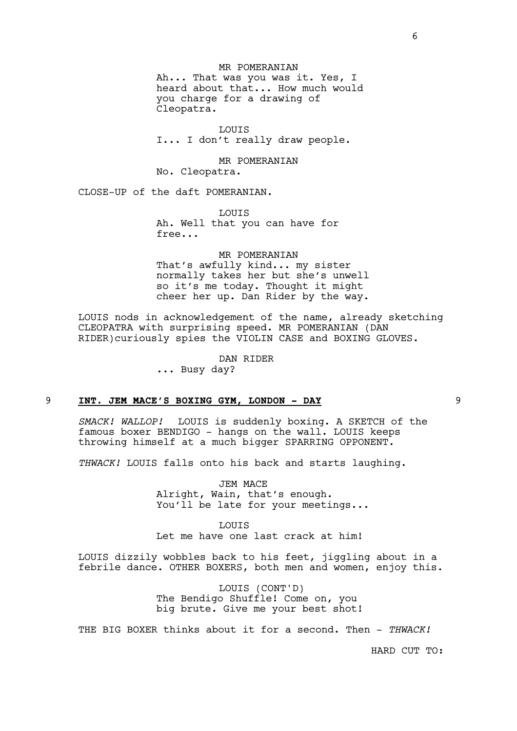MR POMERANIAN Ah... That was you was it. Yes, I heard about that... How much would you charge for a drawing of Cleopatra.

LOUIS I... I don't really draw people.

MR POMERANIAN No. Cleopatra.

CLOSE-UP of the daft POMERANIAN.

LOUIS Ah. Well that you can have for free...

MR POMERANIAN That's awfully kind... my sister normally takes her but she's unwell so it's me today. Thought it might cheer her up. Dan Rider by the way.

LOUIS nods in acknowledgement of the name, already sketching CLEOPATRA with surprising speed. MR POMERANIAN (DAN RIDER)curiously spies the VIOLIN CASE and BOXING GLOVES.

DAN RIDER

... Busy day?

## 9 **INT. JEM MACE'S BOXING GYM, LONDON - DAY** 9

*SMACK! WALLOP!* LOUIS is suddenly boxing. A SKETCH of the famous boxer BENDIGO - hangs on the wall. LOUIS keeps throwing himself at a much bigger SPARRING OPPONENT.

*THWACK!* LOUIS falls onto his back and starts laughing.

JEM MACE Alright, Wain, that's enough. You'll be late for your meetings...

LOUIS Let me have one last crack at him!

LOUIS dizzily wobbles back to his feet, jiggling about in a febrile dance. OTHER BOXERS, both men and women, enjoy this.

> LOUIS (CONT'D) The Bendigo Shuffle! Come on, you big brute. Give me your best shot!

THE BIG BOXER thinks about it for a second. Then - *THWACK!*

HARD CUT TO: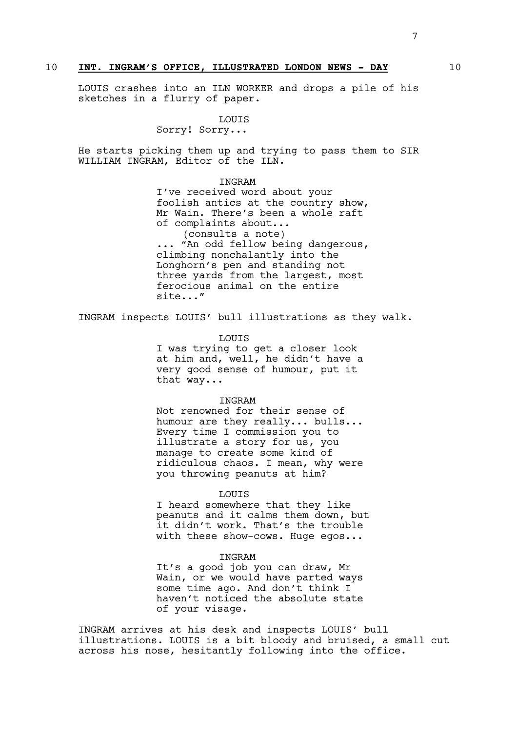## 10 **INT. INGRAM'S OFFICE, ILLUSTRATED LONDON NEWS - DAY** 10

LOUIS crashes into an ILN WORKER and drops a pile of his sketches in a flurry of paper.

LOUIS

Sorry! Sorry...

He starts picking them up and trying to pass them to SIR WILLIAM INGRAM, Editor of the ILN.

INGRAM

I've received word about your foolish antics at the country show, Mr Wain. There's been a whole raft of complaints about... (consults a note) ... "An odd fellow being dangerous, climbing nonchalantly into the Longhorn's pen and standing not three yards from the largest, most ferocious animal on the entire site..."

INGRAM inspects LOUIS' bull illustrations as they walk.

LOUIS

I was trying to get a closer look at him and, well, he didn't have a very good sense of humour, put it that way...

#### INGRAM

Not renowned for their sense of humour are they really... bulls... Every time I commission you to illustrate a story for us, you manage to create some kind of ridiculous chaos. I mean, why were you throwing peanuts at him?

#### LOUIS

I heard somewhere that they like peanuts and it calms them down, but it didn't work. That's the trouble with these show-cows. Huge egos...

#### **TNGRAM**

It's a good job you can draw, Mr Wain, or we would have parted ways some time ago. And don't think I haven't noticed the absolute state of your visage.

INGRAM arrives at his desk and inspects LOUIS' bull illustrations. LOUIS is a bit bloody and bruised, a small cut across his nose, hesitantly following into the office.

7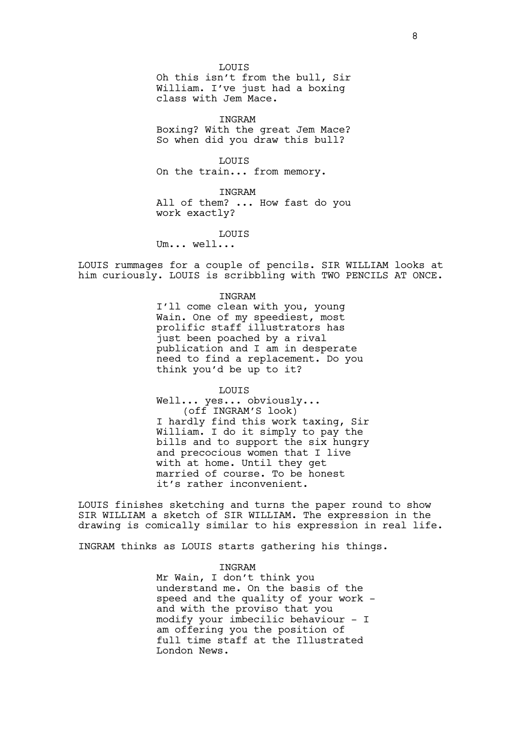LOUIS

Oh this isn't from the bull, Sir William. I've just had a boxing class with Jem Mace.

INGRAM

Boxing? With the great Jem Mace? So when did you draw this bull?

LOUIS On the train... from memory.

INGRAM All of them? ... How fast do you work exactly?

LOUIS

Um... well...

LOUIS rummages for a couple of pencils. SIR WILLIAM looks at him curiously. LOUIS is scribbling with TWO PENCILS AT ONCE.

INGRAM

I'll come clean with you, young Wain. One of my speediest, most prolific staff illustrators has just been poached by a rival publication and I am in desperate need to find a replacement. Do you think you'd be up to it?

LOUIS

Well... yes... obviously... (off INGRAM'S look) I hardly find this work taxing, Sir William. I do it simply to pay the bills and to support the six hungry and precocious women that I live with at home. Until they get married of course. To be honest it's rather inconvenient.

LOUIS finishes sketching and turns the paper round to show SIR WILLIAM a sketch of SIR WILLIAM. The expression in the drawing is comically similar to his expression in real life.

INGRAM thinks as LOUIS starts gathering his things.

INGRAM

Mr Wain, I don't think you understand me. On the basis of the speed and the quality of your work and with the proviso that you modify your imbecilic behaviour - I am offering you the position of full time staff at the Illustrated London News.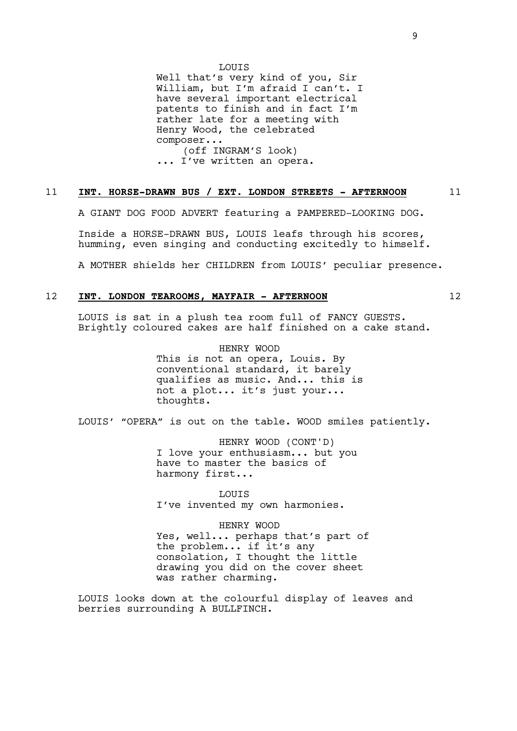LOUIS

Well that's very kind of you, Sir William, but I'm afraid I can't. I have several important electrical patents to finish and in fact I'm rather late for a meeting with Henry Wood, the celebrated composer... (off INGRAM'S look) ... I've written an opera.

# 11 **INT. HORSE-DRAWN BUS / EXT. LONDON STREETS - AFTERNOON** 11

A GIANT DOG FOOD ADVERT featuring a PAMPERED-LOOKING DOG.

Inside a HORSE-DRAWN BUS, LOUIS leafs through his scores, humming, even singing and conducting excitedly to himself.

A MOTHER shields her CHILDREN from LOUIS' peculiar presence.

# 12 **INT. LONDON TEAROOMS, MAYFAIR - AFTERNOON** 12

LOUIS is sat in a plush tea room full of FANCY GUESTS. Brightly coloured cakes are half finished on a cake stand.

> HENRY WOOD This is not an opera, Louis. By conventional standard, it barely qualifies as music. And... this is not a plot... it's just your... thoughts.

LOUIS' "OPERA" is out on the table. WOOD smiles patiently.

HENRY WOOD (CONT'D) I love your enthusiasm... but you have to master the basics of harmony first...

LOUIS I've invented my own harmonies.

HENRY WOOD

Yes, well... perhaps that's part of the problem... if it's any consolation, I thought the little drawing you did on the cover sheet was rather charming.

LOUIS looks down at the colourful display of leaves and berries surrounding A BULLFINCH.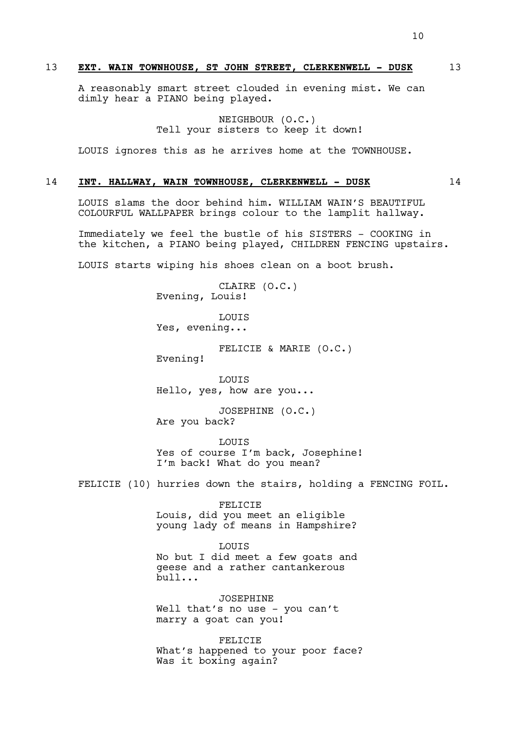A reasonably smart street clouded in evening mist. We can dimly hear a PIANO being played.

> NEIGHBOUR (O.C.) Tell your sisters to keep it down!

LOUIS ignores this as he arrives home at the TOWNHOUSE.

## 14 **INT. HALLWAY, WAIN TOWNHOUSE, CLERKENWELL - DUSK** 14

LOUIS slams the door behind him. WILLIAM WAIN'S BEAUTIFUL COLOURFUL WALLPAPER brings colour to the lamplit hallway.

Immediately we feel the bustle of his SISTERS - COOKING in the kitchen, a PIANO being played, CHILDREN FENCING upstairs.

LOUIS starts wiping his shoes clean on a boot brush.

CLAIRE (O.C.) Evening, Louis!

LOUIS Yes, evening...

FELICIE & MARIE (O.C.)

Evening!

LOUIS Hello, yes, how are you...

JOSEPHINE (O.C.) Are you back?

LOUIS Yes of course I'm back, Josephine! I'm back! What do you mean?

FELICIE (10) hurries down the stairs, holding a FENCING FOIL.

FELICIE Louis, did you meet an eligible young lady of means in Hampshire?

**LOUTS** No but I did meet a few goats and

geese and a rather cantankerous bull...

JOSEPHINE Well that's no use - you can't marry a goat can you!

FELICIE What's happened to your poor face? Was it boxing again?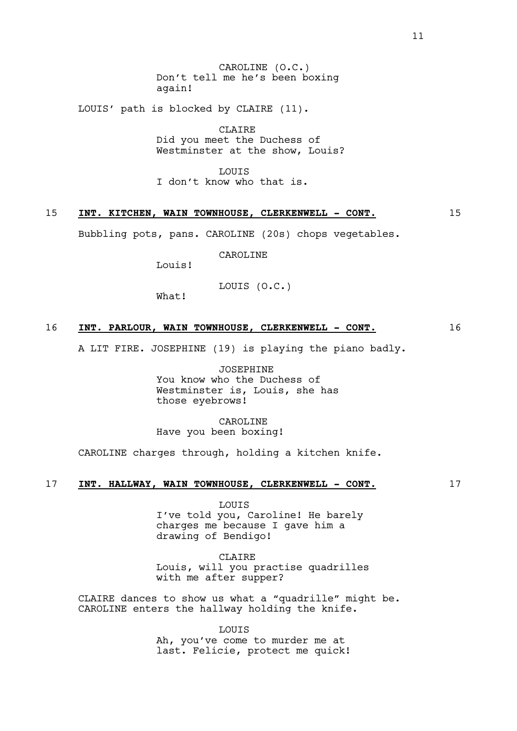CAROLINE (O.C.) Don't tell me he's been boxing again!

LOUIS' path is blocked by CLAIRE (11).

CLAIRE Did you meet the Duchess of Westminster at the show, Louis?

**LOUTS** I don't know who that is.

# 15 INT. KITCHEN, WAIN TOWNHOUSE, CLERKENWELL - CONT. 15

Bubbling pots, pans. CAROLINE (20s) chops vegetables.

CAROLINE

Louis!

LOUIS (O.C.)

What!

## 16 **INT. PARLOUR, WAIN TOWNHOUSE, CLERKENWELL - CONT.** 16

A LIT FIRE. JOSEPHINE (19) is playing the piano badly.

JOSEPHINE You know who the Duchess of Westminster is, Louis, she has those eyebrows!

CAROLINE Have you been boxing!

CAROLINE charges through, holding a kitchen knife.

## 17 **INT. HALLWAY, WAIN TOWNHOUSE, CLERKENWELL - CONT.** 17

LOUIS I've told you, Caroline! He barely charges me because I gave him a drawing of Bendigo!

CLAIRE

Louis, will you practise quadrilles with me after supper?

CLAIRE dances to show us what a "quadrille" might be. CAROLINE enters the hallway holding the knife.

> LOUIS Ah, you've come to murder me at last. Felicie, protect me quick!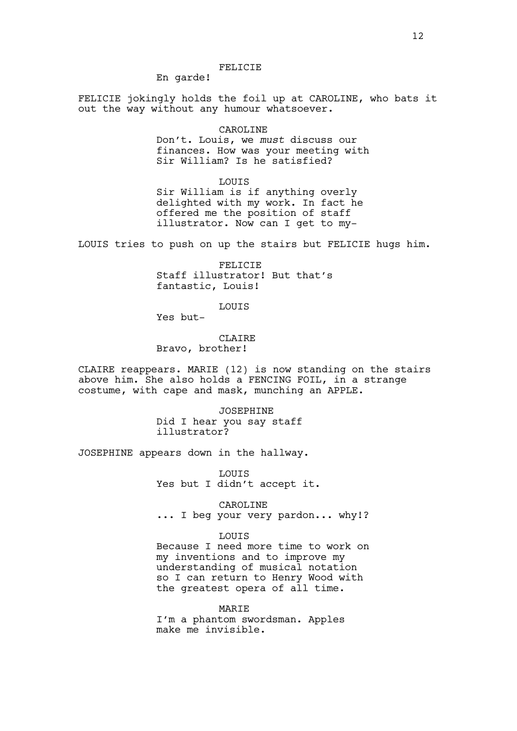En garde!

FELICIE jokingly holds the foil up at CAROLINE, who bats it out the way without any humour whatsoever.

#### CAROLINE

Don't. Louis, we *must* discuss our finances. How was your meeting with Sir William? Is he satisfied?

LOUIS

Sir William is if anything overly delighted with my work. In fact he offered me the position of staff illustrator. Now can I get to my-

LOUIS tries to push on up the stairs but FELICIE hugs him.

FELICIE Staff illustrator! But that's fantastic, Louis!

LOUIS

Yes but-

CLAIRE Bravo, brother!

CLAIRE reappears. MARIE (12) is now standing on the stairs above him. She also holds a FENCING FOIL, in a strange costume, with cape and mask, munching an APPLE.

> JOSEPHINE Did I hear you say staff illustrator?

JOSEPHINE appears down in the hallway.

LOUIS Yes but I didn't accept it.

CAROLINE ... I beg your very pardon... why!?

LOUIS

Because I need more time to work on my inventions and to improve my understanding of musical notation so I can return to Henry Wood with the greatest opera of all time.

MARIE

I'm a phantom swordsman. Apples make me invisible.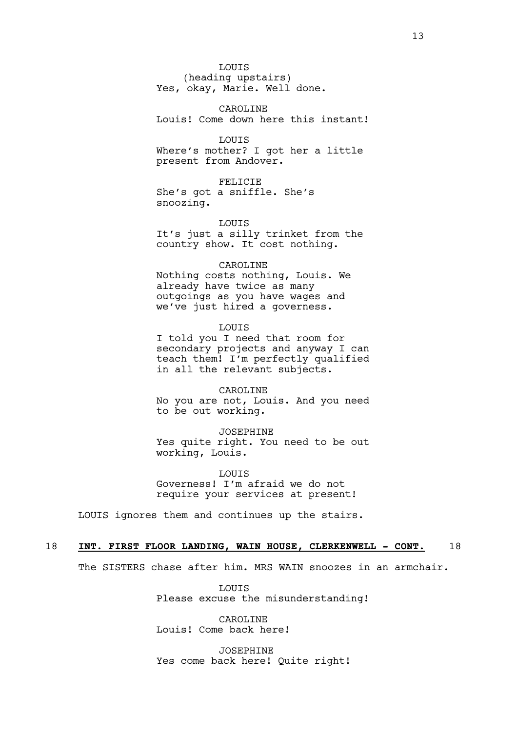LOUIS (heading upstairs) Yes, okay, Marie. Well done.

CAROLINE Louis! Come down here this instant!

**LOUTS** Where's mother? I got her a little present from Andover.

FELICIE She's got a sniffle. She's snoozing.

LOUIS It's just a silly trinket from the country show. It cost nothing.

#### CAROLINE

Nothing costs nothing, Louis. We already have twice as many outgoings as you have wages and we've just hired a governess.

#### LOUIS

I told you I need that room for secondary projects and anyway I can teach them! I'm perfectly qualified in all the relevant subjects.

CAROLINE No you are not, Louis. And you need to be out working.

JOSEPHINE Yes quite right. You need to be out working, Louis.

**LOUTS** Governess! I'm afraid we do not require your services at present!

LOUIS ignores them and continues up the stairs.

## 18 **INT. FIRST FLOOR LANDING, WAIN HOUSE, CLERKENWELL - CONT.** 18

The SISTERS chase after him. MRS WAIN snoozes in an armchair.

**LOUTS** Please excuse the misunderstanding!

CAROLINE Louis! Come back here!

JOSEPHINE Yes come back here! Quite right!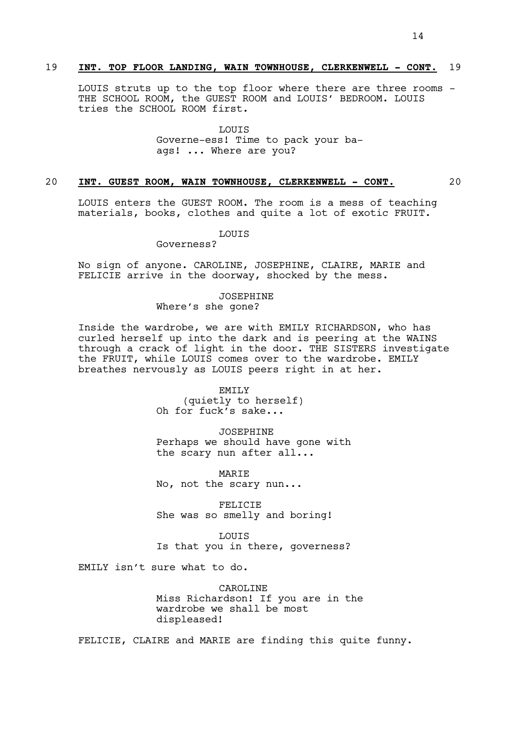# 19 **INT. TOP FLOOR LANDING, WAIN TOWNHOUSE, CLERKENWELL - CONT.** 19

LOUIS struts up to the top floor where there are three rooms - THE SCHOOL ROOM, the GUEST ROOM and LOUIS' BEDROOM. LOUIS tries the SCHOOL ROOM first.

> LOUIS Governe-ess! Time to pack your baags! ... Where are you?

## 20 **INT. GUEST ROOM, WAIN TOWNHOUSE, CLERKENWELL - CONT.** 20

LOUIS enters the GUEST ROOM. The room is a mess of teaching materials, books, clothes and quite a lot of exotic FRUIT.

LOUIS

Governess?

No sign of anyone. CAROLINE, JOSEPHINE, CLAIRE, MARIE and FELICIE arrive in the doorway, shocked by the mess.

JOSEPHINE

Where's she gone?

Inside the wardrobe, we are with EMILY RICHARDSON, who has curled herself up into the dark and is peering at the WAINS through a crack of light in the door. THE SISTERS investigate the FRUIT, while LOUIS comes over to the wardrobe. EMILY breathes nervously as LOUIS peers right in at her.

> EMILY (quietly to herself) Oh for fuck's sake...

JOSEPHINE Perhaps we should have gone with the scary nun after all...

**MARTE** No, not the scary nun...

FELICIE She was so smelly and boring!

LOUIS Is that you in there, governess?

EMILY isn't sure what to do.

CAROLINE Miss Richardson! If you are in the wardrobe we shall be most displeased!

FELICIE, CLAIRE and MARIE are finding this quite funny.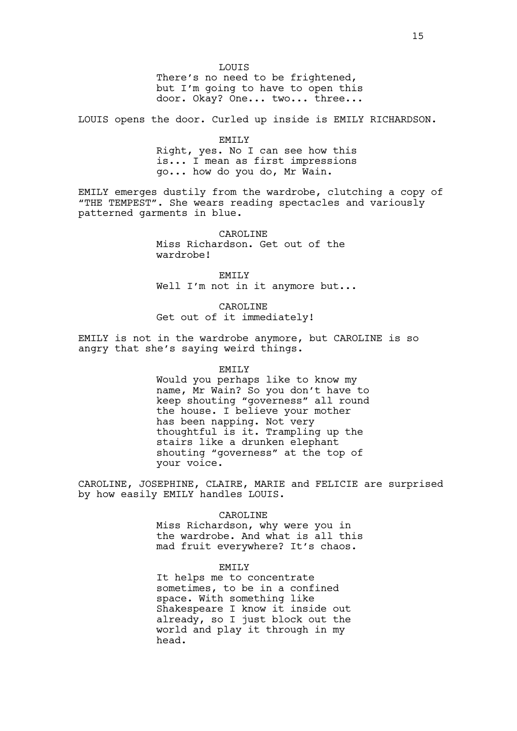LOUIS There's no need to be frightened, but I'm going to have to open this door. Okay? One... two... three...

LOUIS opens the door. Curled up inside is EMILY RICHARDSON.

EMILY Right, yes. No I can see how this is... I mean as first impressions go... how do you do, Mr Wain.

EMILY emerges dustily from the wardrobe, clutching a copy of "THE TEMPEST". She wears reading spectacles and variously patterned garments in blue.

> CAROLINE Miss Richardson. Get out of the wardrobe!

EMILY Well I'm not in it anymore but...

CAROLINE Get out of it immediately!

EMILY is not in the wardrobe anymore, but CAROLINE is so angry that she's saying weird things.

EMILY

Would you perhaps like to know my name, Mr Wain? So you don't have to keep shouting "governess" all round the house. I believe your mother has been napping. Not very thoughtful is it. Trampling up the stairs like a drunken elephant shouting "governess" at the top of your voice.

CAROLINE, JOSEPHINE, CLAIRE, MARIE and FELICIE are surprised by how easily EMILY handles LOUIS.

#### CAROLINE

Miss Richardson, why were you in the wardrobe. And what is all this mad fruit everywhere? It's chaos.

#### EMILY

It helps me to concentrate sometimes, to be in a confined space. With something like Shakespeare I know it inside out already, so I just block out the world and play it through in my head.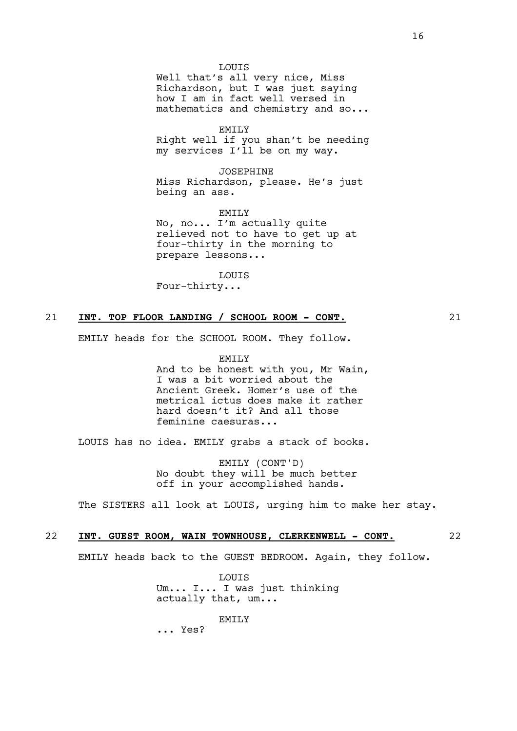Well that's all very nice, Miss Richardson, but I was just saying how I am in fact well versed in mathematics and chemistry and so...

EMILY

Right well if you shan't be needing my services I'll be on my way.

JOSEPHINE

Miss Richardson, please. He's just being an ass.

EMILY No, no... I'm actually quite relieved not to have to get up at four-thirty in the morning to prepare lessons...

LOUIS Four-thirty...

# 21 **INT. TOP FLOOR LANDING / SCHOOL ROOM - CONT.** 21

EMILY heads for the SCHOOL ROOM. They follow.

EMILY And to be honest with you, Mr Wain, I was a bit worried about the Ancient Greek. Homer's use of the metrical ictus does make it rather hard doesn't it? And all those feminine caesuras...

LOUIS has no idea. EMILY grabs a stack of books.

EMILY (CONT'D) No doubt they will be much better off in your accomplished hands.

The SISTERS all look at LOUIS, urging him to make her stay.

# 22 **INT. GUEST ROOM, WAIN TOWNHOUSE, CLERKENWELL - CONT.** 22

EMILY heads back to the GUEST BEDROOM. Again, they follow.

**LOUTS** Um... I... I was just thinking actually that, um...

EMTT<sub>.</sub>Y

... Yes?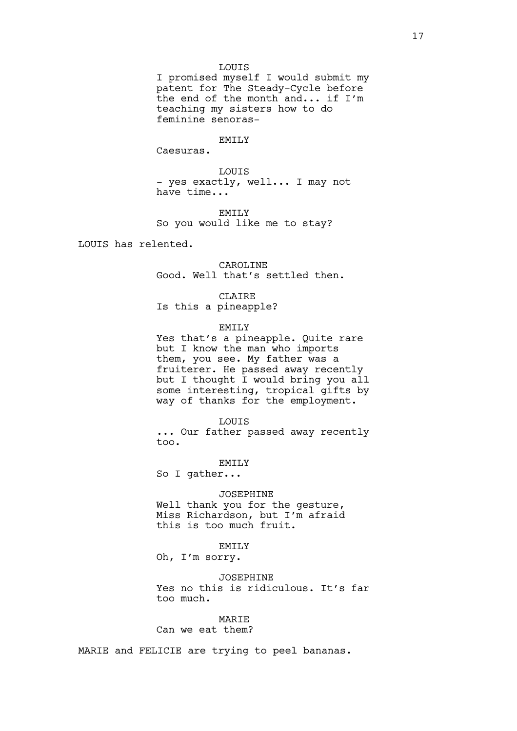#### LOUIS

I promised myself I would submit my patent for The Steady-Cycle before the end of the month and... if I'm teaching my sisters how to do feminine senoras-

# EMTLY

Caesuras.

LOUIS - yes exactly, well... I may not have time...

EMILY So you would like me to stay?

LOUIS has relented.

CAROLINE Good. Well that's settled then.

CLAIRE

Is this a pineapple?

# EMILY

Yes that's a pineapple. Quite rare but I know the man who imports them, you see. My father was a fruiterer. He passed away recently but I thought I would bring you all some interesting, tropical gifts by way of thanks for the employment.

#### LOUIS

... Our father passed away recently too.

EMILY

So I gather...

#### JOSEPHINE

Well thank you for the gesture, Miss Richardson, but I'm afraid this is too much fruit.

## EMILY

Oh, I'm sorry.

# JOSEPHINE

Yes no this is ridiculous. It's far too much.

### **MARTE**

Can we eat them?

MARIE and FELICIE are trying to peel bananas.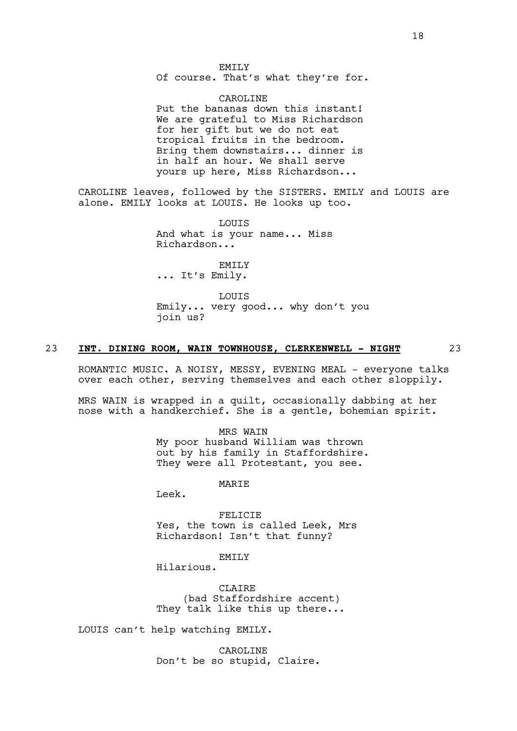Of course. That's what they're for.

CAROLINE Put the bananas down this instant! We are grateful to Miss Richardson for her gift but we do not eat tropical fruits in the bedroom. Bring them downstairs... dinner is in half an hour. We shall serve yours up here, Miss Richardson...

CAROLINE leaves, followed by the SISTERS. EMILY and LOUIS are alone. EMILY looks at LOUIS. He looks up too.

> LOUIS And what is your name... Miss Richardson...

EMILY ... It's Emily.

LOUIS Emily... very good... why don't you join us?

## 23 **INT. DINING ROOM, WAIN TOWNHOUSE, CLERKENWELL - NIGHT** 23

ROMANTIC MUSIC. A NOISY, MESSY, EVENING MEAL - everyone talks over each other, serving themselves and each other sloppily.

MRS WAIN is wrapped in a quilt, occasionally dabbing at her nose with a handkerchief. She is a gentle, bohemian spirit.

> MRS WAIN My poor husband William was thrown out by his family in Staffordshire. They were all Protestant, you see.

> > **MARTE**

Leek.

FELICIE Yes, the town is called Leek, Mrs Richardson! Isn't that funny?

EMTT<sub>.</sub>Y

Hilarious.

CLAIRE (bad Staffordshire accent) They talk like this up there...

LOUIS can't help watching EMILY.

CAROLINE Don't be so stupid, Claire.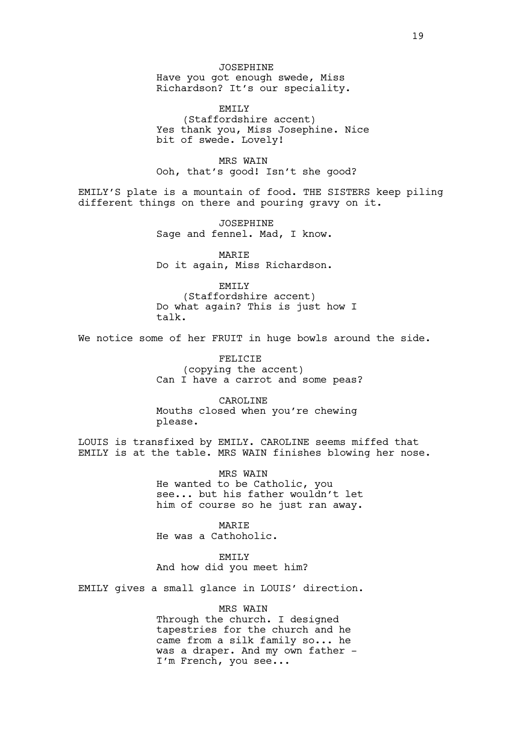JOSEPHINE Have you got enough swede, Miss Richardson? It's our speciality.

EMILY (Staffordshire accent) Yes thank you, Miss Josephine. Nice bit of swede. Lovely!

MRS WAIN Ooh, that's good! Isn't she good?

EMILY'S plate is a mountain of food. THE SISTERS keep piling different things on there and pouring gravy on it.

> JOSEPHINE Sage and fennel. Mad, I know.

> MARIE Do it again, Miss Richardson.

> > EMILY

(Staffordshire accent) Do what again? This is just how I talk.

We notice some of her FRUIT in huge bowls around the side.

FELICIE (copying the accent) Can I have a carrot and some peas?

CAROLINE Mouths closed when you're chewing please.

LOUIS is transfixed by EMILY. CAROLINE seems miffed that EMILY is at the table. MRS WAIN finishes blowing her nose.

> MRS WAIN He wanted to be Catholic, you see... but his father wouldn't let him of course so he just ran away.

MARIE He was a Cathoholic.

EMTT<sub>.</sub>Y

And how did you meet him?

EMILY gives a small glance in LOUIS' direction.

MRS WAIN

Through the church. I designed tapestries for the church and he came from a silk family so... he was a draper. And my own father -I'm French, you see...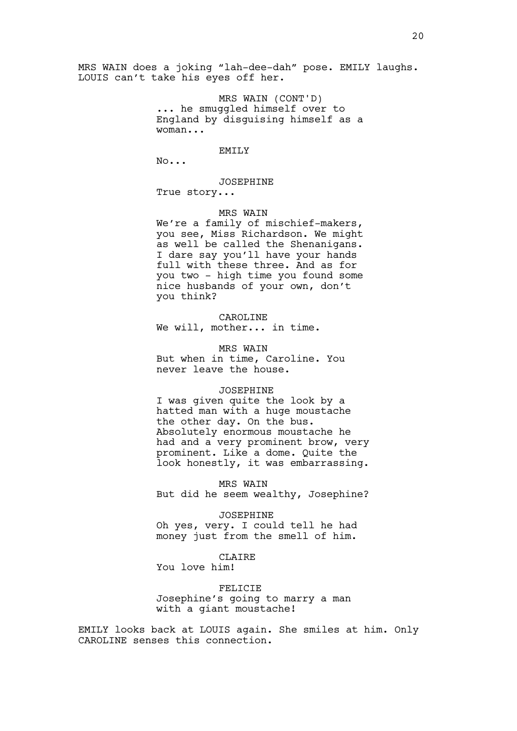MRS WAIN does a joking "lah-dee-dah" pose. EMILY laughs. LOUIS can't take his eyes off her.

> MRS WAIN (CONT'D) ... he smuggled himself over to England by disguising himself as a woman...

> > EMILY

No...

JOSEPHINE

True story...

## MRS WAIN

We're a family of mischief-makers, you see, Miss Richardson. We might as well be called the Shenanigans. I dare say you'll have your hands full with these three. And as for you two - high time you found some nice husbands of your own, don't you think?

CAROLINE

We will, mother... in time.

MRS WAIN But when in time, Caroline. You never leave the house.

#### JOSEPHINE

I was given quite the look by a hatted man with a huge moustache the other day. On the bus. Absolutely enormous moustache he had and a very prominent brow, very prominent. Like a dome. Quite the look honestly, it was embarrassing.

MRS WAIN But did he seem wealthy, Josephine?

JOSEPHINE Oh yes, very. I could tell he had money just from the smell of him.

**CLAIRE** 

You love him!

FELICIE Josephine's going to marry a man with a giant moustache!

EMILY looks back at LOUIS again. She smiles at him. Only CAROLINE senses this connection.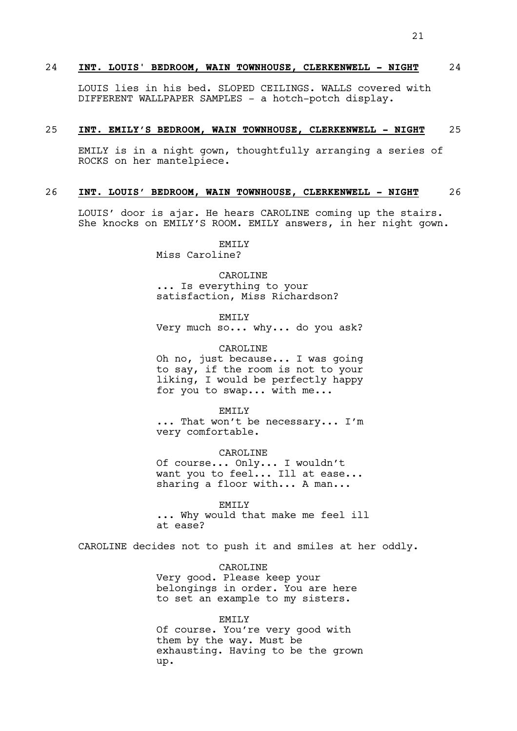### 24 **INT. LOUIS' BEDROOM, WAIN TOWNHOUSE, CLERKENWELL - NIGHT** 24

LOUIS lies in his bed. SLOPED CEILINGS. WALLS covered with DIFFERENT WALLPAPER SAMPLES - a hotch-potch display.

#### 25 **INT. EMILY'S BEDROOM, WAIN TOWNHOUSE, CLERKENWELL - NIGHT** 25

EMILY is in a night gown, thoughtfully arranging a series of ROCKS on her mantelpiece.

#### 26 **INT. LOUIS' BEDROOM, WAIN TOWNHOUSE, CLERKENWELL - NIGHT** 26

LOUIS' door is ajar. He hears CAROLINE coming up the stairs. She knocks on EMILY'S ROOM. EMILY answers, in her night gown.

> EMTT<sub>.</sub>Y Miss Caroline?

CAROLINE ... Is everything to your satisfaction, Miss Richardson?

EMILY

Very much so... why... do you ask?

CAROLINE Oh no, just because... I was going to say, if the room is not to your liking, I would be perfectly happy for you to swap... with me...

EMILY ... That won't be necessary... I'm very comfortable.

CAROLINE Of course... Only... I wouldn't want you to feel... Ill at ease... sharing a floor with... A man...

EMILY ... Why would that make me feel ill at ease?

CAROLINE decides not to push it and smiles at her oddly.

CAROLINE Very good. Please keep your belongings in order. You are here to set an example to my sisters.

EMTT<sub>.</sub>Y Of course. You're very good with them by the way. Must be exhausting. Having to be the grown up.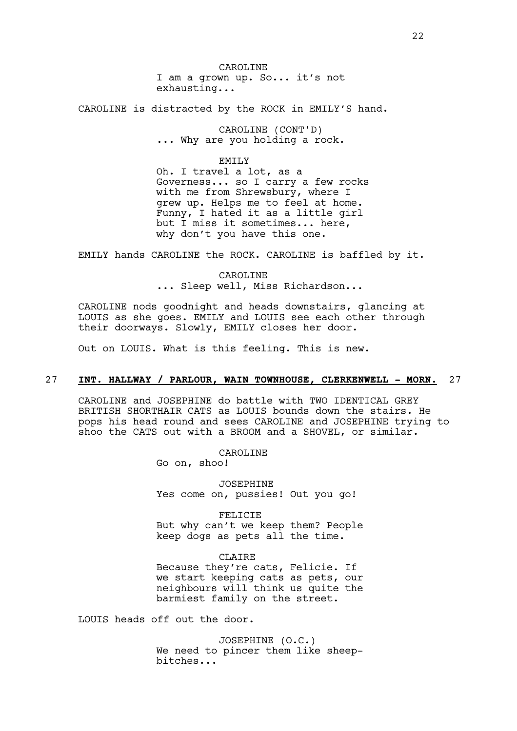CAROLINE I am a grown up. So... it's not exhausting...

CAROLINE is distracted by the ROCK in EMILY'S hand.

CAROLINE (CONT'D) ... Why are you holding a rock.

#### EMILY

Oh. I travel a lot, as a Governess... so I carry a few rocks with me from Shrewsbury, where I grew up. Helps me to feel at home. Funny, I hated it as a little girl but I miss it sometimes... here, why don't you have this one.

EMILY hands CAROLINE the ROCK. CAROLINE is baffled by it.

CAROLINE ... Sleep well, Miss Richardson...

CAROLINE nods goodnight and heads downstairs, glancing at LOUIS as she goes. EMILY and LOUIS see each other through their doorways. Slowly, EMILY closes her door.

Out on LOUIS. What is this feeling. This is new.

## 27 **INT. HALLWAY / PARLOUR, WAIN TOWNHOUSE, CLERKENWELL - MORN.** 27

CAROLINE and JOSEPHINE do battle with TWO IDENTICAL GREY BRITISH SHORTHAIR CATS as LOUIS bounds down the stairs. He pops his head round and sees CAROLINE and JOSEPHINE trying to shoo the CATS out with a BROOM and a SHOVEL, or similar.

CAROLINE

Go on, shoo!

JOSEPHINE Yes come on, pussies! Out you go!

FELICIE But why can't we keep them? People keep dogs as pets all the time.

**CLAIRE** Because they're cats, Felicie. If we start keeping cats as pets, our neighbours will think us quite the barmiest family on the street.

LOUIS heads off out the door.

JOSEPHINE (O.C.) We need to pincer them like sheepbitches...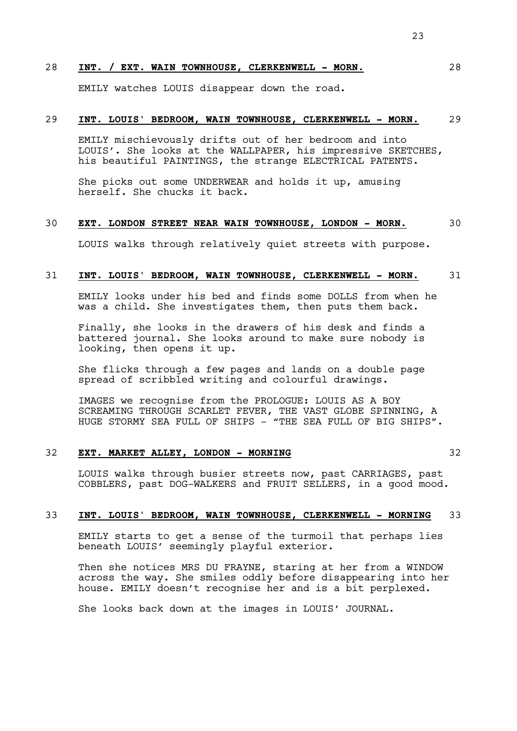# 28 **INT. / EXT. WAIN TOWNHOUSE, CLERKENWELL - MORN.** 28

EMILY watches LOUIS disappear down the road.

# 29 **INT. LOUIS' BEDROOM, WAIN TOWNHOUSE, CLERKENWELL - MORN.** 29

EMILY mischievously drifts out of her bedroom and into LOUIS'. She looks at the WALLPAPER, his impressive SKETCHES, his beautiful PAINTINGS, the strange ELECTRICAL PATENTS.

She picks out some UNDERWEAR and holds it up, amusing herself. She chucks it back.

# 30 **EXT. LONDON STREET NEAR WAIN TOWNHOUSE, LONDON - MORN.** 30

LOUIS walks through relatively quiet streets with purpose.

## 31 **INT. LOUIS' BEDROOM, WAIN TOWNHOUSE, CLERKENWELL - MORN.** 31

EMILY looks under his bed and finds some DOLLS from when he was a child. She investigates them, then puts them back.

Finally, she looks in the drawers of his desk and finds a battered journal. She looks around to make sure nobody is looking, then opens it up.

She flicks through a few pages and lands on a double page spread of scribbled writing and colourful drawings.

IMAGES we recognise from the PROLOGUE: LOUIS AS A BOY SCREAMING THROUGH SCARLET FEVER, THE VAST GLOBE SPINNING, A HUGE STORMY SEA FULL OF SHIPS - "THE SEA FULL OF BIG SHIPS".

# 32 **EXT. MARKET ALLEY, LONDON - MORNING** 32

LOUIS walks through busier streets now, past CARRIAGES, past COBBLERS, past DOG-WALKERS and FRUIT SELLERS, in a good mood.

## 33 **INT. LOUIS' BEDROOM, WAIN TOWNHOUSE, CLERKENWELL - MORNING** 33

EMILY starts to get a sense of the turmoil that perhaps lies beneath LOUIS' seemingly playful exterior.

Then she notices MRS DU FRAYNE, staring at her from a WINDOW across the way. She smiles oddly before disappearing into her house. EMILY doesn't recognise her and is a bit perplexed.

She looks back down at the images in LOUIS' JOURNAL.

23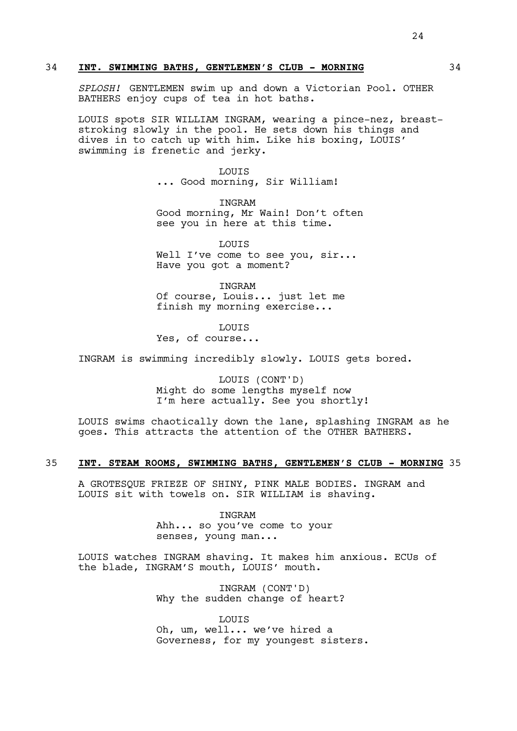### 34 **INT. SWIMMING BATHS, GENTLEMEN'S CLUB - MORNING** 34

*SPLOSH!* GENTLEMEN swim up and down a Victorian Pool. OTHER BATHERS enjoy cups of tea in hot baths.

LOUIS spots SIR WILLIAM INGRAM, wearing a pince-nez, breaststroking slowly in the pool. He sets down his things and dives in to catch up with him. Like his boxing, LOUIS' swimming is frenetic and jerky.

> LOUIS ... Good morning, Sir William!

INGRAM Good morning, Mr Wain! Don't often see you in here at this time.

LOUIS Well I've come to see you, sir... Have you got a moment?

INGRAM Of course, Louis... just let me finish my morning exercise...

LOUIS

Yes, of course...

INGRAM is swimming incredibly slowly. LOUIS gets bored.

LOUIS (CONT'D) Might do some lengths myself now I'm here actually. See you shortly!

LOUIS swims chaotically down the lane, splashing INGRAM as he goes. This attracts the attention of the OTHER BATHERS.

## 35 **INT. STEAM ROOMS, SWIMMING BATHS, GENTLEMEN'S CLUB - MORNING** 35

A GROTESQUE FRIEZE OF SHINY, PINK MALE BODIES. INGRAM and LOUIS sit with towels on. SIR WILLIAM is shaving.

> INGRAM Ahh... so you've come to your senses, young man...

LOUIS watches INGRAM shaving. It makes him anxious. ECUs of the blade, INGRAM'S mouth, LOUIS' mouth.

> INGRAM (CONT'D) Why the sudden change of heart?

**LOUTS** Oh, um, well... we've hired a Governess, for my youngest sisters.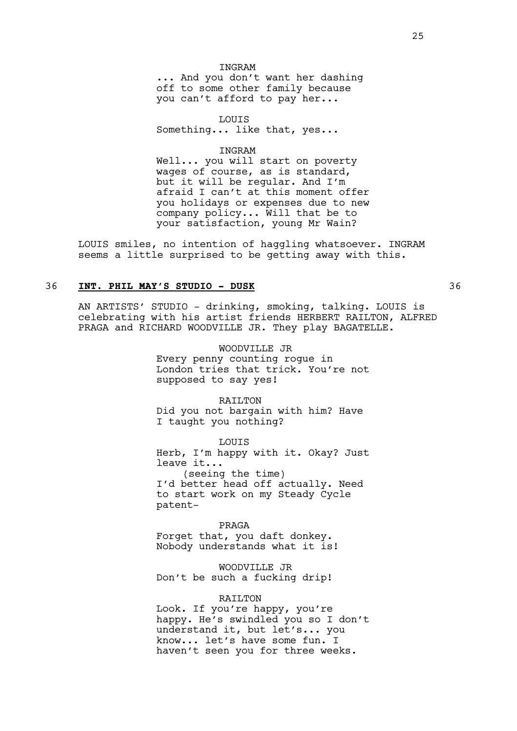## INGRAM

... And you don't want her dashing off to some other family because you can't afford to pay her...

LOUIS Something... like that, yes...

INGRAM

Well... you will start on poverty wages of course, as is standard, but it will be regular. And I'm afraid I can't at this moment offer you holidays or expenses due to new company policy... Will that be to your satisfaction, young Mr Wain?

LOUIS smiles, no intention of haggling whatsoever. INGRAM seems a little surprised to be getting away with this.

## 36 **INT. PHIL MAY'S STUDIO - DUSK** 36

AN ARTISTS' STUDIO - drinking, smoking, talking. LOUIS is celebrating with his artist friends HERBERT RAILTON, ALFRED PRAGA and RICHARD WOODVILLE JR. They play BAGATELLE.

> WOODVILLE JR Every penny counting rogue in London tries that trick. You're not supposed to say yes!

RAILTON Did you not bargain with him? Have I taught you nothing?

LOUIS

Herb, I'm happy with it. Okay? Just leave it... (seeing the time)

I'd better head off actually. Need to start work on my Steady Cycle patent-

#### PRAGA

Forget that, you daft donkey. Nobody understands what it is!

WOODVILLE JR Don't be such a fucking drip!

#### RAILTON

Look. If you're happy, you're happy. He's swindled you so I don't understand it, but let's... you know... let's have some fun. I haven't seen you for three weeks.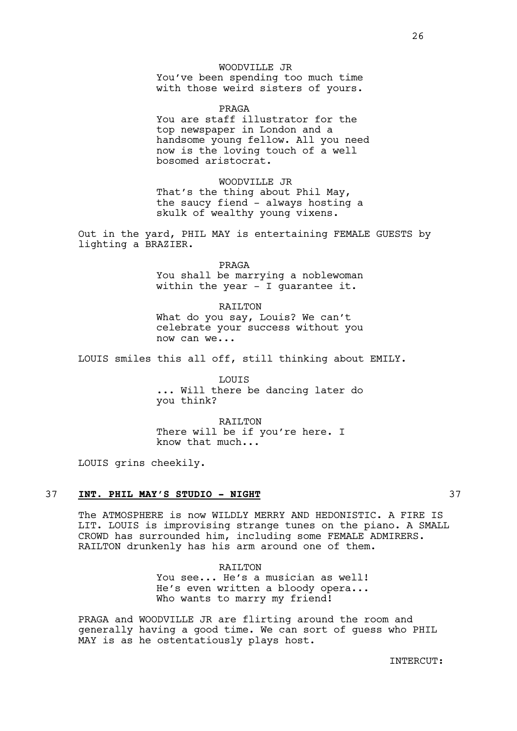# WOODVILLE JR

You've been spending too much time with those weird sisters of yours.

PRAGA You are staff illustrator for the top newspaper in London and a handsome young fellow. All you need now is the loving touch of a well bosomed aristocrat.

WOODVILLE JR That's the thing about Phil May, the saucy fiend - always hosting a skulk of wealthy young vixens.

Out in the yard, PHIL MAY is entertaining FEMALE GUESTS by lighting a BRAZIER.

> PRAGA You shall be marrying a noblewoman within the year - I quarantee it.

> RAILTON What do you say, Louis? We can't celebrate your success without you now can we...

LOUIS smiles this all off, still thinking about EMILY.

LOUIS ... Will there be dancing later do you think?

RAILTON There will be if you're here. I know that much...

LOUIS grins cheekily.

#### 37 **INT. PHIL MAY'S STUDIO - NIGHT** 37

The ATMOSPHERE is now WILDLY MERRY AND HEDONISTIC. A FIRE IS LIT. LOUIS is improvising strange tunes on the piano. A SMALL CROWD has surrounded him, including some FEMALE ADMIRERS. RAILTON drunkenly has his arm around one of them.

> RAILTON You see... He's a musician as well! He's even written a bloody opera... Who wants to marry my friend!

PRAGA and WOODVILLE JR are flirting around the room and generally having a good time. We can sort of guess who PHIL MAY is as he ostentatiously plays host.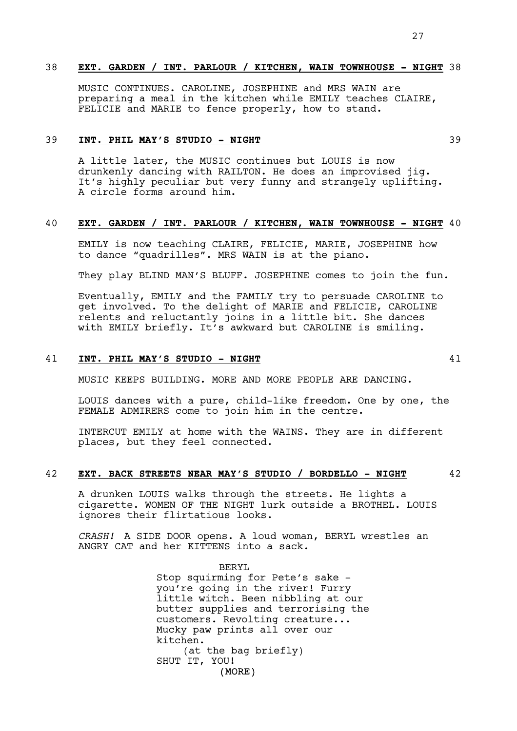### 38 **EXT. GARDEN / INT. PARLOUR / KITCHEN, WAIN TOWNHOUSE - NIGHT** 38

MUSIC CONTINUES. CAROLINE, JOSEPHINE and MRS WAIN are preparing a meal in the kitchen while EMILY teaches CLAIRE, FELICIE and MARIE to fence properly, how to stand.

## 39 **INT. PHIL MAY'S STUDIO - NIGHT** 39

A little later, the MUSIC continues but LOUIS is now drunkenly dancing with RAILTON. He does an improvised jig. It's highly peculiar but very funny and strangely uplifting. A circle forms around him.

# 40 **EXT. GARDEN / INT. PARLOUR / KITCHEN, WAIN TOWNHOUSE - NIGHT** 40

EMILY is now teaching CLAIRE, FELICIE, MARIE, JOSEPHINE how to dance "quadrilles". MRS WAIN is at the piano.

They play BLIND MAN'S BLUFF. JOSEPHINE comes to join the fun.

Eventually, EMILY and the FAMILY try to persuade CAROLINE to get involved. To the delight of MARIE and FELICIE, CAROLINE relents and reluctantly joins in a little bit. She dances with EMILY briefly. It's awkward but CAROLINE is smiling.

## 41 **INT. PHIL MAY'S STUDIO - NIGHT** 41

MUSIC KEEPS BUILDING. MORE AND MORE PEOPLE ARE DANCING.

LOUIS dances with a pure, child-like freedom. One by one, the FEMALE ADMIRERS come to join him in the centre.

INTERCUT EMILY at home with the WAINS. They are in different places, but they feel connected.

## 42 **EXT. BACK STREETS NEAR MAY'S STUDIO / BORDELLO - NIGHT** 42

A drunken LOUIS walks through the streets. He lights a cigarette. WOMEN OF THE NIGHT lurk outside a BROTHEL. LOUIS ignores their flirtatious looks.

*CRASH!* A SIDE DOOR opens. A loud woman, BERYL wrestles an ANGRY CAT and her KITTENS into a sack.

> (MORE) BERYL Stop squirming for Pete's sake you're going in the river! Furry little witch. Been nibbling at our butter supplies and terrorising the customers. Revolting creature... Mucky paw prints all over our kitchen. (at the bag briefly) SHUT IT, YOU!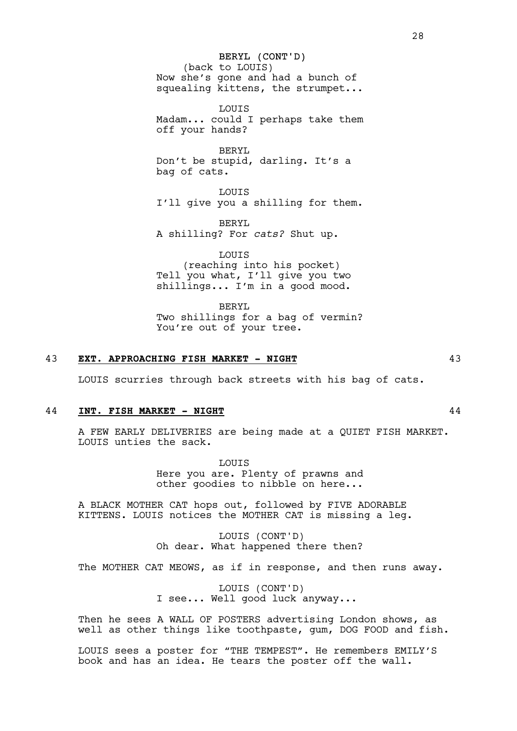BERYL (CONT'D) (back to LOUIS) Now she's gone and had a bunch of squealing kittens, the strumpet...

LOUIS Madam... could I perhaps take them off your hands?

BERYL Don't be stupid, darling. It's a bag of cats.

LOUIS I'll give you a shilling for them.

BERYL A shilling? For *cats?* Shut up.

LOUIS (reaching into his pocket) Tell you what, I'll give you two shillings... I'm in a good mood.

BERYL Two shillings for a bag of vermin? You're out of your tree.

## 43 **EXT. APPROACHING FISH MARKET - NIGHT** 43

LOUIS scurries through back streets with his bag of cats.

#### 44 **INT. FISH MARKET - NIGHT** 44

A FEW EARLY DELIVERIES are being made at a QUIET FISH MARKET. LOUIS unties the sack.

> LOUIS Here you are. Plenty of prawns and other goodies to nibble on here...

A BLACK MOTHER CAT hops out, followed by FIVE ADORABLE KITTENS. LOUIS notices the MOTHER CAT is missing a leg.

> LOUIS (CONT'D) Oh dear. What happened there then?

The MOTHER CAT MEOWS, as if in response, and then runs away.

LOUIS (CONT'D) I see... Well good luck anyway...

Then he sees A WALL OF POSTERS advertising London shows, as well as other things like toothpaste, gum, DOG FOOD and fish.

LOUIS sees a poster for "THE TEMPEST". He remembers EMILY'S book and has an idea. He tears the poster off the wall.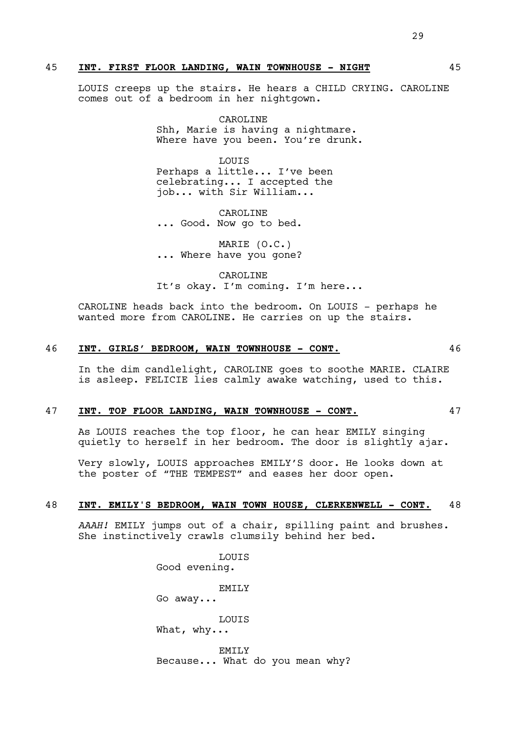## 45 **INT. FIRST FLOOR LANDING, WAIN TOWNHOUSE - NIGHT** 45

LOUIS creeps up the stairs. He hears a CHILD CRYING. CAROLINE comes out of a bedroom in her nightgown.

> CAROLINE Shh, Marie is having a nightmare. Where have you been. You're drunk.

**LOUTS** Perhaps a little... I've been celebrating... I accepted the job... with Sir William...

CAROLINE ... Good. Now go to bed.

MARIE (O.C.) ... Where have you gone?

CAROLINE It's okay. I'm coming. I'm here...

CAROLINE heads back into the bedroom. On LOUIS - perhaps he wanted more from CAROLINE. He carries on up the stairs.

### 46 **INT. GIRLS' BEDROOM, WAIN TOWNHOUSE - CONT.** 46

In the dim candlelight, CAROLINE goes to soothe MARIE. CLAIRE is asleep. FELICIE lies calmly awake watching, used to this.

#### 47 **INT. TOP FLOOR LANDING, WAIN TOWNHOUSE - CONT.** 47

As LOUIS reaches the top floor, he can hear EMILY singing quietly to herself in her bedroom. The door is slightly ajar.

Very slowly, LOUIS approaches EMILY'S door. He looks down at the poster of "THE TEMPEST" and eases her door open.

#### 48 **INT. EMILY'S BEDROOM, WAIN TOWN HOUSE, CLERKENWELL - CONT.** 48

*AAAH!* EMILY jumps out of a chair, spilling paint and brushes. She instinctively crawls clumsily behind her bed.

> **LOUTS** Good evening. EMTT<sub>.</sub>Y Go away... LOUIS What, why... EMILY Because... What do you mean why?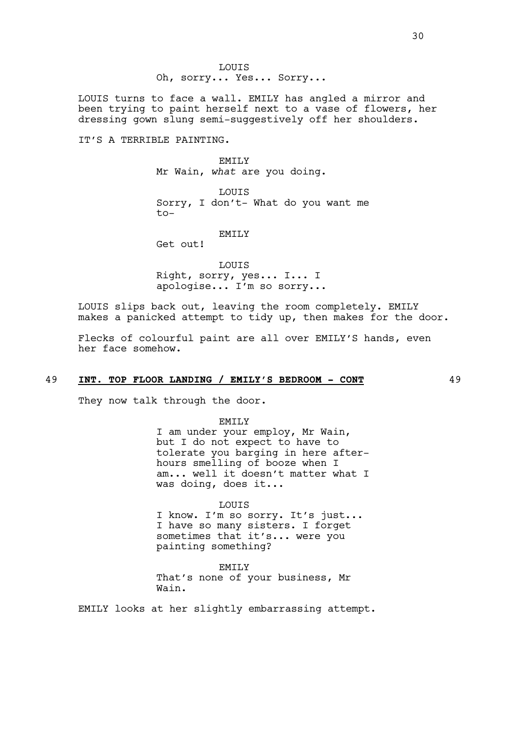LOUIS Oh, sorry... Yes... Sorry...

LOUIS turns to face a wall. EMILY has angled a mirror and been trying to paint herself next to a vase of flowers, her dressing gown slung semi-suggestively off her shoulders.

IT'S A TERRIBLE PAINTING.

### EMILY

Mr Wain, *what* are you doing.

LOUIS Sorry, I don't- What do you want me to-

#### EMILY

Get out!

LOUIS Right, sorry, yes... I... I apologise... I'm so sorry...

LOUIS slips back out, leaving the room completely. EMILY makes a panicked attempt to tidy up, then makes for the door.

Flecks of colourful paint are all over EMILY'S hands, even her face somehow.

# 49 **INT. TOP FLOOR LANDING / EMILY'S BEDROOM - CONT** 49

They now talk through the door.

EMILY

I am under your employ, Mr Wain, but I do not expect to have to tolerate you barging in here afterhours smelling of booze when I am... well it doesn't matter what I was doing, does it...

#### LOUIS

I know. I'm so sorry. It's just... I have so many sisters. I forget sometimes that it's... were you painting something?

EMILY That's none of your business, Mr Wain.

EMILY looks at her slightly embarrassing attempt.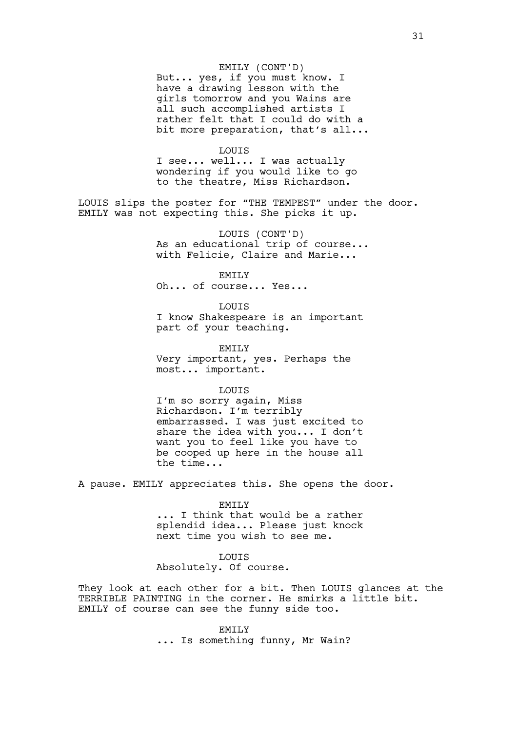#### EMILY (CONT'D)

But... yes, if you must know. I have a drawing lesson with the girls tomorrow and you Wains are all such accomplished artists I rather felt that I could do with a bit more preparation, that's all...

#### LOUIS

I see... well... I was actually wondering if you would like to go to the theatre, Miss Richardson.

LOUIS slips the poster for "THE TEMPEST" under the door. EMILY was not expecting this. She picks it up.

> LOUIS (CONT'D) As an educational trip of course... with Felicie, Claire and Marie...

EMILY Oh... of course... Yes...

LOUIS I know Shakespeare is an important part of your teaching.

EMILY Very important, yes. Perhaps the most... important.

LOUIS

I'm so sorry again, Miss Richardson. I'm terribly embarrassed. I was just excited to share the idea with you... I don't want you to feel like you have to be cooped up here in the house all the time...

A pause. EMILY appreciates this. She opens the door.

#### EMILY

... I think that would be a rather splendid idea... Please just knock next time you wish to see me.

#### **LOUTS**

Absolutely. Of course.

They look at each other for a bit. Then LOUIS glances at the TERRIBLE PAINTING in the corner. He smirks a little bit. EMILY of course can see the funny side too.

#### EMILY

... Is something funny, Mr Wain?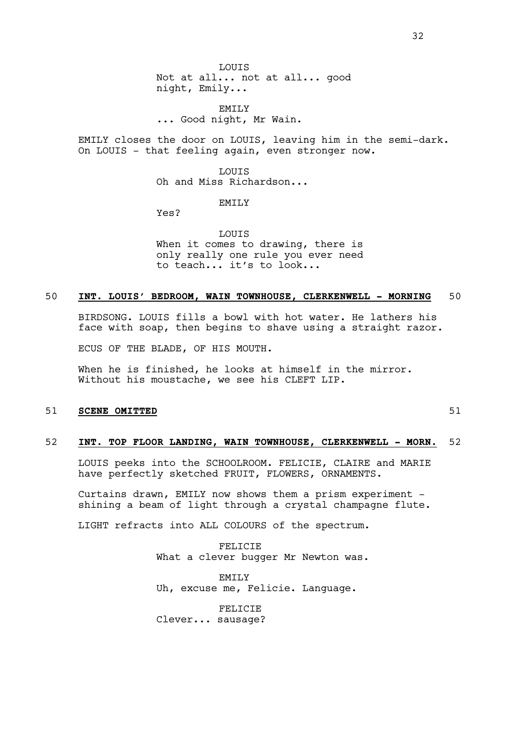LOUIS Not at all... not at all... good night, Emily...

EMILY ... Good night, Mr Wain.

EMILY closes the door on LOUIS, leaving him in the semi-dark. On LOUIS - that feeling again, even stronger now.

> **LOUTS** Oh and Miss Richardson...

> > EMILY

Yes?

LOUIS When it comes to drawing, there is only really one rule you ever need to teach... it's to look...

## 50 **INT. LOUIS' BEDROOM, WAIN TOWNHOUSE, CLERKENWELL - MORNING** 50

BIRDSONG. LOUIS fills a bowl with hot water. He lathers his face with soap, then begins to shave using a straight razor.

ECUS OF THE BLADE, OF HIS MOUTH.

When he is finished, he looks at himself in the mirror. Without his moustache, we see his CLEFT LIP.

### 51 **SCENE OMITTED** 51 51

## 52 **INT. TOP FLOOR LANDING, WAIN TOWNHOUSE, CLERKENWELL - MORN.** 52

LOUIS peeks into the SCHOOLROOM. FELICIE, CLAIRE and MARIE have perfectly sketched FRUIT, FLOWERS, ORNAMENTS.

Curtains drawn, EMILY now shows them a prism experiment shining a beam of light through a crystal champagne flute.

LIGHT refracts into ALL COLOURS of the spectrum.

FELICIE What a clever bugger Mr Newton was.

**EMILY** Uh, excuse me, Felicie. Language.

FELICIE Clever... sausage?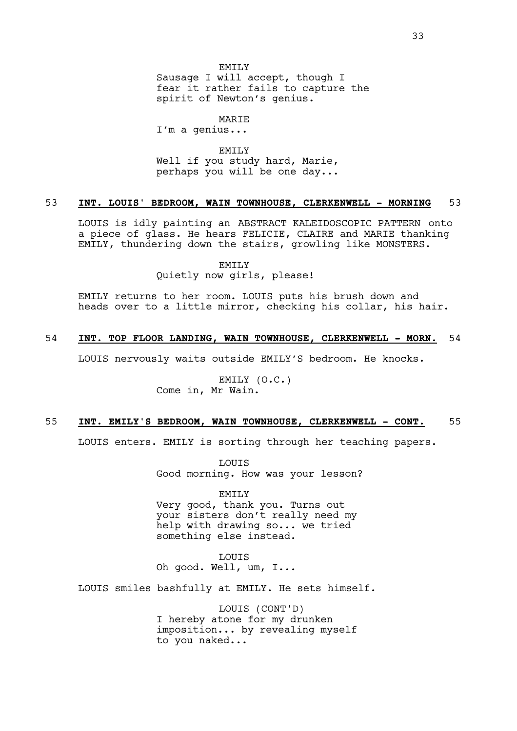Sausage I will accept, though I fear it rather fails to capture the spirit of Newton's genius.

MARIE

I'm a genius...

EMILY

Well if you study hard, Marie, perhaps you will be one day...

### 53 **INT. LOUIS' BEDROOM, WAIN TOWNHOUSE, CLERKENWELL - MORNING** 53

LOUIS is idly painting an ABSTRACT KALEIDOSCOPIC PATTERN onto a piece of glass. He hears FELICIE, CLAIRE and MARIE thanking EMILY, thundering down the stairs, growling like MONSTERS.

EMILY

Quietly now girls, please!

EMILY returns to her room. LOUIS puts his brush down and heads over to a little mirror, checking his collar, his hair.

## 54 **INT. TOP FLOOR LANDING, WAIN TOWNHOUSE, CLERKENWELL - MORN.** 54

LOUIS nervously waits outside EMILY'S bedroom. He knocks.

EMILY (O.C.) Come in, Mr Wain.

### 55 **INT. EMILY'S BEDROOM, WAIN TOWNHOUSE, CLERKENWELL - CONT.** 55

LOUIS enters. EMILY is sorting through her teaching papers.

LOUIS Good morning. How was your lesson?

EMILY Very good, thank you. Turns out your sisters don't really need my help with drawing so... we tried something else instead.

**LOUTS** 

Oh good. Well, um, I...

LOUIS smiles bashfully at EMILY. He sets himself.

LOUIS (CONT'D) I hereby atone for my drunken imposition... by revealing myself to you naked...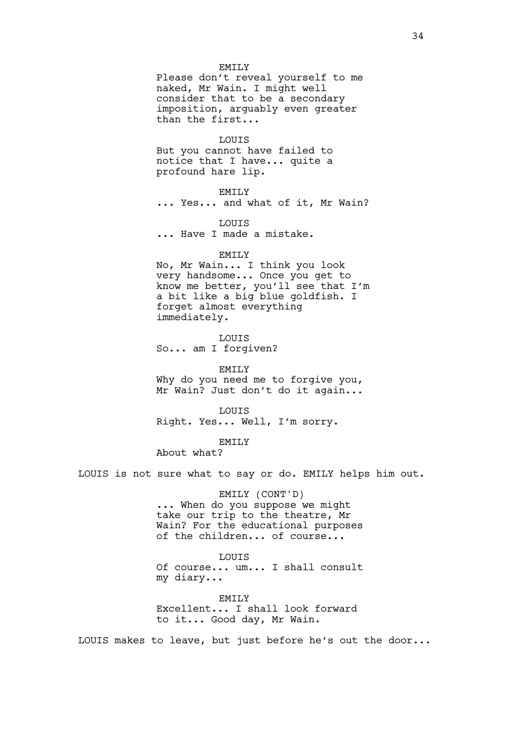#### EMILY

Please don't reveal yourself to me naked, Mr Wain. I might well consider that to be a secondary imposition, arguably even greater than the first...

### LOUIS

But you cannot have failed to notice that I have... quite a profound hare lip.

#### EMILY

... Yes... and what of it, Mr Wain?

#### LOUIS

... Have I made a mistake.

#### EMILY

No, Mr Wain... I think you look very handsome... Once you get to know me better, you'll see that I'm a bit like a big blue goldfish. I forget almost everything immediately.

LOUIS So... am I forgiven?

EMILY Why do you need me to forgive you, Mr Wain? Just don't do it again...

LOUIS Right. Yes... Well, I'm sorry.

## EMILY

About what?

LOUIS is not sure what to say or do. EMILY helps him out.

#### EMILY (CONT'D)

... When do you suppose we might take our trip to the theatre, Mr Wain? For the educational purposes of the children... of course...

# **LOUTS**

Of course... um... I shall consult my diary...

**EMILY** Excellent... I shall look forward

to it... Good day, Mr Wain.

LOUIS makes to leave, but just before he's out the door...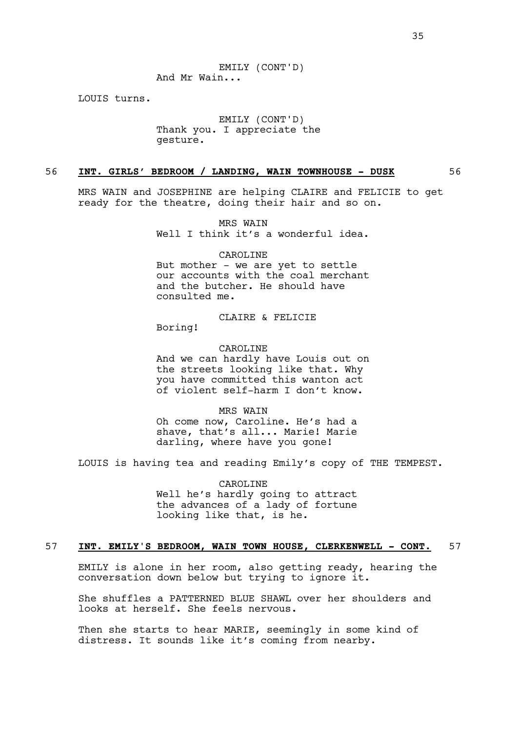EMILY (CONT'D) And Mr Wain...

LOUIS turns.

EMILY (CONT'D) Thank you. I appreciate the gesture.

## 56 **INT. GIRLS' BEDROOM / LANDING, WAIN TOWNHOUSE - DUSK** 56

MRS WAIN and JOSEPHINE are helping CLAIRE and FELICIE to get ready for the theatre, doing their hair and so on.

> MRS WAIN Well I think it's a wonderful idea.

> > CAROLINE

But mother - we are yet to settle our accounts with the coal merchant and the butcher. He should have consulted me.

## CLAIRE & FELICIE

Boring!

#### CAROLINE

And we can hardly have Louis out on the streets looking like that. Why you have committed this wanton act of violent self-harm I don't know.

MRS WAIN

Oh come now, Caroline. He's had a shave, that's all... Marie! Marie darling, where have you gone!

LOUIS is having tea and reading Emily's copy of THE TEMPEST.

CAROLINE Well he's hardly going to attract the advances of a lady of fortune looking like that, is he.

### 57 **INT. EMILY'S BEDROOM, WAIN TOWN HOUSE, CLERKENWELL - CONT.** 57

EMILY is alone in her room, also getting ready, hearing the conversation down below but trying to ignore it.

She shuffles a PATTERNED BLUE SHAWL over her shoulders and looks at herself. She feels nervous.

Then she starts to hear MARIE, seemingly in some kind of distress. It sounds like it's coming from nearby.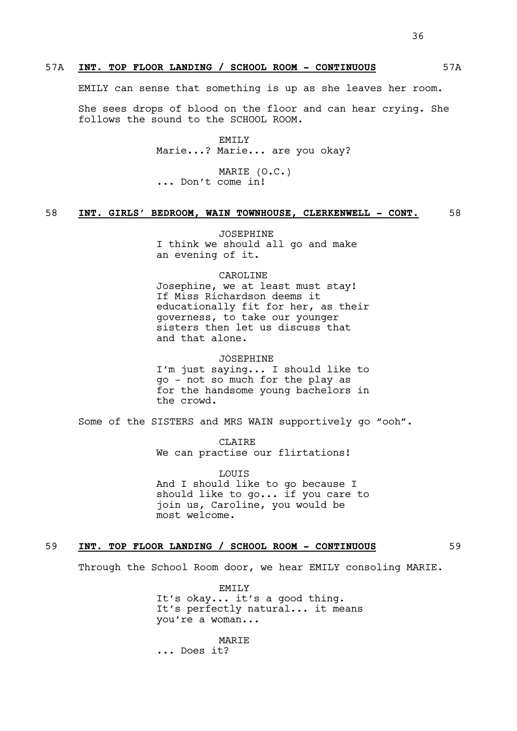EMILY can sense that something is up as she leaves her room.

She sees drops of blood on the floor and can hear crying. She follows the sound to the SCHOOL ROOM.

> EMTT<sub>.</sub>Y Marie...? Marie... are you okay?

MARIE (O.C.) ... Don't come in!

# 58 INT. GIRLS' BEDROOM, WAIN TOWNHOUSE, CLERKENWELL - CONT. 58

JOSEPHINE I think we should all go and make an evening of it.

#### CAROLINE

Josephine, we at least must stay! If Miss Richardson deems it educationally fit for her, as their governess, to take our younger sisters then let us discuss that and that alone.

### JOSEPHINE

I'm just saying... I should like to go - not so much for the play as for the handsome young bachelors in the crowd.

Some of the SISTERS and MRS WAIN supportively go "ooh".

CLAIRE We can practise our flirtations!

**LOUTS** And I should like to go because I should like to go... if you care to join us, Caroline, you would be most welcome.

# 59 **INT. TOP FLOOR LANDING / SCHOOL ROOM - CONTINUOUS** 59

Through the School Room door, we hear EMILY consoling MARIE.

EMTT<sub>.</sub>Y It's okay... it's a good thing. It's perfectly natural... it means you're a woman...

MARIE ... Does it?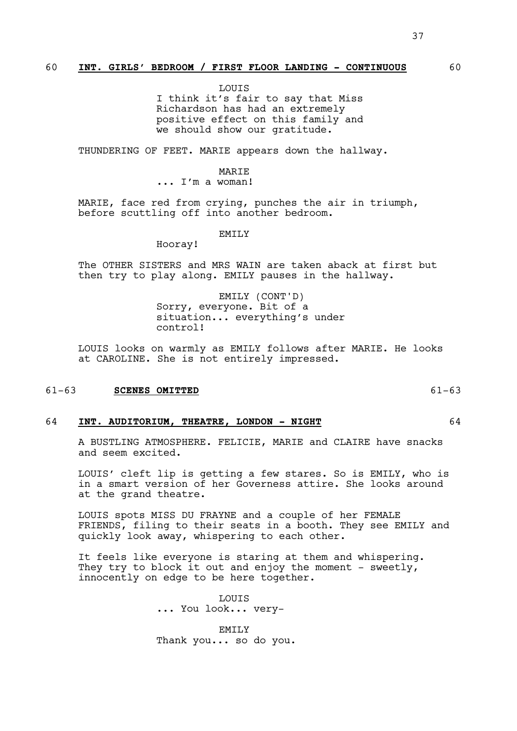LOUIS

I think it's fair to say that Miss Richardson has had an extremely positive effect on this family and we should show our gratitude.

THUNDERING OF FEET. MARIE appears down the hallway.

### **MARTE**

... I'm a woman!

MARIE, face red from crying, punches the air in triumph, before scuttling off into another bedroom.

EMILY

Hooray!

The OTHER SISTERS and MRS WAIN are taken aback at first but then try to play along. EMILY pauses in the hallway.

> EMILY (CONT'D) Sorry, everyone. Bit of a situation... everything's under control!

LOUIS looks on warmly as EMILY follows after MARIE. He looks at CAROLINE. She is not entirely impressed.

#### 61-63 **SCENES OMITTED** 61-63

#### 64 **INT. AUDITORIUM, THEATRE, LONDON - NIGHT** 64

A BUSTLING ATMOSPHERE. FELICIE, MARIE and CLAIRE have snacks and seem excited.

LOUIS' cleft lip is getting a few stares. So is EMILY, who is in a smart version of her Governess attire. She looks around at the grand theatre.

LOUIS spots MISS DU FRAYNE and a couple of her FEMALE FRIENDS, filing to their seats in a booth. They see EMILY and quickly look away, whispering to each other.

It feels like everyone is staring at them and whispering. They try to block it out and enjoy the moment - sweetly, innocently on edge to be here together.

> **LOUTS** ... You look... very-

EMILY Thank you... so do you.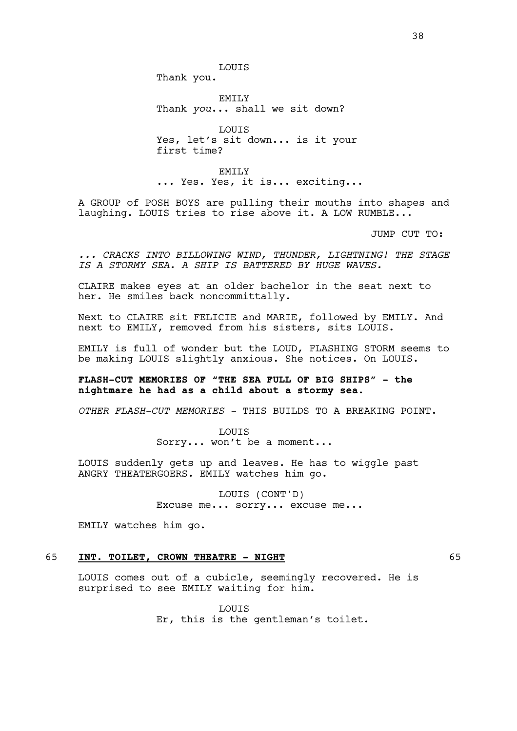Thank you.

EMILY Thank *you*... shall we sit down?

LOUIS Yes, let's sit down... is it your first time?

**EMILY** ... Yes. Yes, it is... exciting...

A GROUP of POSH BOYS are pulling their mouths into shapes and laughing. LOUIS tries to rise above it. A LOW RUMBLE...

JUMP CUT TO:

*... CRACKS INTO BILLOWING WIND, THUNDER, LIGHTNING! THE STAGE IS A STORMY SEA. A SHIP IS BATTERED BY HUGE WAVES.* 

CLAIRE makes eyes at an older bachelor in the seat next to her. He smiles back noncommittally.

Next to CLAIRE sit FELICIE and MARIE, followed by EMILY. And next to EMILY, removed from his sisters, sits LOUIS.

EMILY is full of wonder but the LOUD, FLASHING STORM seems to be making LOUIS slightly anxious. She notices. On LOUIS.

# **FLASH-CUT MEMORIES OF "THE SEA FULL OF BIG SHIPS" - the nightmare he had as a child about a stormy sea.**

*OTHER FLASH-CUT MEMORIES -* THIS BUILDS TO A BREAKING POINT.

LOUIS Sorry... won't be a moment...

LOUIS suddenly gets up and leaves. He has to wiggle past ANGRY THEATERGOERS. EMILY watches him go.

> LOUIS (CONT'D) Excuse me... sorry... excuse me...

EMILY watches him go.

# 65 **INT. TOILET, CROWN THEATRE - NIGHT** 65

LOUIS comes out of a cubicle, seemingly recovered. He is surprised to see EMILY waiting for him.

> **LOUTS** Er, this is the gentleman's toilet.

38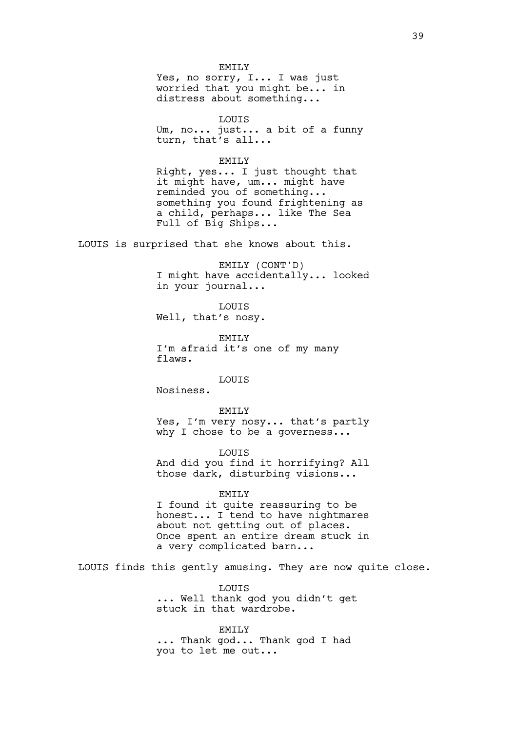EMILY Yes, no sorry, I... I was just worried that you might be... in distress about something...

LOUIS Um, no... just... a bit of a funny turn, that's all...

EMILY

Right, yes... I just thought that it might have, um... might have reminded you of something... something you found frightening as a child, perhaps... like The Sea Full of Big Ships...

LOUIS is surprised that she knows about this.

EMILY (CONT'D) I might have accidentally... looked in your journal...

LOUIS Well, that's nosy.

EMILY I'm afraid it's one of my many flaws.

LOUIS

Nosiness.

EMILY Yes, I'm very nosy... that's partly why I chose to be a governess...

LOUIS And did you find it horrifying? All those dark, disturbing visions...

EMILY

I found it quite reassuring to be honest... I tend to have nightmares about not getting out of places. Once spent an entire dream stuck in a very complicated barn...

LOUIS finds this gently amusing. They are now quite close.

**LOUTS** ... Well thank god you didn't get stuck in that wardrobe.

EMILY ... Thank god... Thank god I had you to let me out...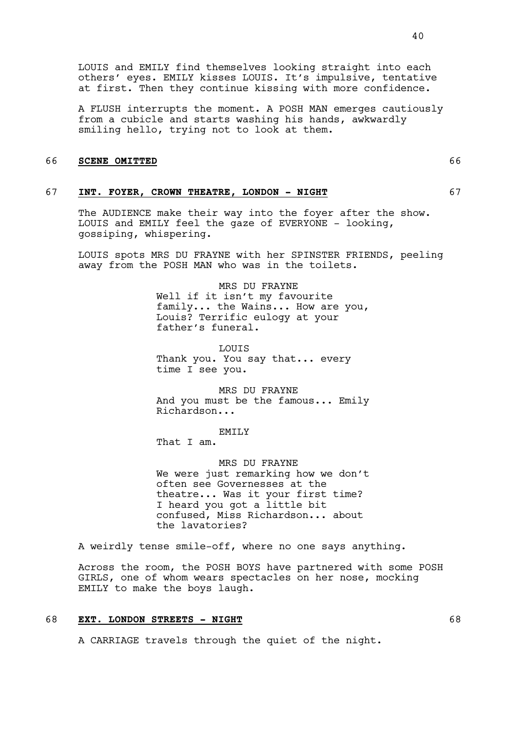LOUIS and EMILY find themselves looking straight into each others' eyes. EMILY kisses LOUIS. It's impulsive, tentative at first. Then they continue kissing with more confidence.

A FLUSH interrupts the moment. A POSH MAN emerges cautiously from a cubicle and starts washing his hands, awkwardly smiling hello, trying not to look at them.

### 66 **SCENE OMITTED** 66

# 67 **INT. FOYER, CROWN THEATRE, LONDON - NIGHT** 67

The AUDIENCE make their way into the foyer after the show. LOUIS and EMILY feel the gaze of EVERYONE - looking, gossiping, whispering.

LOUIS spots MRS DU FRAYNE with her SPINSTER FRIENDS, peeling away from the POSH MAN who was in the toilets.

> MRS DU FRAYNE Well if it isn't my favourite family... the Wains... How are you, Louis? Terrific eulogy at your father's funeral.

LOUIS Thank you. You say that... every time I see you.

MRS DU FRAYNE And you must be the famous... Emily Richardson...

EMILY

That I am.

MRS DU FRAYNE We were just remarking how we don't often see Governesses at the theatre... Was it your first time? I heard you got a little bit confused, Miss Richardson... about the lavatories?

A weirdly tense smile-off, where no one says anything.

Across the room, the POSH BOYS have partnered with some POSH GIRLS, one of whom wears spectacles on her nose, mocking EMILY to make the boys laugh.

# 68 **EXT. LONDON STREETS - NIGHT** 68

A CARRIAGE travels through the quiet of the night.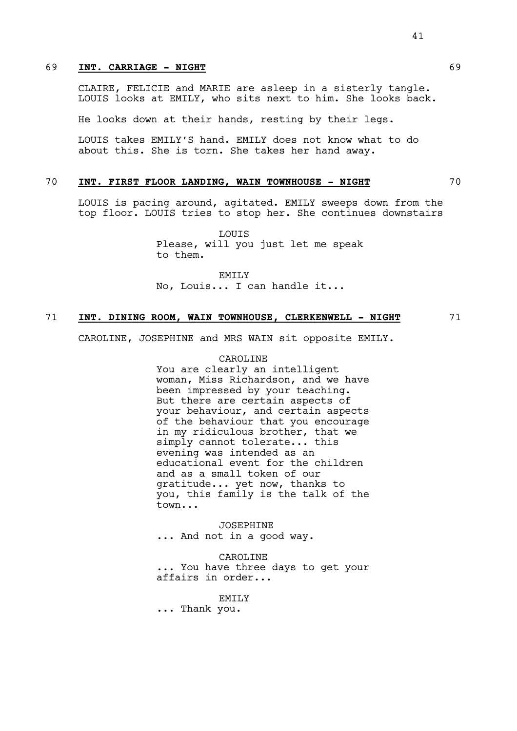# 69 **INT. CARRIAGE - NIGHT** 69

CLAIRE, FELICIE and MARIE are asleep in a sisterly tangle. LOUIS looks at EMILY, who sits next to him. She looks back.

He looks down at their hands, resting by their legs.

LOUIS takes EMILY'S hand. EMILY does not know what to do about this. She is torn. She takes her hand away.

# 70 **INT. FIRST FLOOR LANDING, WAIN TOWNHOUSE - NIGHT** 70

LOUIS is pacing around, agitated. EMILY sweeps down from the top floor. LOUIS tries to stop her. She continues downstairs

> LOUIS Please, will you just let me speak to them.

EMILY No, Louis... I can handle it...

### 71 **INT. DINING ROOM, WAIN TOWNHOUSE, CLERKENWELL - NIGHT** 71

CAROLINE, JOSEPHINE and MRS WAIN sit opposite EMILY.

#### CAROLINE

You are clearly an intelligent woman, Miss Richardson, and we have been impressed by your teaching. But there are certain aspects of your behaviour, and certain aspects of the behaviour that you encourage in my ridiculous brother, that we simply cannot tolerate... this evening was intended as an educational event for the children and as a small token of our gratitude... yet now, thanks to you, this family is the talk of the town...

JOSEPHINE ... And not in a good way.

CAROLINE ... You have three days to get your affairs in order...

EMTT<sub>.</sub>Y

... Thank you.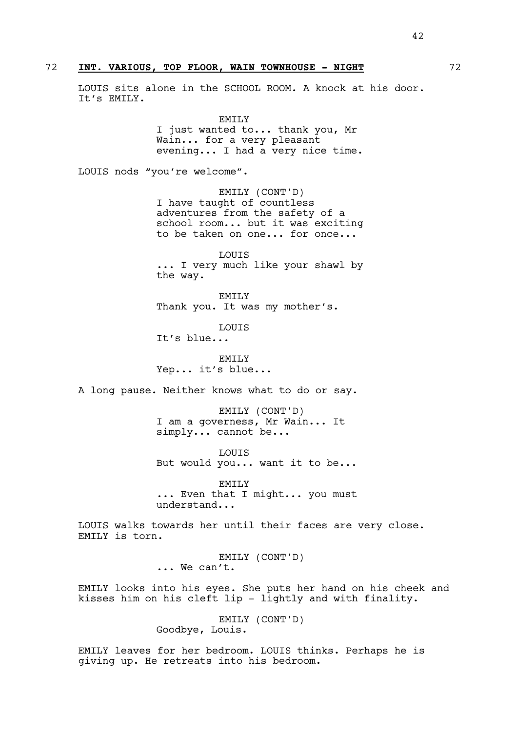# 72 **INT. VARIOUS, TOP FLOOR, WAIN TOWNHOUSE - NIGHT** 72

LOUIS sits alone in the SCHOOL ROOM. A knock at his door. It's EMILY.

> EMILY I just wanted to... thank you, Mr Wain... for a very pleasant evening... I had a very nice time.

LOUIS nods "you're welcome".

EMILY (CONT'D) I have taught of countless adventures from the safety of a school room... but it was exciting to be taken on one... for once...

LOUIS ... I very much like your shawl by the way.

EMILY Thank you. It was my mother's.

LOUIS It's blue...

EMTT<sub>.</sub>Y Yep... it's blue...

A long pause. Neither knows what to do or say.

EMILY (CONT'D) I am a governess, Mr Wain... It simply... cannot be...

LOUIS But would you... want it to be...

EMILY ... Even that I might... you must understand...

LOUIS walks towards her until their faces are very close. EMILY is torn.

> EMILY (CONT'D) ... We can't.

EMILY looks into his eyes. She puts her hand on his cheek and kisses him on his cleft lip - lightly and with finality.

> EMILY (CONT'D) Goodbye, Louis.

EMILY leaves for her bedroom. LOUIS thinks. Perhaps he is giving up. He retreats into his bedroom.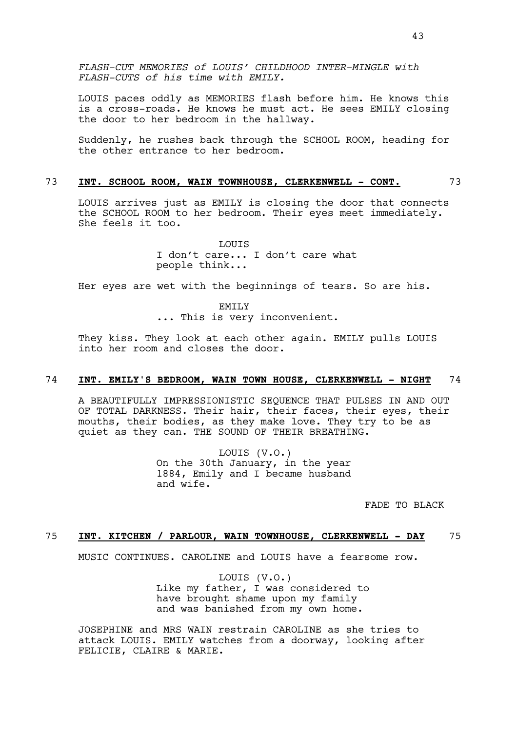*FLASH-CUT MEMORIES of LOUIS' CHILDHOOD INTER-MINGLE with FLASH-CUTS of his time with EMILY.*

LOUIS paces oddly as MEMORIES flash before him. He knows this is a cross-roads. He knows he must act. He sees EMILY closing the door to her bedroom in the hallway.

Suddenly, he rushes back through the SCHOOL ROOM, heading for the other entrance to her bedroom.

# 73 **INT. SCHOOL ROOM, WAIN TOWNHOUSE, CLERKENWELL - CONT.** 73

LOUIS arrives just as EMILY is closing the door that connects the SCHOOL ROOM to her bedroom. Their eyes meet immediately. She feels it too.

> **LOUTS** I don't care... I don't care what people think...

Her eyes are wet with the beginnings of tears. So are his.

EMILY ... This is very inconvenient.

They kiss. They look at each other again. EMILY pulls LOUIS into her room and closes the door.

# 74 **INT. EMILY'S BEDROOM, WAIN TOWN HOUSE, CLERKENWELL - NIGHT** 74

A BEAUTIFULLY IMPRESSIONISTIC SEQUENCE THAT PULSES IN AND OUT OF TOTAL DARKNESS. Their hair, their faces, their eyes, their mouths, their bodies, as they make love. They try to be as quiet as they can. THE SOUND OF THEIR BREATHING.

> LOUIS (V.O.) On the 30th January, in the year 1884, Emily and I became husband and wife.

> > FADE TO BLACK

# 75 **INT. KITCHEN / PARLOUR, WAIN TOWNHOUSE, CLERKENWELL - DAY** 75

MUSIC CONTINUES. CAROLINE and LOUIS have a fearsome row.

LOUIS (V.O.) Like my father, I was considered to have brought shame upon my family and was banished from my own home.

JOSEPHINE and MRS WAIN restrain CAROLINE as she tries to attack LOUIS. EMILY watches from a doorway, looking after FELICIE, CLAIRE & MARIE.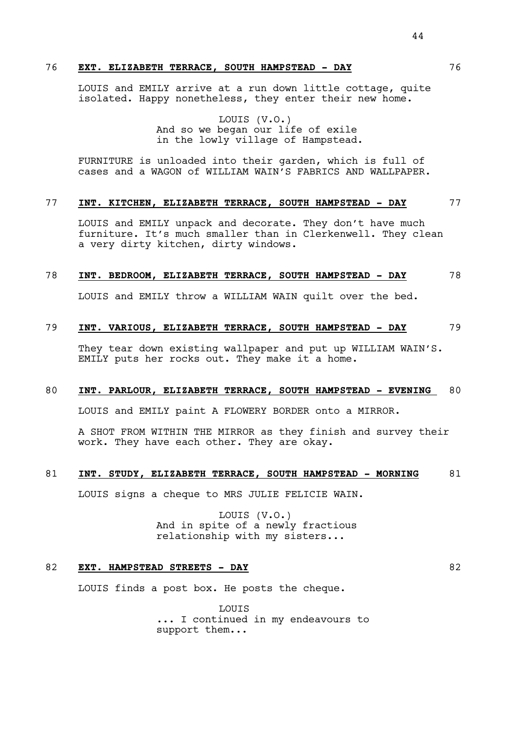# 76 **EXT. ELIZABETH TERRACE, SOUTH HAMPSTEAD - DAY** 76

LOUIS and EMILY arrive at a run down little cottage, quite isolated. Happy nonetheless, they enter their new home.

> LOUIS (V.O.) And so we began our life of exile

in the lowly village of Hampstead.

FURNITURE is unloaded into their garden, which is full of cases and a WAGON of WILLIAM WAIN'S FABRICS AND WALLPAPER.

# 77 **INT. KITCHEN, ELIZABETH TERRACE, SOUTH HAMPSTEAD - DAY** 77

LOUIS and EMILY unpack and decorate. They don't have much furniture. It's much smaller than in Clerkenwell. They clean a very dirty kitchen, dirty windows.

### 78 **INT. BEDROOM, ELIZABETH TERRACE, SOUTH HAMPSTEAD - DAY** 78

LOUIS and EMILY throw a WILLIAM WAIN quilt over the bed.

# 79 **INT. VARIOUS, ELIZABETH TERRACE, SOUTH HAMPSTEAD - DAY** 79

They tear down existing wallpaper and put up WILLIAM WAIN'S. EMILY puts her rocks out. They make it a home.

# 80 **INT. PARLOUR, ELIZABETH TERRACE, SOUTH HAMPSTEAD - EVENING** 80

LOUIS and EMILY paint A FLOWERY BORDER onto a MIRROR.

A SHOT FROM WITHIN THE MIRROR as they finish and survey their work. They have each other. They are okay.

# 81 **INT. STUDY, ELIZABETH TERRACE, SOUTH HAMPSTEAD - MORNING** 81

LOUIS signs a cheque to MRS JULIE FELICIE WAIN.

LOUIS (V.O.) And in spite of a newly fractious relationship with my sisters...

# 82 **EXT. HAMPSTEAD STREETS - DAY** 82

LOUIS finds a post box. He posts the cheque.

**LOUTS** ... I continued in my endeavours to support them...

44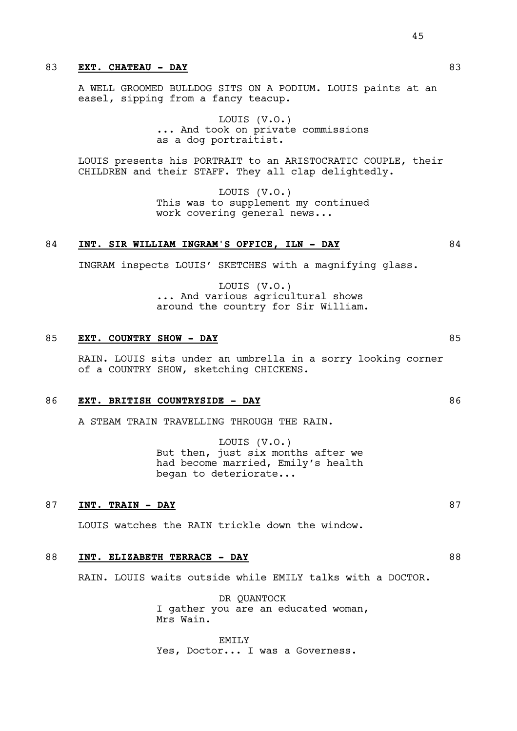# 83 **EXT. CHATEAU - DAY** 83

A WELL GROOMED BULLDOG SITS ON A PODIUM. LOUIS paints at an easel, sipping from a fancy teacup.

> LOUIS (V.O.) ... And took on private commissions as a dog portraitist.

LOUIS presents his PORTRAIT to an ARISTOCRATIC COUPLE, their CHILDREN and their STAFF. They all clap delightedly.

> LOUIS (V.O.) This was to supplement my continued work covering general news...

# 84 **INT. SIR WILLIAM INGRAM'S OFFICE, ILN - DAY** 84

INGRAM inspects LOUIS' SKETCHES with a magnifying glass.

LOUIS (V.O.) ... And various agricultural shows around the country for Sir William.

# 85 **EXT. COUNTRY SHOW - DAY** 85

RAIN. LOUIS sits under an umbrella in a sorry looking corner of a COUNTRY SHOW, sketching CHICKENS.

#### 86 **EXT. BRITISH COUNTRYSIDE - DAY** 86

A STEAM TRAIN TRAVELLING THROUGH THE RAIN.

LOUIS (V.O.) But then, just six months after we had become married, Emily's health began to deteriorate...

#### 87 **INT. TRAIN - DAY** 87

LOUIS watches the RAIN trickle down the window.

# 88 INT. ELIZABETH TERRACE - DAY **88**

RAIN. LOUIS waits outside while EMILY talks with a DOCTOR.

DR QUANTOCK I gather you are an educated woman, Mrs Wain.

EMTT<sub>.</sub>Y Yes, Doctor... I was a Governess. 45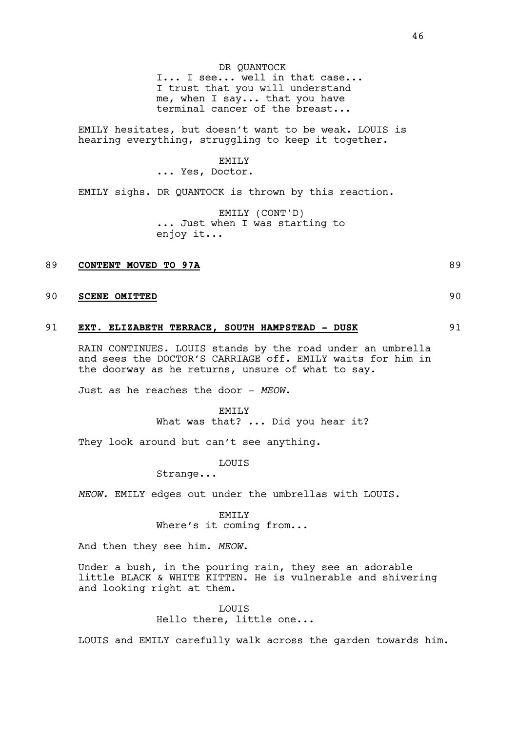I... I see... well in that case... I trust that you will understand me, when I say... that you have terminal cancer of the breast...

EMILY hesitates, but doesn't want to be weak. LOUIS is hearing everything, struggling to keep it together.

#### EMILY

... Yes, Doctor.

EMILY sighs. DR QUANTOCK is thrown by this reaction.

EMILY (CONT'D) ... Just when I was starting to enjoy it...

### 89 **CONTENT MOVED TO 97A** 89

# 90 **SCENE OMITTED** 90

# 91 **EXT. ELIZABETH TERRACE, SOUTH HAMPSTEAD - DUSK** 91

RAIN CONTINUES. LOUIS stands by the road under an umbrella and sees the DOCTOR'S CARRIAGE off. EMILY waits for him in the doorway as he returns, unsure of what to say.

Just as he reaches the door - *MEOW*.

EMILY What was that? ... Did you hear it?

They look around but can't see anything.

LOUIS

Strange...

*MEOW.* EMILY edges out under the umbrellas with LOUIS.

EMILY Where's it coming from...

And then they see him. *MEOW.*

Under a bush, in the pouring rain, they see an adorable little BLACK & WHITE KITTEN. He is vulnerable and shivering and looking right at them.

> **LOUTS** Hello there, little one...

LOUIS and EMILY carefully walk across the garden towards him.

- 
-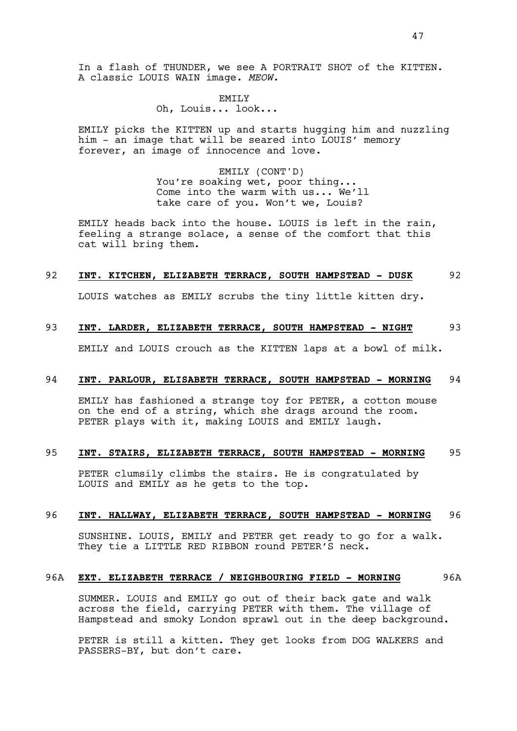In a flash of THUNDER, we see A PORTRAIT SHOT of the KITTEN. A classic LOUIS WAIN image. *MEOW.*

#### EMILY

# Oh, Louis... look...

EMILY picks the KITTEN up and starts hugging him and nuzzling him - an image that will be seared into LOUIS' memory forever, an image of innocence and love.

> EMILY (CONT'D) You're soaking wet, poor thing... Come into the warm with us... We'll take care of you. Won't we, Louis?

EMILY heads back into the house. LOUIS is left in the rain, feeling a strange solace, a sense of the comfort that this cat will bring them.

### 92 **INT. KITCHEN, ELIZABETH TERRACE, SOUTH HAMPSTEAD - DUSK** 92

LOUIS watches as EMILY scrubs the tiny little kitten dry.

# 93 **INT. LARDER, ELIZABETH TERRACE, SOUTH HAMPSTEAD - NIGHT** 93

EMILY and LOUIS crouch as the KITTEN laps at a bowl of milk.

# 94 **INT. PARLOUR, ELISABETH TERRACE, SOUTH HAMPSTEAD - MORNING** 94

EMILY has fashioned a strange toy for PETER, a cotton mouse on the end of a string, which she drags around the room. PETER plays with it, making LOUIS and EMILY laugh.

# 95 **INT. STAIRS, ELIZABETH TERRACE, SOUTH HAMPSTEAD - MORNING** 95

PETER clumsily climbs the stairs. He is congratulated by LOUIS and EMILY as he gets to the top.

# 96 **INT. HALLWAY, ELIZABETH TERRACE, SOUTH HAMPSTEAD - MORNING** 96

SUNSHINE. LOUIS, EMILY and PETER get ready to go for a walk. They tie a LITTLE RED RIBBON round PETER'S neck.

# 96A **EXT. ELIZABETH TERRACE / NEIGHBOURING FIELD - MORNING** 96A

SUMMER. LOUIS and EMILY go out of their back gate and walk across the field, carrying PETER with them. The village of Hampstead and smoky London sprawl out in the deep background.

PETER is still a kitten. They get looks from DOG WALKERS and PASSERS-BY, but don't care.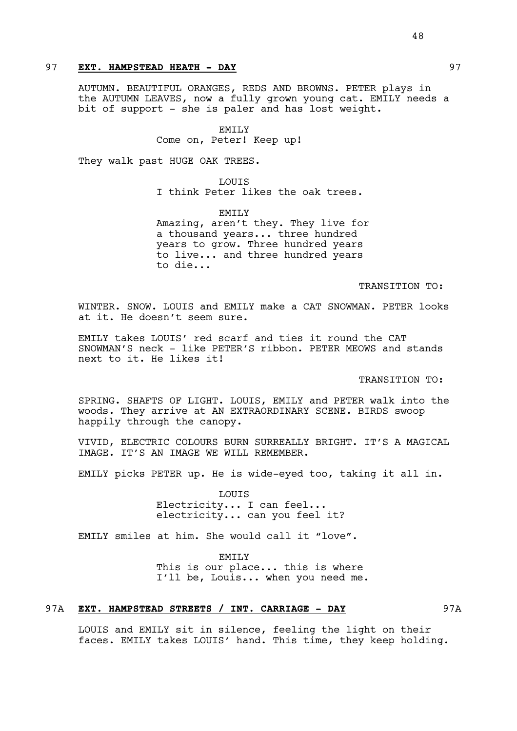# 97 **EXT. HAMPSTEAD HEATH - DAY** 97

AUTUMN. BEAUTIFUL ORANGES, REDS AND BROWNS. PETER plays in the AUTUMN LEAVES, now a fully grown young cat. EMILY needs a bit of support - she is paler and has lost weight.

#### EMILY

Come on, Peter! Keep up!

They walk past HUGE OAK TREES.

LOUIS I think Peter likes the oak trees.

EMILY Amazing, aren't they. They live for a thousand years... three hundred years to grow. Three hundred years to live... and three hundred years to die...

### TRANSITION TO:

WINTER. SNOW. LOUIS and EMILY make a CAT SNOWMAN. PETER looks at it. He doesn't seem sure.

EMILY takes LOUIS' red scarf and ties it round the CAT SNOWMAN'S neck - like PETER'S ribbon. PETER MEOWS and stands next to it. He likes it!

#### TRANSITION TO:

SPRING. SHAFTS OF LIGHT. LOUIS, EMILY and PETER walk into the woods. They arrive at AN EXTRAORDINARY SCENE. BIRDS swoop happily through the canopy.

VIVID, ELECTRIC COLOURS BURN SURREALLY BRIGHT. IT'S A MAGICAL IMAGE. IT'S AN IMAGE WE WILL REMEMBER.

EMILY picks PETER up. He is wide-eyed too, taking it all in.

LOUIS Electricity... I can feel... electricity... can you feel it?

EMILY smiles at him. She would call it "love".

EMTT<sub>.</sub>Y This is our place... this is where I'll be, Louis... when you need me.

# 97A **EXT. HAMPSTEAD STREETS / INT. CARRIAGE - DAY** 97A

LOUIS and EMILY sit in silence, feeling the light on their faces. EMILY takes LOUIS' hand. This time, they keep holding.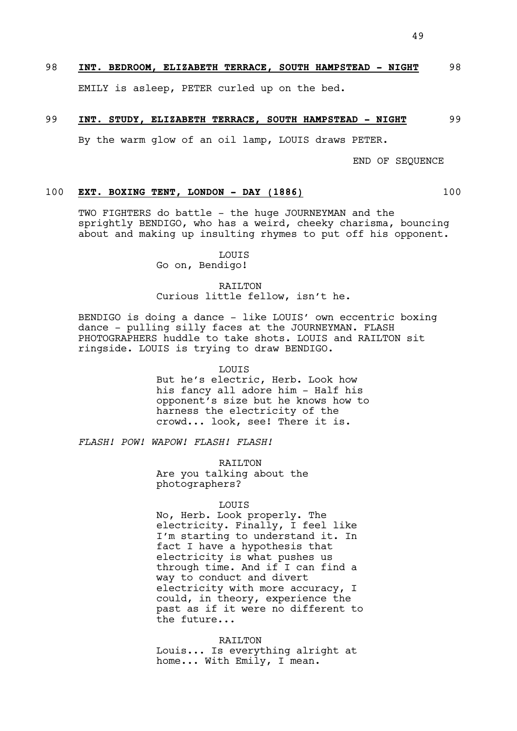# 98 **INT. BEDROOM, ELIZABETH TERRACE, SOUTH HAMPSTEAD - NIGHT** 98

EMILY is asleep, PETER curled up on the bed.

#### 99 **INT. STUDY, ELIZABETH TERRACE, SOUTH HAMPSTEAD - NIGHT** 99

By the warm glow of an oil lamp, LOUIS draws PETER.

END OF SEQUENCE

### 100 **EXT. BOXING TENT, LONDON - DAY (1886)** 100

TWO FIGHTERS do battle - the huge JOURNEYMAN and the sprightly BENDIGO, who has a weird, cheeky charisma, bouncing about and making up insulting rhymes to put off his opponent.

LOUIS

Go on, Bendigo!

# RAILTON Curious little fellow, isn't he.

BENDIGO is doing a dance - like LOUIS' own eccentric boxing dance - pulling silly faces at the JOURNEYMAN. FLASH PHOTOGRAPHERS huddle to take shots. LOUIS and RAILTON sit ringside. LOUIS is trying to draw BENDIGO.

LOUIS

But he's electric, Herb. Look how his fancy all adore him - Half his opponent's size but he knows how to harness the electricity of the crowd... look, see! There it is.

*FLASH! POW! WAPOW! FLASH! FLASH!*

RAILTON Are you talking about the photographers?

### LOUIS

No, Herb. Look properly. The electricity. Finally, I feel like I'm starting to understand it. In fact I have a hypothesis that electricity is what pushes us through time. And if I can find a way to conduct and divert electricity with more accuracy, I could, in theory, experience the past as if it were no different to the future...

RAILTON Louis... Is everything alright at home... With Emily, I mean.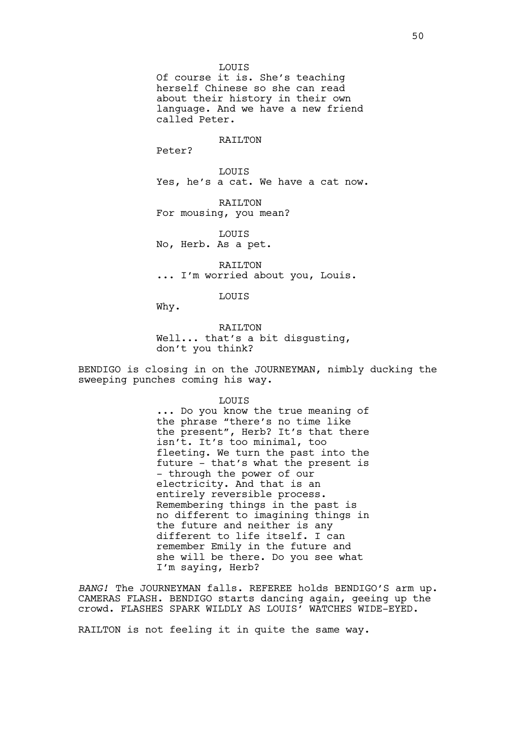LOUIS Of course it is. She's teaching herself Chinese so she can read about their history in their own language. And we have a new friend called Peter.

#### RATI<sub>J</sub>TON

Peter?

LOUIS Yes, he's a cat. We have a cat now.

RAILTON For mousing, you mean?

LOUIS No, Herb. As a pet.

RAILTON ... I'm worried about you, Louis.

LOUIS

Why.

RAILTON Well... that's a bit disqusting, don't you think?

BENDIGO is closing in on the JOURNEYMAN, nimbly ducking the sweeping punches coming his way.

> LOUIS ... Do you know the true meaning of the phrase "there's no time like the present", Herb? It's that there isn't. It's too minimal, too fleeting. We turn the past into the future - that's what the present is - through the power of our electricity. And that is an entirely reversible process. Remembering things in the past is no different to imagining things in the future and neither is any different to life itself. I can remember Emily in the future and she will be there. Do you see what I'm saying, Herb?

*BANG!* The JOURNEYMAN falls. REFEREE holds BENDIGO'S arm up. CAMERAS FLASH. BENDIGO starts dancing again, geeing up the crowd. FLASHES SPARK WILDLY AS LOUIS' WATCHES WIDE-EYED.

RAILTON is not feeling it in quite the same way.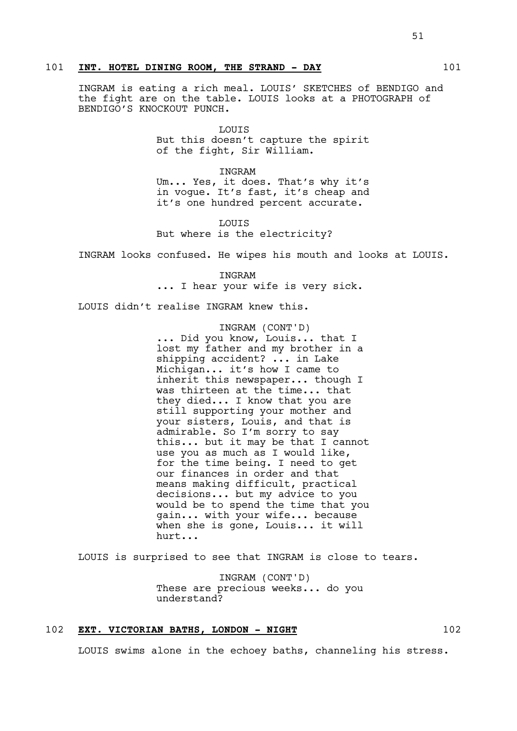# 101 **INT. HOTEL DINING ROOM, THE STRAND - DAY** 101

INGRAM is eating a rich meal. LOUIS' SKETCHES of BENDIGO and the fight are on the table. LOUIS looks at a PHOTOGRAPH of BENDIGO'S KNOCKOUT PUNCH.

> LOUIS But this doesn't capture the spirit of the fight, Sir William.

> INGRAM Um... Yes, it does. That's why it's in vogue. It's fast, it's cheap and it's one hundred percent accurate.

LOUIS But where is the electricity?

INGRAM looks confused. He wipes his mouth and looks at LOUIS.

INGRAM ... I hear your wife is very sick.

LOUIS didn't realise INGRAM knew this.

INGRAM (CONT'D) ... Did you know, Louis... that I lost my father and my brother in a shipping accident? ... in Lake Michigan... it's how I came to inherit this newspaper... though I was thirteen at the time... that they died... I know that you are still supporting your mother and your sisters, Louis, and that is admirable. So I'm sorry to say this... but it may be that I cannot use you as much as I would like, for the time being. I need to get our finances in order and that means making difficult, practical decisions... but my advice to you would be to spend the time that you gain... with your wife... because when she is gone, Louis... it will hurt...

LOUIS is surprised to see that INGRAM is close to tears.

INGRAM (CONT'D) These are precious weeks... do you understand?

# 102 **EXT. VICTORIAN BATHS, LONDON - NIGHT** 102

LOUIS swims alone in the echoey baths, channeling his stress.

# 51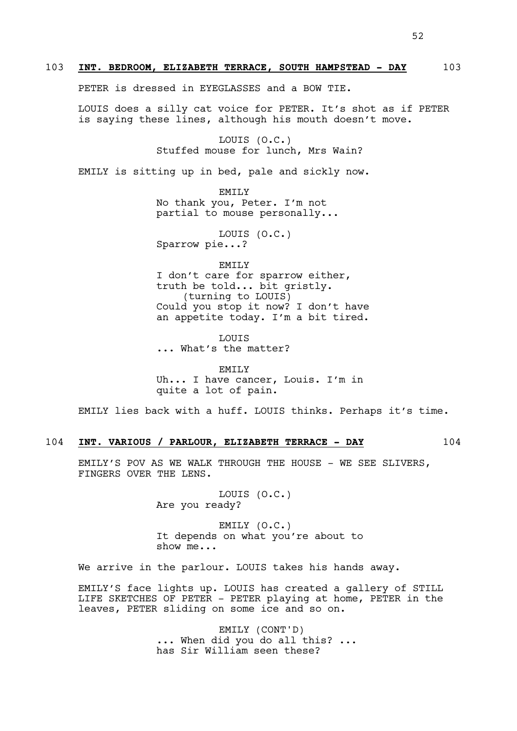PETER is dressed in EYEGLASSES and a BOW TIE.

LOUIS does a silly cat voice for PETER. It's shot as if PETER is saying these lines, although his mouth doesn't move.

103 **INT. BEDROOM, ELIZABETH TERRACE, SOUTH HAMPSTEAD - DAY** 103

LOUIS (O.C.) Stuffed mouse for lunch, Mrs Wain?

EMILY is sitting up in bed, pale and sickly now.

EMILY No thank you, Peter. I'm not partial to mouse personally...

LOUIS (O.C.) Sparrow pie...?

EMILY I don't care for sparrow either, truth be told... bit gristly. (turning to LOUIS) Could you stop it now? I don't have an appetite today. I'm a bit tired.

LOUIS ... What's the matter?

EMTT.Y Uh... I have cancer, Louis. I'm in quite a lot of pain.

EMILY lies back with a huff. LOUIS thinks. Perhaps it's time.

# 104 **INT. VARIOUS / PARLOUR, ELIZABETH TERRACE - DAY** 104

EMILY'S POV AS WE WALK THROUGH THE HOUSE - WE SEE SLIVERS, FINGERS OVER THE LENS.

> LOUIS (O.C.) Are you ready?

EMILY (O.C.) It depends on what you're about to show me...

We arrive in the parlour. LOUIS takes his hands away.

EMILY'S face lights up. LOUIS has created a gallery of STILL LIFE SKETCHES OF PETER - PETER playing at home, PETER in the leaves, PETER sliding on some ice and so on.

> EMILY (CONT'D) ... When did you do all this? ... has Sir William seen these?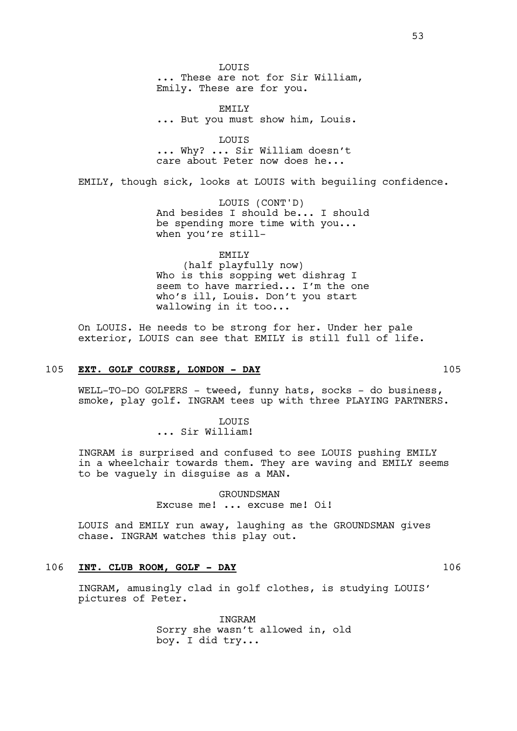LOUIS ... These are not for Sir William, Emily. These are for you.

EMILY ... But you must show him, Louis.

LOUIS ... Why? ... Sir William doesn't care about Peter now does he...

EMILY, though sick, looks at LOUIS with beguiling confidence.

LOUIS (CONT'D) And besides I should be... I should be spending more time with you... when you're still-

EMILY

(half playfully now) Who is this sopping wet dishrag I seem to have married... I'm the one who's ill, Louis. Don't you start wallowing in it too...

On LOUIS. He needs to be strong for her. Under her pale exterior, LOUIS can see that EMILY is still full of life.

# 105 **EXT. GOLF COURSE, LONDON - DAY** 105

WELL-TO-DO GOLFERS - tweed, funny hats, socks - do business, smoke, play golf. INGRAM tees up with three PLAYING PARTNERS.

> LOUIS ... Sir William!

INGRAM is surprised and confused to see LOUIS pushing EMILY in a wheelchair towards them. They are waving and EMILY seems to be vaguely in disguise as a MAN.

> GROUNDSMAN Excuse me! ... excuse me! Oi!

LOUIS and EMILY run away, laughing as the GROUNDSMAN gives chase. INGRAM watches this play out.

# 106 **INT. CLUB ROOM, GOLF - DAY** 106

INGRAM, amusingly clad in golf clothes, is studying LOUIS' pictures of Peter.

> INGRAM Sorry she wasn't allowed in, old boy. I did try...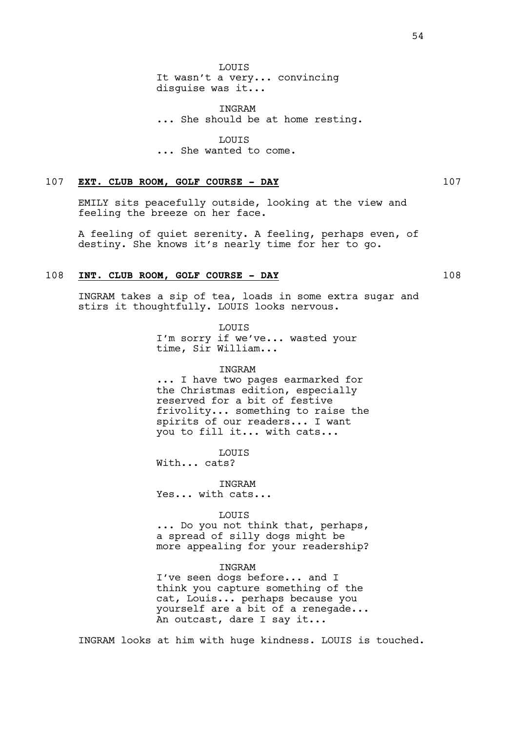INGRAM ... She should be at home resting.

**LOUTS** ... She wanted to come.

# 107 **EXT. CLUB ROOM, GOLF COURSE - DAY** 107

EMILY sits peacefully outside, looking at the view and feeling the breeze on her face.

A feeling of quiet serenity. A feeling, perhaps even, of destiny. She knows it's nearly time for her to go.

# 108 INT. CLUB ROOM, GOLF COURSE - DAY 108

INGRAM takes a sip of tea, loads in some extra sugar and stirs it thoughtfully. LOUIS looks nervous.

> LOUIS I'm sorry if we've... wasted your time, Sir William...

#### INGRAM

... I have two pages earmarked for the Christmas edition, especially reserved for a bit of festive frivolity... something to raise the spirits of our readers... I want you to fill it... with cats...

LOUIS

With... cats?

INGRAM Yes... with cats...

#### LOUIS

... Do you not think that, perhaps, a spread of silly dogs might be more appealing for your readership?

### INGRAM

I've seen dogs before... and I think you capture something of the cat, Louis... perhaps because you yourself are a bit of a renegade... An outcast, dare I say it...

INGRAM looks at him with huge kindness. LOUIS is touched.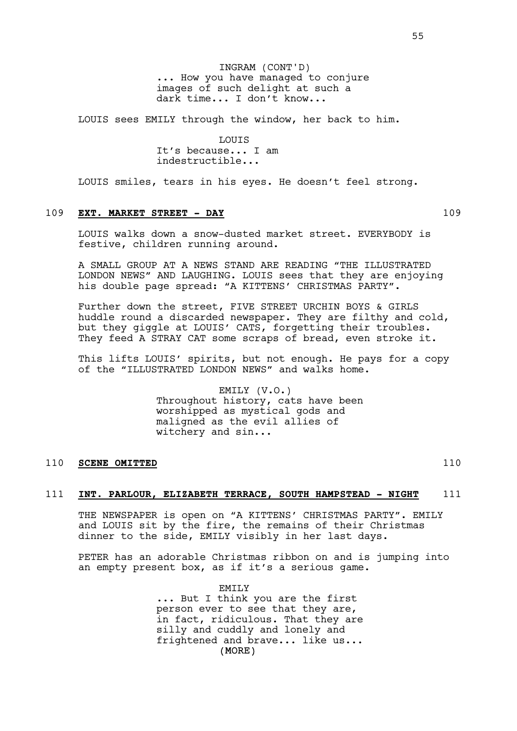INGRAM (CONT'D) ... How you have managed to conjure images of such delight at such a dark time... I don't know...

LOUIS sees EMILY through the window, her back to him.

**LOUTS** It's because... I am indestructible...

LOUIS smiles, tears in his eyes. He doesn't feel strong.

# 109 **EXT. MARKET STREET - DAY** 109

LOUIS walks down a snow-dusted market street. EVERYBODY is festive, children running around.

A SMALL GROUP AT A NEWS STAND ARE READING "THE ILLUSTRATED LONDON NEWS" AND LAUGHING. LOUIS sees that they are enjoying his double page spread: "A KITTENS' CHRISTMAS PARTY".

Further down the street, FIVE STREET URCHIN BOYS & GIRLS huddle round a discarded newspaper. They are filthy and cold, but they giggle at LOUIS' CATS, forgetting their troubles. They feed A STRAY CAT some scraps of bread, even stroke it.

This lifts LOUIS' spirits, but not enough. He pays for a copy of the "ILLUSTRATED LONDON NEWS" and walks home.

> EMILY (V.O.) Throughout history, cats have been worshipped as mystical gods and maligned as the evil allies of witchery and sin...

### 110 **SCENE OMITTED** 110

#### 111 **INT. PARLOUR, ELIZABETH TERRACE, SOUTH HAMPSTEAD - NIGHT** 111

THE NEWSPAPER is open on "A KITTENS' CHRISTMAS PARTY". EMILY and LOUIS sit by the fire, the remains of their Christmas dinner to the side, EMILY visibly in her last days.

PETER has an adorable Christmas ribbon on and is jumping into an empty present box, as if it's a serious game.

> (MORE) EMTT<sub>.</sub>Y ... But I think you are the first person ever to see that they are, in fact, ridiculous. That they are silly and cuddly and lonely and frightened and brave... like us...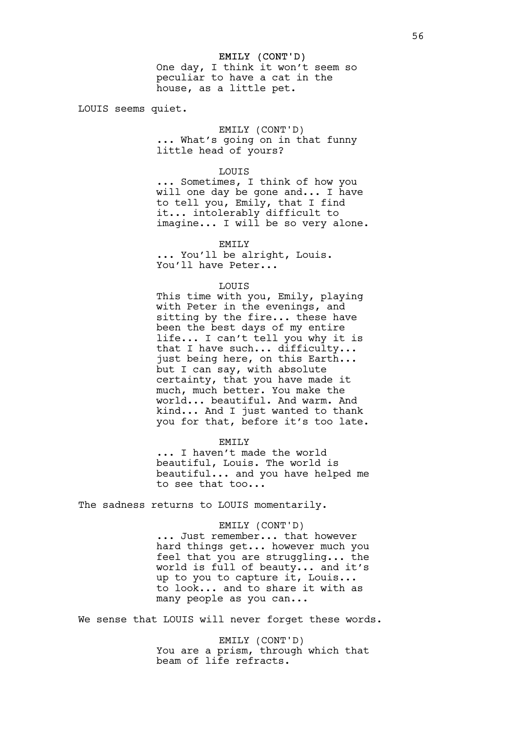LOUIS seems quiet.

#### EMILY (CONT'D)

... What's going on in that funny little head of yours?

#### LOUIS

house, as a little pet.

... Sometimes, I think of how you will one day be gone and... I have to tell you, Emily, that I find it... intolerably difficult to imagine... I will be so very alone.

#### EMILY

... You'll be alright, Louis. You'll have Peter...

#### LOUIS

This time with you, Emily, playing with Peter in the evenings, and sitting by the fire... these have been the best days of my entire life... I can't tell you why it is that I have such... difficulty... just being here, on this Earth... but I can say, with absolute certainty, that you have made it much, much better. You make the world... beautiful. And warm. And kind... And I just wanted to thank you for that, before it's too late.

#### EMILY

... I haven't made the world beautiful, Louis. The world is beautiful... and you have helped me to see that too...

The sadness returns to LOUIS momentarily.

### EMILY (CONT'D)

... Just remember... that however hard things get... however much you feel that you are struggling... the world is full of beauty... and it's up to you to capture it, Louis... to look... and to share it with as many people as you can...

We sense that LOUIS will never forget these words.

EMILY (CONT'D) You are a prism, through which that beam of life refracts.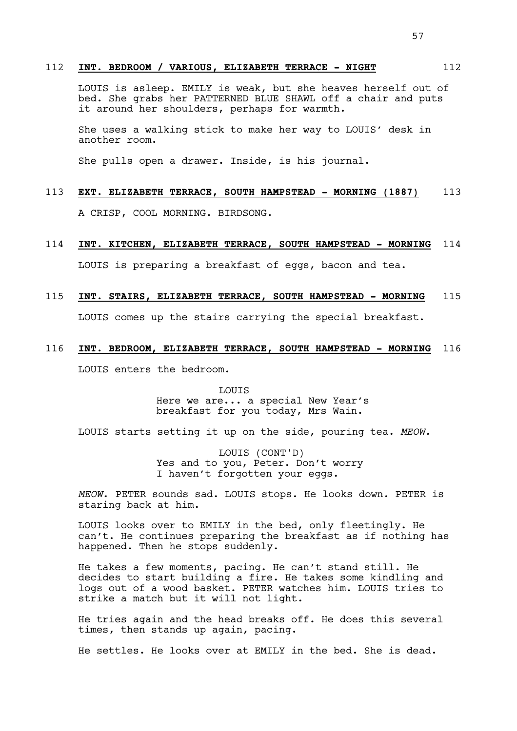# 112 **INT. BEDROOM / VARIOUS, ELIZABETH TERRACE - NIGHT** 112

LOUIS is asleep. EMILY is weak, but she heaves herself out of bed. She grabs her PATTERNED BLUE SHAWL off a chair and puts it around her shoulders, perhaps for warmth.

She uses a walking stick to make her way to LOUIS' desk in another room.

She pulls open a drawer. Inside, is his journal.

### 113 **EXT. ELIZABETH TERRACE, SOUTH HAMPSTEAD - MORNING (1887)** 113

A CRISP, COOL MORNING. BIRDSONG.

# 114 **INT. KITCHEN, ELIZABETH TERRACE, SOUTH HAMPSTEAD - MORNING** 114

LOUIS is preparing a breakfast of eggs, bacon and tea.

# 115 **INT. STAIRS, ELIZABETH TERRACE, SOUTH HAMPSTEAD - MORNING** 115

LOUIS comes up the stairs carrying the special breakfast.

### 116 **INT. BEDROOM, ELIZABETH TERRACE, SOUTH HAMPSTEAD - MORNING** 116

LOUIS enters the bedroom.

LOUIS Here we are... a special New Year's breakfast for you today, Mrs Wain.

LOUIS starts setting it up on the side, pouring tea. *MEOW.*

LOUIS (CONT'D) Yes and to you, Peter. Don't worry I haven't forgotten your eggs.

*MEOW.* PETER sounds sad. LOUIS stops. He looks down. PETER is staring back at him.

LOUIS looks over to EMILY in the bed, only fleetingly. He can't. He continues preparing the breakfast as if nothing has happened. Then he stops suddenly.

He takes a few moments, pacing. He can't stand still. He decides to start building a fire. He takes some kindling and logs out of a wood basket. PETER watches him. LOUIS tries to strike a match but it will not light.

He tries again and the head breaks off. He does this several times, then stands up again, pacing.

He settles. He looks over at EMILY in the bed. She is dead.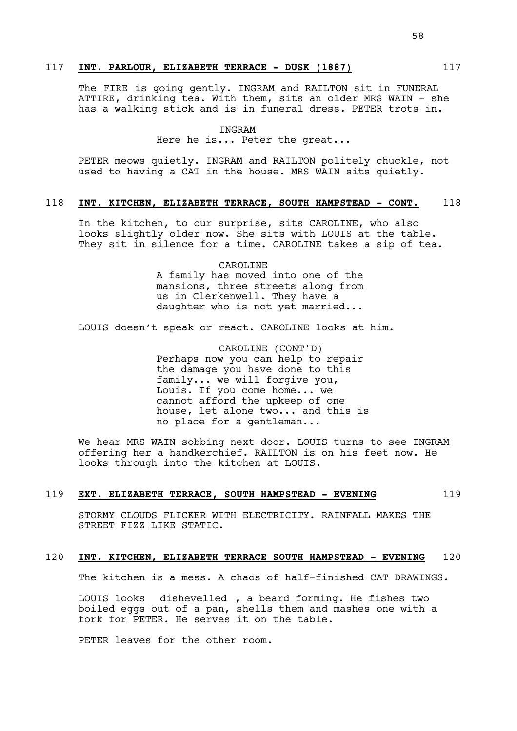The FIRE is going gently. INGRAM and RAILTON sit in FUNERAL ATTIRE, drinking tea. With them, sits an older MRS WAIN - she has a walking stick and is in funeral dress. PETER trots in.

### INGRAM

Here he is... Peter the great...

PETER meows quietly. INGRAM and RAILTON politely chuckle, not used to having a CAT in the house. MRS WAIN sits quietly.

#### 118 **INT. KITCHEN, ELIZABETH TERRACE, SOUTH HAMPSTEAD - CONT.** 118

In the kitchen, to our surprise, sits CAROLINE, who also looks slightly older now. She sits with LOUIS at the table. They sit in silence for a time. CAROLINE takes a sip of tea.

> CAROLINE A family has moved into one of the mansions, three streets along from us in Clerkenwell. They have a daughter who is not yet married...

LOUIS doesn't speak or react. CAROLINE looks at him.

CAROLINE (CONT'D) Perhaps now you can help to repair the damage you have done to this family... we will forgive you, Louis. If you come home... we cannot afford the upkeep of one house, let alone two... and this is no place for a gentleman...

We hear MRS WAIN sobbing next door. LOUIS turns to see INGRAM offering her a handkerchief. RAILTON is on his feet now. He looks through into the kitchen at LOUIS.

# 119 **EXT. ELIZABETH TERRACE, SOUTH HAMPSTEAD - EVENING** 119

STORMY CLOUDS FLICKER WITH ELECTRICITY. RAINFALL MAKES THE STREET FIZZ LIKE STATIC.

# 120 **INT. KITCHEN, ELIZABETH TERRACE SOUTH HAMPSTEAD - EVENING** 120

The kitchen is a mess. A chaos of half-finished CAT DRAWINGS.

LOUIS looks dishevelled , a beard forming. He fishes two boiled eggs out of a pan, shells them and mashes one with a fork for PETER. He serves it on the table.

PETER leaves for the other room.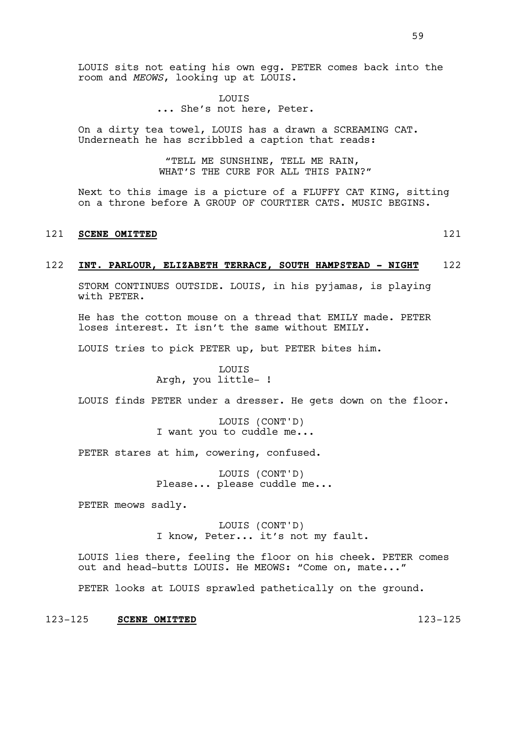LOUIS sits not eating his own egg. PETER comes back into the room and *MEOWS*, looking up at LOUIS.

> LOUIS ... She's not here, Peter.

On a dirty tea towel, LOUIS has a drawn a SCREAMING CAT. Underneath he has scribbled a caption that reads:

> "TELL ME SUNSHINE, TELL ME RAIN, WHAT'S THE CURE FOR ALL THIS PAIN?"

Next to this image is a picture of a FLUFFY CAT KING, sitting on a throne before A GROUP OF COURTIER CATS. MUSIC BEGINS.

# 121 **SCENE OMITTED** 121

### 122 **INT. PARLOUR, ELIZABETH TERRACE, SOUTH HAMPSTEAD - NIGHT** 122

STORM CONTINUES OUTSIDE. LOUIS, in his pyjamas, is playing with PETER.

He has the cotton mouse on a thread that EMILY made. PETER loses interest. It isn't the same without EMILY.

LOUIS tries to pick PETER up, but PETER bites him.

LOUIS Argh, you little- !

LOUIS finds PETER under a dresser. He gets down on the floor.

LOUIS (CONT'D) I want you to cuddle me...

PETER stares at him, cowering, confused.

LOUIS (CONT'D) Please... please cuddle me...

PETER meows sadly.

LOUIS (CONT'D) I know, Peter... it's not my fault.

LOUIS lies there, feeling the floor on his cheek. PETER comes out and head-butts LOUIS. He MEOWS: "Come on, mate..."

PETER looks at LOUIS sprawled pathetically on the ground.

123-125 **SCENE OMITTED** 123-125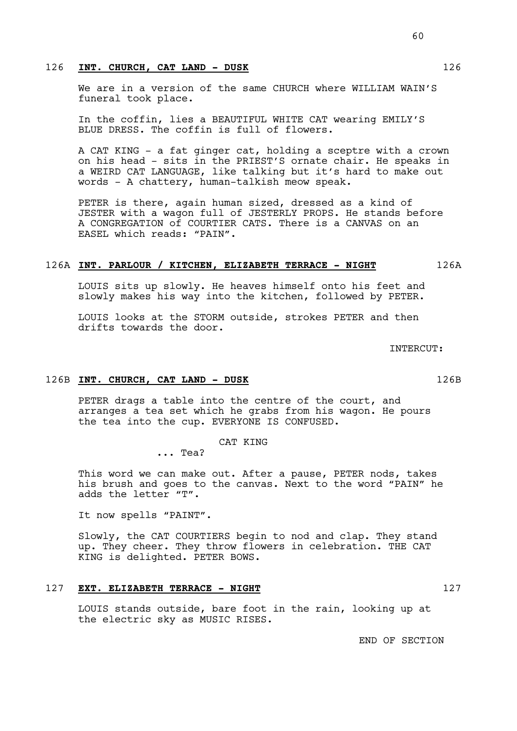# 126 INT. CHURCH, CAT LAND - DUSK 126

We are in a version of the same CHURCH where WILLIAM WAIN'S funeral took place.

In the coffin, lies a BEAUTIFUL WHITE CAT wearing EMILY'S BLUE DRESS. The coffin is full of flowers.

A CAT KING - a fat ginger cat, holding a sceptre with a crown on his head - sits in the PRIEST'S ornate chair. He speaks in a WEIRD CAT LANGUAGE, like talking but it's hard to make out words - A chattery, human-talkish meow speak.

PETER is there, again human sized, dressed as a kind of JESTER with a wagon full of JESTERLY PROPS. He stands before A CONGREGATION of COURTIER CATS. There is a CANVAS on an EASEL which reads: "PAIN".

#### 126A **INT. PARLOUR / KITCHEN, ELIZABETH TERRACE - NIGHT** 126A

LOUIS sits up slowly. He heaves himself onto his feet and slowly makes his way into the kitchen, followed by PETER.

LOUIS looks at the STORM outside, strokes PETER and then drifts towards the door.

126B **INT. CHURCH, CAT LAND - DUSK** 126B

PETER drags a table into the centre of the court, and arranges a tea set which he grabs from his wagon. He pours the tea into the cup. EVERYONE IS CONFUSED.

CAT KING

... Tea?

This word we can make out. After a pause, PETER nods, takes his brush and goes to the canvas. Next to the word "PAIN" he adds the letter "T".

It now spells "PAINT".

Slowly, the CAT COURTIERS begin to nod and clap. They stand up. They cheer. They throw flowers in celebration. THE CAT KING is delighted. PETER BOWS.

# 127 **EXT. ELIZABETH TERRACE - NIGHT** 127

LOUIS stands outside, bare foot in the rain, looking up at the electric sky as MUSIC RISES.

END OF SECTION

INTERCUT: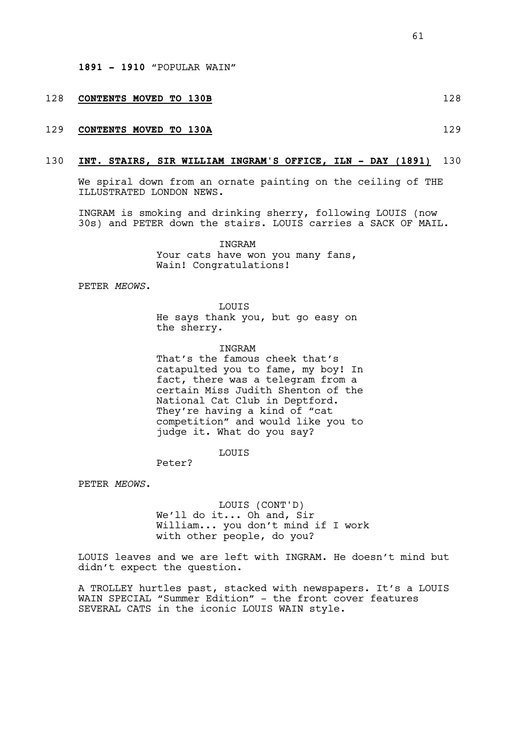#### 128 **CONTENTS MOVED TO 130B** 128

# 129 **CONTENTS MOVED TO 130A** 129

#### 130 **INT. STAIRS, SIR WILLIAM INGRAM'S OFFICE, ILN - DAY (1891)** 130

We spiral down from an ornate painting on the ceiling of THE ILLUSTRATED LONDON NEWS.

INGRAM is smoking and drinking sherry, following LOUIS (now 30s) and PETER down the stairs. LOUIS carries a SACK OF MAIL.

> **TNGRAM** Your cats have won you many fans, Wain! Congratulations!

PETER *MEOWS*.

LOUIS He says thank you, but go easy on the sherry.

**TNGRAM** 

That's the famous cheek that's catapulted you to fame, my boy! In fact, there was a telegram from a certain Miss Judith Shenton of the National Cat Club in Deptford. They're having a kind of "cat competition" and would like you to judge it. What do you say?

LOUIS

Peter?

PETER *MEOWS*.

LOUIS (CONT'D) We'll do it... Oh and, Sir William... you don't mind if I work with other people, do you?

LOUIS leaves and we are left with INGRAM. He doesn't mind but didn't expect the question.

A TROLLEY hurtles past, stacked with newspapers. It's a LOUIS WAIN SPECIAL "Summer Edition" - the front cover features SEVERAL CATS in the iconic LOUIS WAIN style.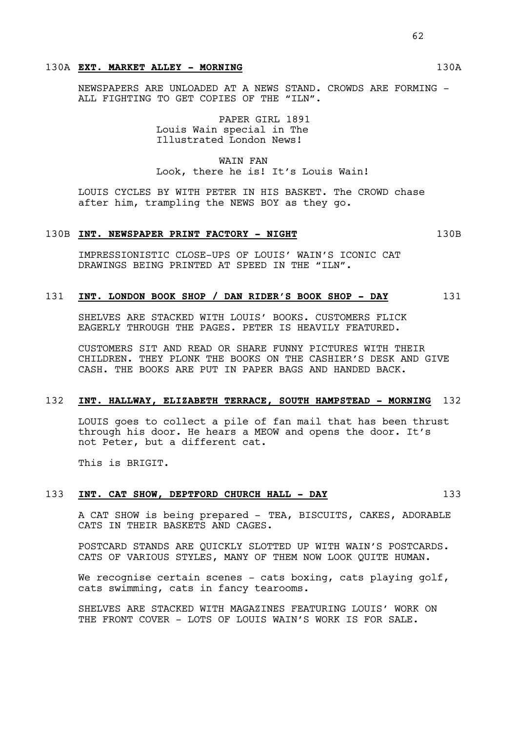# 130A **EXT. MARKET ALLEY - MORNING** 130A

NEWSPAPERS ARE UNLOADED AT A NEWS STAND. CROWDS ARE FORMING - ALL FIGHTING TO GET COPIES OF THE "ILN".

> PAPER GIRL 1891 Louis Wain special in The Illustrated London News!

WAIN FAN Look, there he is! It's Louis Wain!

LOUIS CYCLES BY WITH PETER IN HIS BASKET. The CROWD chase after him, trampling the NEWS BOY as they go.

### 130B **INT. NEWSPAPER PRINT FACTORY - NIGHT** 130B

IMPRESSIONISTIC CLOSE-UPS OF LOUIS' WAIN'S ICONIC CAT DRAWINGS BEING PRINTED AT SPEED IN THE "ILN".

# 131 **INT. LONDON BOOK SHOP / DAN RIDER'S BOOK SHOP - DAY** 131

SHELVES ARE STACKED WITH LOUIS' BOOKS. CUSTOMERS FLICK EAGERLY THROUGH THE PAGES. PETER IS HEAVILY FEATURED.

CUSTOMERS SIT AND READ OR SHARE FUNNY PICTURES WITH THEIR CHILDREN. THEY PLONK THE BOOKS ON THE CASHIER'S DESK AND GIVE CASH. THE BOOKS ARE PUT IN PAPER BAGS AND HANDED BACK.

# 132 **INT. HALLWAY, ELIZABETH TERRACE, SOUTH HAMPSTEAD - MORNING** 132

LOUIS goes to collect a pile of fan mail that has been thrust through his door. He hears a MEOW and opens the door. It's not Peter, but a different cat.

This is BRIGIT.

# 133 INT. CAT SHOW, DEPTFORD CHURCH HALL - DAY 133

A CAT SHOW is being prepared - TEA, BISCUITS, CAKES, ADORABLE CATS IN THEIR BASKETS AND CAGES.

POSTCARD STANDS ARE QUICKLY SLOTTED UP WITH WAIN'S POSTCARDS. CATS OF VARIOUS STYLES, MANY OF THEM NOW LOOK QUITE HUMAN.

We recognise certain scenes  $-$  cats boxing, cats playing golf, cats swimming, cats in fancy tearooms.

SHELVES ARE STACKED WITH MAGAZINES FEATURING LOUIS' WORK ON THE FRONT COVER - LOTS OF LOUIS WAIN'S WORK IS FOR SALE.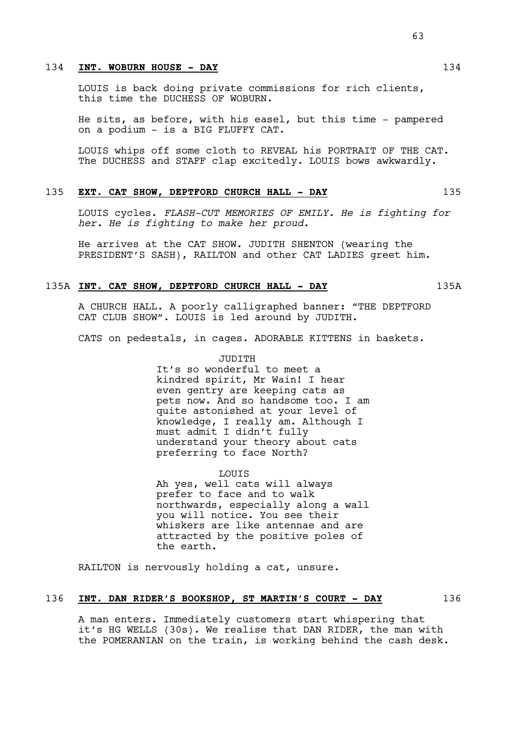# 134 **INT. WOBURN HOUSE - DAY** 134

LOUIS is back doing private commissions for rich clients, this time the DUCHESS OF WOBURN.

He sits, as before, with his easel, but this time - pampered on a podium - is a BIG FLUFFY CAT.

LOUIS whips off some cloth to REVEAL his PORTRAIT OF THE CAT. The DUCHESS and STAFF clap excitedly. LOUIS bows awkwardly.

#### 135 **EXT. CAT SHOW, DEPTFORD CHURCH HALL - DAY** 135

LOUIS cycles. *FLASH-CUT MEMORIES OF EMILY. He is fighting for her. He is fighting to make her proud.*

He arrives at the CAT SHOW. JUDITH SHENTON (wearing the PRESIDENT'S SASH), RAILTON and other CAT LADIES greet him.

# 135A **INT. CAT SHOW, DEPTFORD CHURCH HALL - DAY** 135A

A CHURCH HALL. A poorly calligraphed banner: "THE DEPTFORD CAT CLUB SHOW". LOUIS is led around by JUDITH.

CATS on pedestals, in cages. ADORABLE KITTENS in baskets.

JUDITH It's so wonderful to meet a kindred spirit, Mr Wain! I hear even gentry are keeping cats as pets now. And so handsome too. I am quite astonished at your level of knowledge, I really am. Although I must admit I didn't fully understand your theory about cats preferring to face North?

LOUIS Ah yes, well cats will always prefer to face and to walk northwards, especially along a wall you will notice. You see their whiskers are like antennae and are attracted by the positive poles of the earth.

RAILTON is nervously holding a cat, unsure.

# 136 **INT. DAN RIDER'S BOOKSHOP, ST MARTIN'S COURT - DAY** 136

A man enters. Immediately customers start whispering that it's HG WELLS (30s). We realise that DAN RIDER, the man with the POMERANIAN on the train, is working behind the cash desk.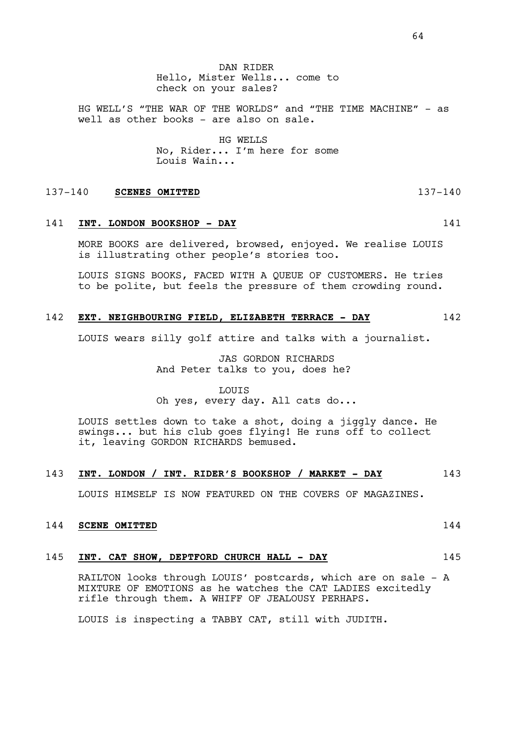HG WELL'S "THE WAR OF THE WORLDS" and "THE TIME MACHINE" - as well as other books - are also on sale.

> HG WELLS No, Rider... I'm here for some Louis Wain...

#### 137-140 **SCENES OMITTED** 137-140

# 141 **INT. LONDON BOOKSHOP - DAY** 141

MORE BOOKS are delivered, browsed, enjoyed. We realise LOUIS is illustrating other people's stories too.

LOUIS SIGNS BOOKS, FACED WITH A QUEUE OF CUSTOMERS. He tries to be polite, but feels the pressure of them crowding round.

# 142 **EXT. NEIGHBOURING FIELD, ELIZABETH TERRACE - DAY** 142

LOUIS wears silly golf attire and talks with a journalist.

JAS GORDON RICHARDS And Peter talks to you, does he?

LOUIS Oh yes, every day. All cats do...

LOUIS settles down to take a shot, doing a jiggly dance. He swings... but his club goes flying! He runs off to collect it, leaving GORDON RICHARDS bemused.

# 143 **INT. LONDON / INT. RIDER'S BOOKSHOP / MARKET - DAY** 143

LOUIS HIMSELF IS NOW FEATURED ON THE COVERS OF MAGAZINES.

#### 144 **SCENE OMITTED** 144

### 145 **INT. CAT SHOW, DEPTFORD CHURCH HALL - DAY** 145

RAILTON looks through LOUIS' postcards, which are on sale - A MIXTURE OF EMOTIONS as he watches the CAT LADIES excitedly rifle through them. A WHIFF OF JEALOUSY PERHAPS.

LOUIS is inspecting a TABBY CAT, still with JUDITH.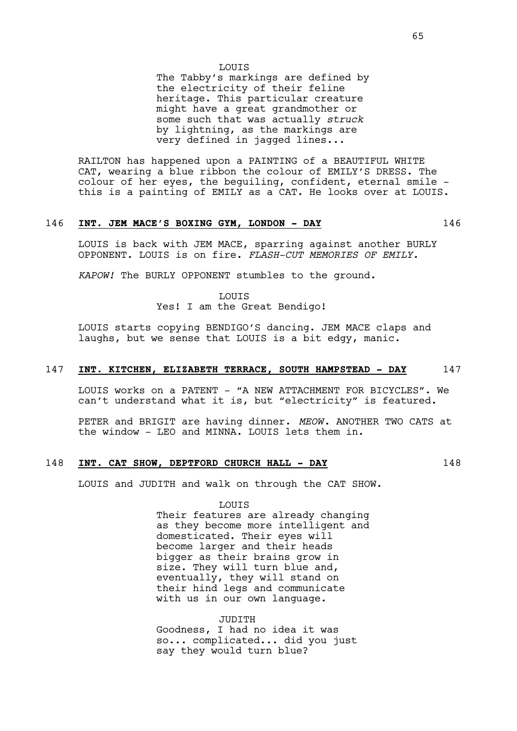#### LOUIS

The Tabby's markings are defined by the electricity of their feline heritage. This particular creature might have a great grandmother or some such that was actually *struck*  by lightning, as the markings are very defined in jagged lines...

RAILTON has happened upon a PAINTING of a BEAUTIFUL WHITE CAT, wearing a blue ribbon the colour of EMILY'S DRESS. The colour of her eyes, the beguiling, confident, eternal smile this is a painting of EMILY as a CAT. He looks over at LOUIS.

# 146 **INT. JEM MACE'S BOXING GYM, LONDON - DAY** 146

LOUIS is back with JEM MACE, sparring against another BURLY OPPONENT. LOUIS is on fire. *FLASH-CUT MEMORIES OF EMILY.*

*KAPOW!* The BURLY OPPONENT stumbles to the ground.

LOUIS

Yes! I am the Great Bendigo!

LOUIS starts copying BENDIGO'S dancing. JEM MACE claps and laughs, but we sense that LOUIS is a bit edgy, manic.

# 147 **INT. KITCHEN, ELIZABETH TERRACE, SOUTH HAMPSTEAD - DAY** 147

LOUIS works on a PATENT - "A NEW ATTACHMENT FOR BICYCLES". We can't understand what it is, but "electricity" is featured.

PETER and BRIGIT are having dinner. *MEOW*. ANOTHER TWO CATS at the window - LEO and MINNA. LOUIS lets them in.

# 148 **INT. CAT SHOW, DEPTFORD CHURCH HALL - DAY** 148

LOUIS and JUDITH and walk on through the CAT SHOW.

LOUIS

Their features are already changing as they become more intelligent and domesticated. Their eyes will become larger and their heads bigger as their brains grow in size. They will turn blue and, eventually, they will stand on their hind legs and communicate with us in our own language.

JUDITH Goodness, I had no idea it was so... complicated... did you just say they would turn blue?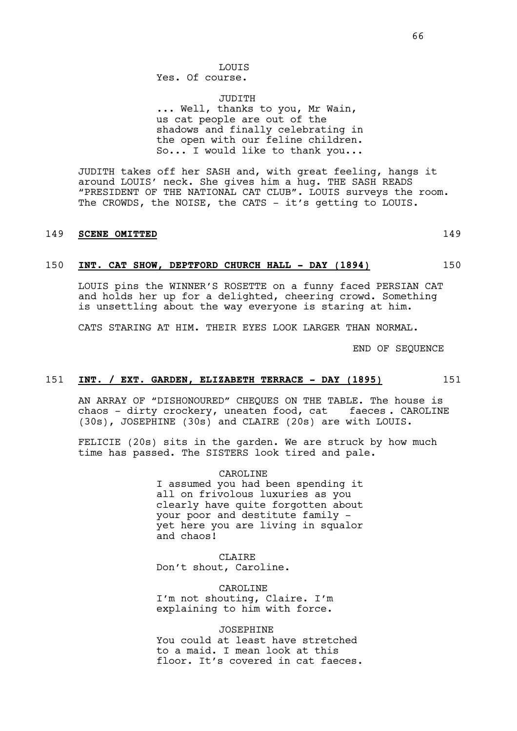LOUIS Yes. Of course.

JUDITH ... Well, thanks to you, Mr Wain, us cat people are out of the shadows and finally celebrating in the open with our feline children. So... I would like to thank you...

JUDITH takes off her SASH and, with great feeling, hangs it around LOUIS' neck. She gives him a hug. THE SASH READS "PRESIDENT OF THE NATIONAL CAT CLUB". LOUIS surveys the room. The CROWDS, the NOISE, the CATS - it's getting to LOUIS.

# 149 **SCENE OMITTED** 149

### 150 **INT. CAT SHOW, DEPTFORD CHURCH HALL - DAY (1894)** 150

LOUIS pins the WINNER'S ROSETTE on a funny faced PERSIAN CAT and holds her up for a delighted, cheering crowd. Something is unsettling about the way everyone is staring at him.

CATS STARING AT HIM. THEIR EYES LOOK LARGER THAN NORMAL.

END OF SEQUENCE

### 151 **INT. / EXT. GARDEN, ELIZABETH TERRACE - DAY (1895)** 151

AN ARRAY OF "DISHONOURED" CHEQUES ON THE TABLE. The house is chaos - dirty crockery, uneaten food, cat faeces . CAROLINE (30s), JOSEPHINE (30s) and CLAIRE (20s) are with LOUIS.

FELICIE (20s) sits in the garden. We are struck by how much time has passed. The SISTERS look tired and pale.

> CAROLINE I assumed you had been spending it all on frivolous luxuries as you clearly have quite forgotten about your poor and destitute family yet here you are living in squalor and chaos!

**CLAIRE** Don't shout, Caroline.

CAROLINE I'm not shouting, Claire. I'm explaining to him with force.

JOSEPHINE You could at least have stretched to a maid. I mean look at this floor. It's covered in cat faeces.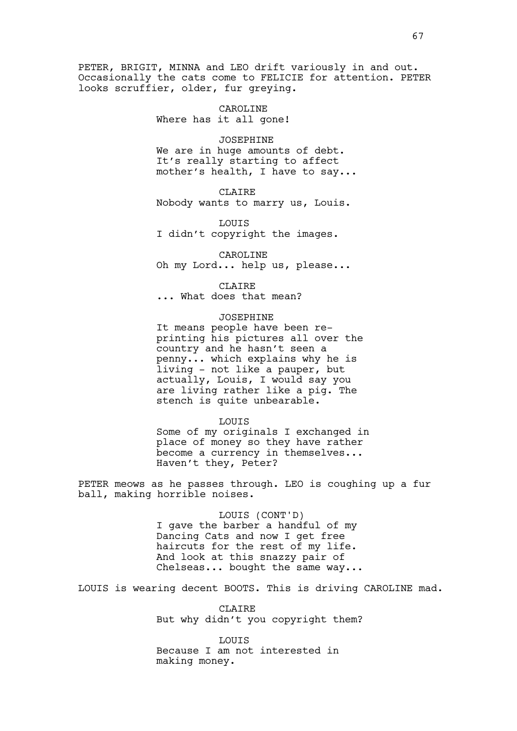PETER, BRIGIT, MINNA and LEO drift variously in and out. Occasionally the cats come to FELICIE for attention. PETER looks scruffier, older, fur greying.

> CAROLINE Where has it all gone!

> > JOSEPHINE

We are in huge amounts of debt. It's really starting to affect mother's health, I have to say...

CLAIRE

Nobody wants to marry us, Louis.

LOUIS I didn't copyright the images.

CAROLINE Oh my Lord... help us, please...

CLAIRE

... What does that mean?

# JOSEPHINE

It means people have been reprinting his pictures all over the country and he hasn't seen a penny... which explains why he is living - not like a pauper, but actually, Louis, I would say you are living rather like a pig. The stench is quite unbearable.

### LOUIS

Some of my originals I exchanged in place of money so they have rather become a currency in themselves... Haven't they, Peter?

PETER meows as he passes through. LEO is coughing up a fur ball, making horrible noises.

> LOUIS (CONT'D) I gave the barber a handful of my Dancing Cats and now I get free haircuts for the rest of my life. And look at this snazzy pair of Chelseas... bought the same way...

LOUIS is wearing decent BOOTS. This is driving CAROLINE mad.

CLAIRE But why didn't you copyright them?

**LOUTS** Because I am not interested in making money.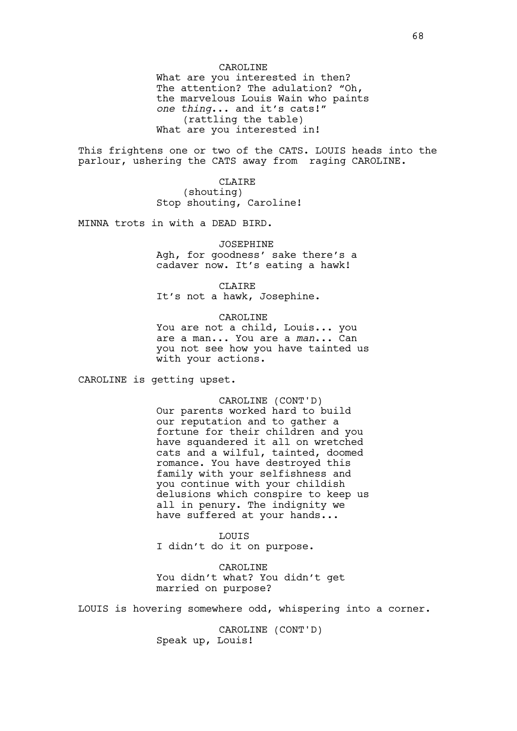What are you interested in then? The attention? The adulation? "Oh, the marvelous Louis Wain who paints *one thing*... and it's cats!" (rattling the table) What are you interested in!

This frightens one or two of the CATS. LOUIS heads into the parlour, ushering the CATS away from raging CAROLINE.

> CLAIRE (shouting) Stop shouting, Caroline!

MINNA trots in with a DEAD BIRD.

# JOSEPHINE

Agh, for goodness' sake there's a cadaver now. It's eating a hawk!

#### CLAIRE

It's not a hawk, Josephine.

### CAROLINE

You are not a child, Louis... you are a man... You are a *man*... Can you not see how you have tainted us with your actions.

CAROLINE is getting upset.

CAROLINE (CONT'D) Our parents worked hard to build our reputation and to gather a fortune for their children and you have squandered it all on wretched cats and a wilful, tainted, doomed romance. You have destroyed this family with your selfishness and you continue with your childish delusions which conspire to keep us all in penury. The indignity we have suffered at your hands...

LOUIS I didn't do it on purpose.

CAROLINE You didn't what? You didn't get married on purpose?

LOUIS is hovering somewhere odd, whispering into a corner.

CAROLINE (CONT'D) Speak up, Louis!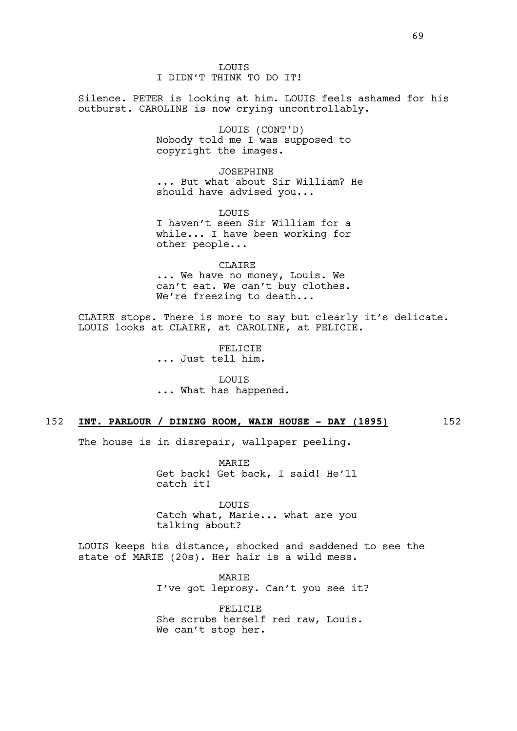LOUIS I DIDN'T THINK TO DO IT!

Silence. PETER is looking at him. LOUIS feels ashamed for his outburst. CAROLINE is now crying uncontrollably.

> LOUIS (CONT'D) Nobody told me I was supposed to copyright the images.

JOSEPHINE ... But what about Sir William? He should have advised you...

LOUIS I haven't seen Sir William for a while... I have been working for other people...

CLAIRE ... We have no money, Louis. We can't eat. We can't buy clothes. We're freezing to death...

CLAIRE stops. There is more to say but clearly it's delicate. LOUIS looks at CLAIRE, at CAROLINE, at FELICIE.

> FELICIE ... Just tell him.

LOUIS ... What has happened.

# 152 **INT. PARLOUR / DINING ROOM, WAIN HOUSE - DAY (1895)** 152

The house is in disrepair, wallpaper peeling.

MARIE Get back! Get back, I said! He'll catch it!

LOUIS Catch what, Marie... what are you talking about?

LOUIS keeps his distance, shocked and saddened to see the state of MARIE (20s). Her hair is a wild mess.

> **MARTE** I've got leprosy. Can't you see it?

FELICIE She scrubs herself red raw, Louis. We can't stop her.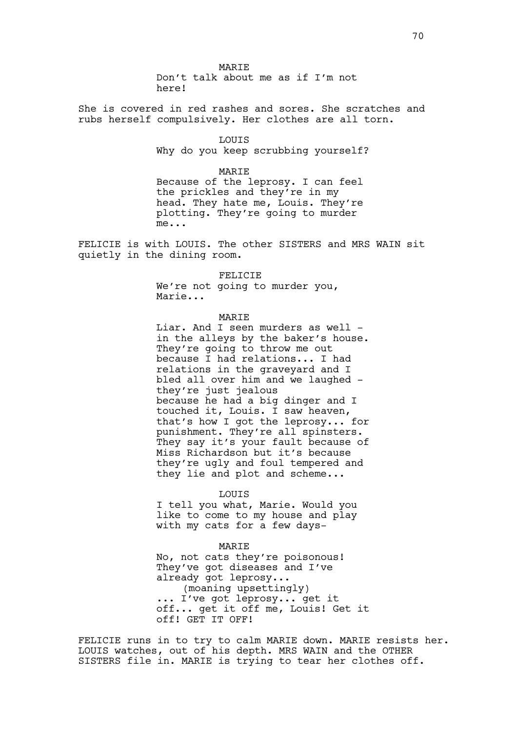MARIE Don't talk about me as if I'm not here!

She is covered in red rashes and sores. She scratches and rubs herself compulsively. Her clothes are all torn.

> **LOUTS** Why do you keep scrubbing yourself?

MARIE Because of the leprosy. I can feel the prickles and they're in my head. They hate me, Louis. They're plotting. They're going to murder me...

FELICIE is with LOUIS. The other SISTERS and MRS WAIN sit quietly in the dining room.

> FELICIE We're not going to murder you, Marie...

#### MARIE

Liar. And I seen murders as well in the alleys by the baker's house. They're going to throw me out because I had relations... I had relations in the graveyard and I bled all over him and we laughed they're just jealous because he had a big dinger and I touched it, Louis. I saw heaven, that's how I got the leprosy... for punishment. They're all spinsters. They say it's your fault because of Miss Richardson but it's because they're ugly and foul tempered and they lie and plot and scheme...

#### LOUIS

I tell you what, Marie. Would you like to come to my house and play with my cats for a few days-

#### MARIE

No, not cats they're poisonous! They've got diseases and I've already got leprosy... (moaning upsettingly) ... I've got leprosy... get it off... get it off me, Louis! Get it off! GET IT OFF!

FELICIE runs in to try to calm MARIE down. MARIE resists her. LOUIS watches, out of his depth. MRS WAIN and the OTHER SISTERS file in. MARIE is trying to tear her clothes off.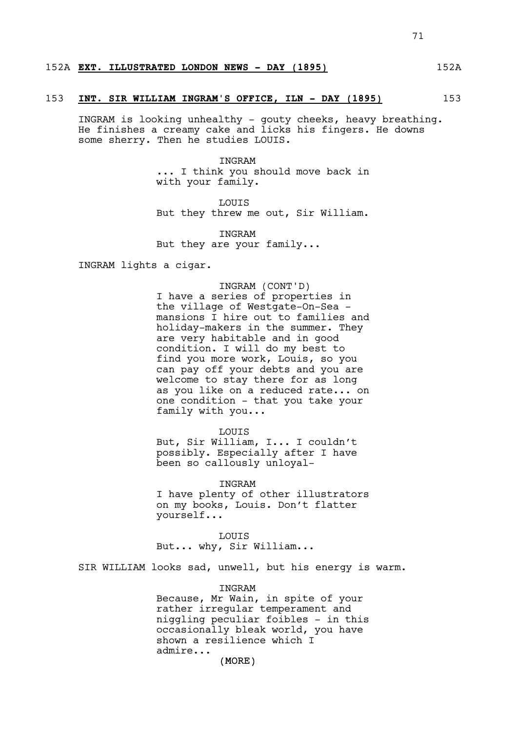# 152A **EXT. ILLUSTRATED LONDON NEWS - DAY (1895)** 152A

#### 153 **INT. SIR WILLIAM INGRAM'S OFFICE, ILN - DAY (1895)** 153

INGRAM is looking unhealthy - gouty cheeks, heavy breathing. He finishes a creamy cake and licks his fingers. He downs some sherry. Then he studies LOUIS.

> INGRAM ... I think you should move back in with your family.

> LOUIS But they threw me out, Sir William.

INGRAM But they are your family...

INGRAM lights a cigar.

#### INGRAM (CONT'D)

I have a series of properties in the village of Westgate-On-Sea mansions I hire out to families and holiday-makers in the summer. They are very habitable and in good condition. I will do my best to find you more work, Louis, so you can pay off your debts and you are welcome to stay there for as long as you like on a reduced rate... on one condition - that you take your family with you...

LOUIS

But, Sir William, I... I couldn't possibly. Especially after I have been so callously unloyal-

INGRAM I have plenty of other illustrators on my books, Louis. Don't flatter yourself...

LOUIS But... why, Sir William...

SIR WILLIAM looks sad, unwell, but his energy is warm.

### **TNGRAM**

Because, Mr Wain, in spite of your rather irregular temperament and niggling peculiar foibles - in this occasionally bleak world, you have shown a resilience which I admire...

(MORE)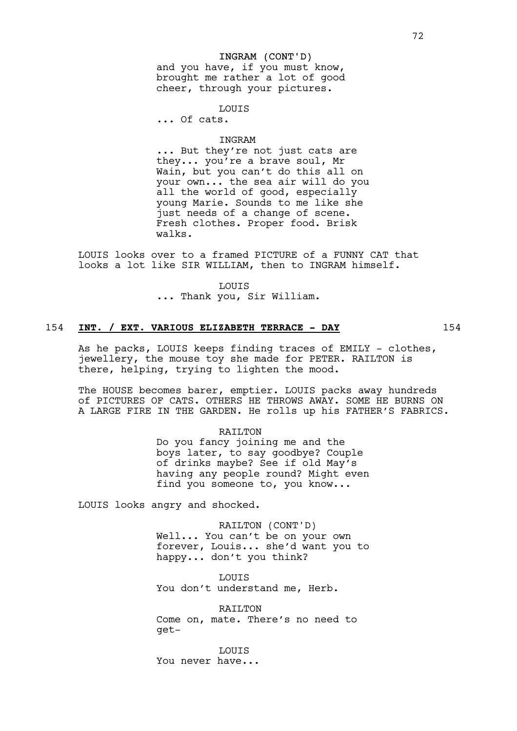#### INGRAM (CONT'D)

and you have, if you must know, brought me rather a lot of good cheer, through your pictures.

**LOUTS** 

... Of cats.

#### INGRAM

... But they're not just cats are they... you're a brave soul, Mr Wain, but you can't do this all on your own... the sea air will do you all the world of good, especially young Marie. Sounds to me like she just needs of a change of scene. Fresh clothes. Proper food. Brisk walks.

LOUIS looks over to a framed PICTURE of a FUNNY CAT that looks a lot like SIR WILLIAM, then to INGRAM himself.

LOUIS

... Thank you, Sir William.

# 154 **INT. / EXT. VARIOUS ELIZABETH TERRACE - DAY** 154

As he packs, LOUIS keeps finding traces of EMILY - clothes, jewellery, the mouse toy she made for PETER. RAILTON is there, helping, trying to lighten the mood.

The HOUSE becomes barer, emptier. LOUIS packs away hundreds of PICTURES OF CATS. OTHERS HE THROWS AWAY. SOME HE BURNS ON A LARGE FIRE IN THE GARDEN. He rolls up his FATHER'S FABRICS.

#### RAILTON

Do you fancy joining me and the boys later, to say goodbye? Couple of drinks maybe? See if old May's having any people round? Might even find you someone to, you know...

LOUIS looks angry and shocked.

RAILTON (CONT'D) Well... You can't be on your own forever, Louis... she'd want you to happy... don't you think?

**LOUTS** You don't understand me, Herb.

RAILTON Come on, mate. There's no need to get-

**LOUTS** You never have...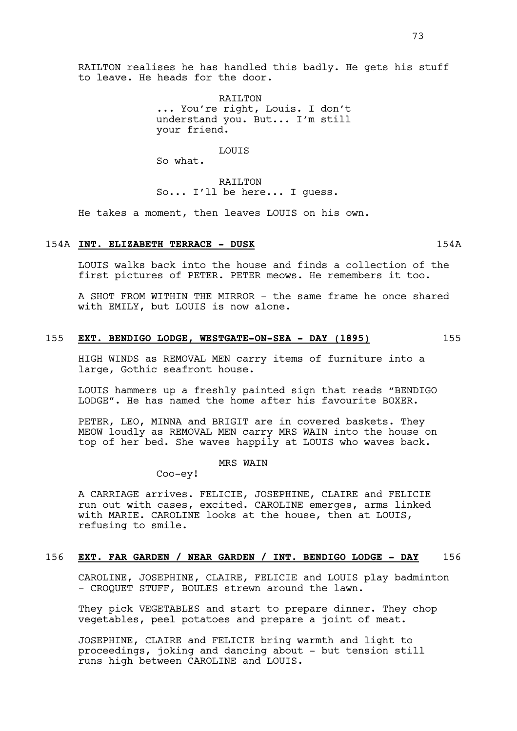RAILTON ... You're right, Louis. I don't understand you. But... I'm still your friend.

LOUIS

So what.

to leave. He heads for the door.

RAILTON So... I'll be here... I guess.

He takes a moment, then leaves LOUIS on his own.

# 154A **INT. ELIZABETH TERRACE - DUSK** 154A

LOUIS walks back into the house and finds a collection of the first pictures of PETER. PETER meows. He remembers it too.

A SHOT FROM WITHIN THE MIRROR - the same frame he once shared with EMILY, but LOUIS is now alone.

# 155 **EXT. BENDIGO LODGE, WESTGATE-ON-SEA - DAY (1895)** 155

HIGH WINDS as REMOVAL MEN carry items of furniture into a large, Gothic seafront house.

LOUIS hammers up a freshly painted sign that reads "BENDIGO LODGE". He has named the home after his favourite BOXER.

PETER, LEO, MINNA and BRIGIT are in covered baskets. They MEOW loudly as REMOVAL MEN carry MRS WAIN into the house on top of her bed. She waves happily at LOUIS who waves back.

## MRS WAIN

Coo-ey!

A CARRIAGE arrives. FELICIE, JOSEPHINE, CLAIRE and FELICIE run out with cases, excited. CAROLINE emerges, arms linked with MARIE. CAROLINE looks at the house, then at LOUIS, refusing to smile.

#### 156 **EXT. FAR GARDEN / NEAR GARDEN / INT. BENDIGO LODGE - DAY** 156

CAROLINE, JOSEPHINE, CLAIRE, FELICIE and LOUIS play badminton - CROOUET STUFF, BOULES strewn around the lawn.

They pick VEGETABLES and start to prepare dinner. They chop vegetables, peel potatoes and prepare a joint of meat.

JOSEPHINE, CLAIRE and FELICIE bring warmth and light to proceedings, joking and dancing about - but tension still runs high between CAROLINE and LOUIS.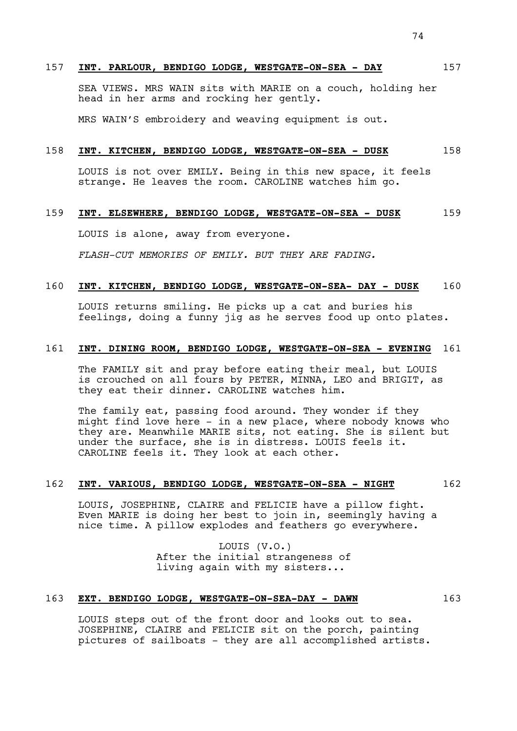## 157 **INT. PARLOUR, BENDIGO LODGE, WESTGATE-ON-SEA - DAY** 157

SEA VIEWS. MRS WAIN sits with MARIE on a couch, holding her head in her arms and rocking her gently.

MRS WAIN'S embroidery and weaving equipment is out.

## 158 **INT. KITCHEN, BENDIGO LODGE, WESTGATE-ON-SEA - DUSK** 158

LOUIS is not over EMILY. Being in this new space, it feels strange. He leaves the room. CAROLINE watches him go.

# 159 **INT. ELSEWHERE, BENDIGO LODGE, WESTGATE-ON-SEA - DUSK** 159

LOUIS is alone, away from everyone.

*FLASH-CUT MEMORIES OF EMILY. BUT THEY ARE FADING.*

# 160 **INT. KITCHEN, BENDIGO LODGE, WESTGATE-ON-SEA- DAY - DUSK** 160

LOUIS returns smiling. He picks up a cat and buries his feelings, doing a funny jig as he serves food up onto plates.

## 161 **INT. DINING ROOM, BENDIGO LODGE, WESTGATE-ON-SEA - EVENING** 161

The FAMILY sit and pray before eating their meal, but LOUIS is crouched on all fours by PETER, MINNA, LEO and BRIGIT, as they eat their dinner. CAROLINE watches him.

The family eat, passing food around. They wonder if they might find love here - in a new place, where nobody knows who they are. Meanwhile MARIE sits, not eating. She is silent but under the surface, she is in distress. LOUIS feels it. CAROLINE feels it. They look at each other.

## 162 **INT. VARIOUS, BENDIGO LODGE, WESTGATE-ON-SEA - NIGHT** 162

LOUIS, JOSEPHINE, CLAIRE and FELICIE have a pillow fight. Even MARIE is doing her best to join in, seemingly having a nice time. A pillow explodes and feathers go everywhere.

> LOUIS (V.O.) After the initial strangeness of living again with my sisters...

# 163 **EXT. BENDIGO LODGE, WESTGATE-ON-SEA-DAY - DAWN** 163

LOUIS steps out of the front door and looks out to sea. JOSEPHINE, CLAIRE and FELICIE sit on the porch, painting pictures of sailboats - they are all accomplished artists.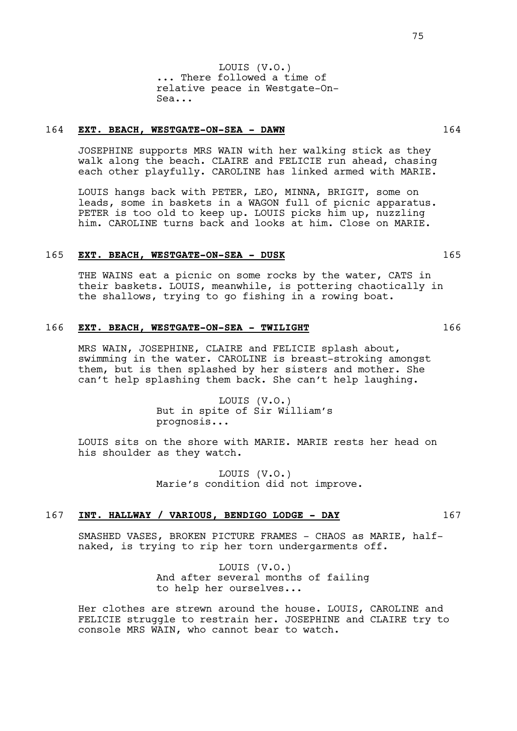LOUIS (V.O.) ... There followed a time of relative peace in Westgate-On-Sea...

# 164 **EXT. BEACH, WESTGATE-ON-SEA - DAWN** 164

JOSEPHINE supports MRS WAIN with her walking stick as they walk along the beach. CLAIRE and FELICIE run ahead, chasing each other playfully. CAROLINE has linked armed with MARIE.

LOUIS hangs back with PETER, LEO, MINNA, BRIGIT, some on leads, some in baskets in a WAGON full of picnic apparatus. PETER is too old to keep up. LOUIS picks him up, nuzzling him. CAROLINE turns back and looks at him. Close on MARIE.

# 165 **EXT. BEACH, WESTGATE-ON-SEA - DUSK** 165

THE WAINS eat a picnic on some rocks by the water, CATS in their baskets. LOUIS, meanwhile, is pottering chaotically in the shallows, trying to go fishing in a rowing boat.

## 166 **EXT. BEACH, WESTGATE-ON-SEA - TWILIGHT** 166

MRS WAIN, JOSEPHINE, CLAIRE and FELICIE splash about, swimming in the water. CAROLINE is breast-stroking amongst them, but is then splashed by her sisters and mother. She can't help splashing them back. She can't help laughing.

> LOUIS (V.O.) But in spite of Sir William's prognosis...

LOUIS sits on the shore with MARIE. MARIE rests her head on his shoulder as they watch.

> LOUIS (V.O.) Marie's condition did not improve.

## 167 **INT. HALLWAY / VARIOUS, BENDIGO LODGE - DAY** 167

SMASHED VASES, BROKEN PICTURE FRAMES - CHAOS as MARIE, halfnaked, is trying to rip her torn undergarments off.

> LOUIS (V.O.) And after several months of failing to help her ourselves...

Her clothes are strewn around the house. LOUIS, CAROLINE and FELICIE struggle to restrain her. JOSEPHINE and CLAIRE try to console MRS WAIN, who cannot bear to watch.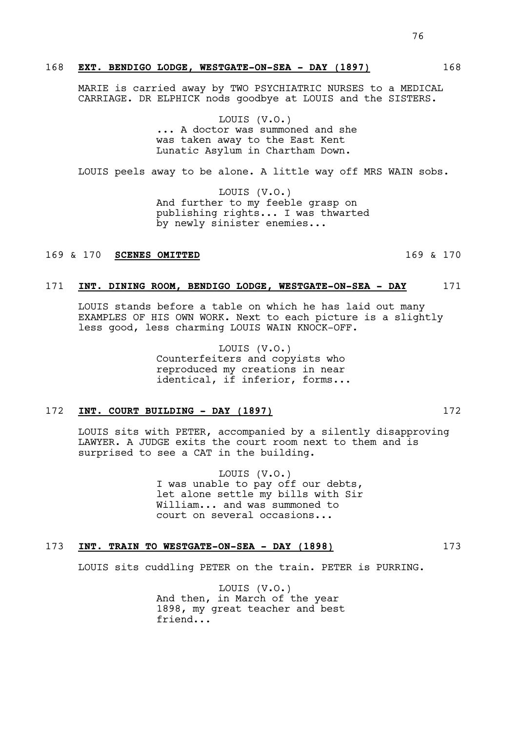## 168 **EXT. BENDIGO LODGE, WESTGATE-ON-SEA - DAY (1897)** 168

MARIE is carried away by TWO PSYCHIATRIC NURSES to a MEDICAL CARRIAGE. DR ELPHICK nods goodbye at LOUIS and the SISTERS.

> LOUIS (V.O.) ... A doctor was summoned and she was taken away to the East Kent Lunatic Asylum in Chartham Down.

LOUIS peels away to be alone. A little way off MRS WAIN sobs.

LOUIS (V.O.) And further to my feeble grasp on publishing rights... I was thwarted by newly sinister enemies...

# 169 & 170 **SCENES OMITTED** 169 & 170

#### 171 **INT. DINING ROOM, BENDIGO LODGE, WESTGATE-ON-SEA - DAY** 171

LOUIS stands before a table on which he has laid out many EXAMPLES OF HIS OWN WORK. Next to each picture is a slightly less good, less charming LOUIS WAIN KNOCK-OFF.

> LOUIS (V.O.) Counterfeiters and copyists who reproduced my creations in near identical, if inferior, forms...

### 172 **INT. COURT BUILDING - DAY (1897)** 172

LOUIS sits with PETER, accompanied by a silently disapproving LAWYER. A JUDGE exits the court room next to them and is surprised to see a CAT in the building.

> LOUIS (V.O.) I was unable to pay off our debts, let alone settle my bills with Sir William... and was summoned to court on several occasions...

## 173 **INT. TRAIN TO WESTGATE-ON-SEA - DAY (1898)** 173

LOUIS sits cuddling PETER on the train. PETER is PURRING.

LOUIS (V.O.) And then, in March of the year 1898, my great teacher and best friend...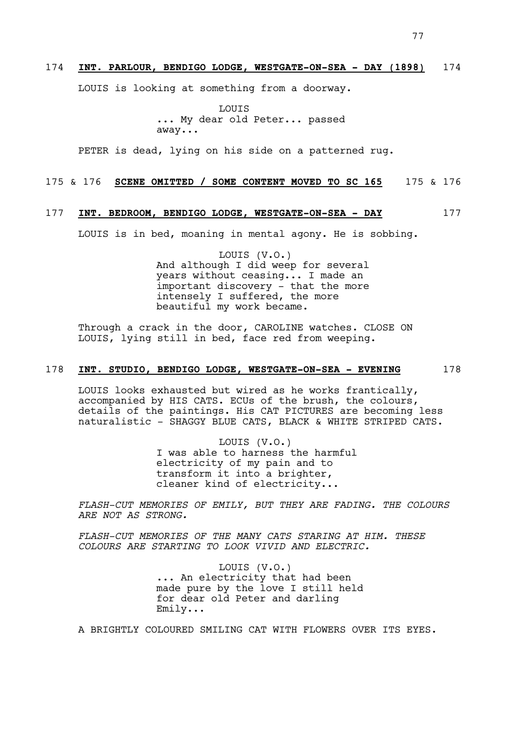LOUIS is looking at something from a doorway.

LOUIS ... My dear old Peter... passed away...

PETER is dead, lying on his side on a patterned rug.

# 175 & 176 **SCENE OMITTED / SOME CONTENT MOVED TO SC 165** 175 & 176

# 177 **INT. BEDROOM, BENDIGO LODGE, WESTGATE-ON-SEA - DAY** 177

LOUIS is in bed, moaning in mental agony. He is sobbing.

LOUIS (V.O.) And although I did weep for several years without ceasing... I made an important discovery - that the more intensely I suffered, the more beautiful my work became.

Through a crack in the door, CAROLINE watches. CLOSE ON LOUIS, lying still in bed, face red from weeping.

# 178 **INT. STUDIO, BENDIGO LODGE, WESTGATE-ON-SEA - EVENING** 178

LOUIS looks exhausted but wired as he works frantically, accompanied by HIS CATS. ECUs of the brush, the colours, details of the paintings. His CAT PICTURES are becoming less naturalistic - SHAGGY BLUE CATS, BLACK & WHITE STRIPED CATS.

> LOUIS (V.O.) I was able to harness the harmful electricity of my pain and to transform it into a brighter, cleaner kind of electricity...

*FLASH-CUT MEMORIES OF EMILY, BUT THEY ARE FADING. THE COLOURS ARE NOT AS STRONG.* 

*FLASH-CUT MEMORIES OF THE MANY CATS STARING AT HIM. THESE COLOURS ARE STARTING TO LOOK VIVID AND ELECTRIC.* 

> LOUIS (V.O.) ... An electricity that had been made pure by the love I still held for dear old Peter and darling Emily...

A BRIGHTLY COLOURED SMILING CAT WITH FLOWERS OVER ITS EYES.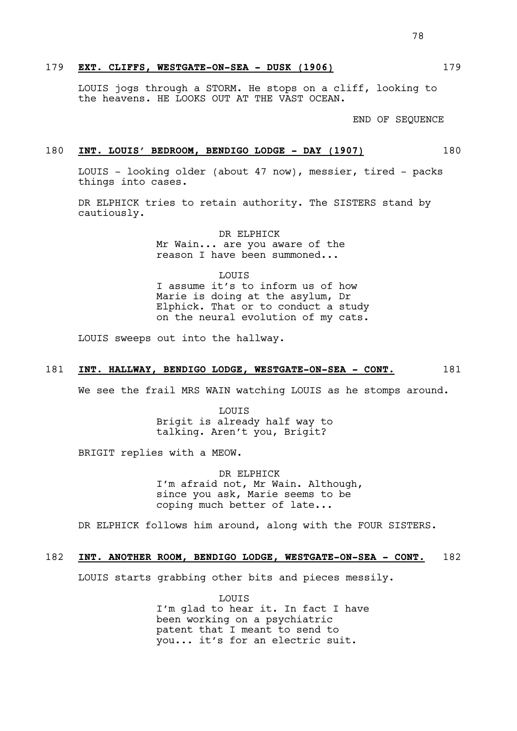# 179 **EXT. CLIFFS, WESTGATE-ON-SEA - DUSK (1906)** 179

LOUIS jogs through a STORM. He stops on a cliff, looking to the heavens. HE LOOKS OUT AT THE VAST OCEAN.

END OF SEQUENCE

## 180 **INT. LOUIS' BEDROOM, BENDIGO LODGE - DAY (1907)** 180

LOUIS - looking older (about 47 now), messier, tired - packs things into cases.

DR ELPHICK tries to retain authority. The SISTERS stand by cautiously.

> DR ELPHICK Mr Wain... are you aware of the reason I have been summoned...

LOUIS I assume it's to inform us of how Marie is doing at the asylum, Dr Elphick. That or to conduct a study on the neural evolution of my cats.

LOUIS sweeps out into the hallway.

## 181 **INT. HALLWAY, BENDIGO LODGE, WESTGATE-ON-SEA - CONT.** 181

We see the frail MRS WAIN watching LOUIS as he stomps around.

LOUIS Brigit is already half way to talking. Aren't you, Brigit?

BRIGIT replies with a MEOW.

DR ELPHICK I'm afraid not, Mr Wain. Although, since you ask, Marie seems to be coping much better of late...

DR ELPHICK follows him around, along with the FOUR SISTERS.

#### 182 **INT. ANOTHER ROOM, BENDIGO LODGE, WESTGATE-ON-SEA - CONT.** 182

LOUIS starts grabbing other bits and pieces messily.

LOUIS I'm glad to hear it. In fact I have been working on a psychiatric patent that I meant to send to you... it's for an electric suit.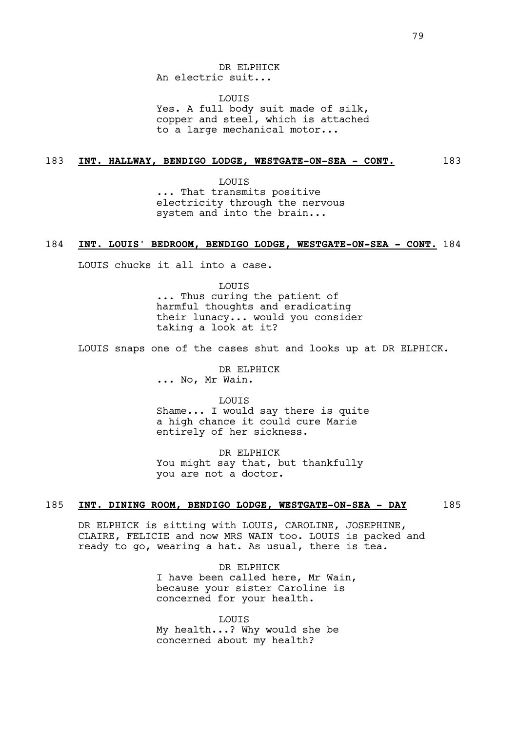DR ELPHICK An electric suit...

LOUIS Yes. A full body suit made of silk, copper and steel, which is attached to a large mechanical motor...

#### 183 **INT. HALLWAY, BENDIGO LODGE, WESTGATE-ON-SEA - CONT.** 183

LOUIS ... That transmits positive electricity through the nervous system and into the brain...

## 184 **INT. LOUIS' BEDROOM, BENDIGO LODGE, WESTGATE-ON-SEA - CONT.** 184

LOUIS chucks it all into a case.

LOUIS ... Thus curing the patient of harmful thoughts and eradicating their lunacy... would you consider taking a look at it?

LOUIS snaps one of the cases shut and looks up at DR ELPHICK.

DR ELPHICK ... No, Mr Wain.

LOUIS Shame... I would say there is quite a high chance it could cure Marie entirely of her sickness.

DR ELPHICK You might say that, but thankfully you are not a doctor.

#### 185 **INT. DINING ROOM, BENDIGO LODGE, WESTGATE-ON-SEA - DAY** 185

DR ELPHICK is sitting with LOUIS, CAROLINE, JOSEPHINE, CLAIRE, FELICIE and now MRS WAIN too. LOUIS is packed and ready to go, wearing a hat. As usual, there is tea.

> DR ELPHICK I have been called here, Mr Wain, because your sister Caroline is concerned for your health.

**LOUTS** My health...? Why would she be concerned about my health?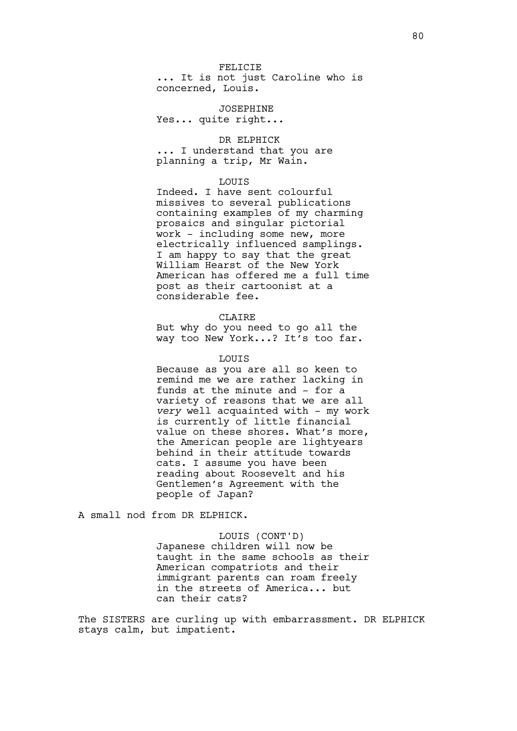#### FELICIE

... It is not just Caroline who is concerned, Louis.

JOSEPHINE Yes... quite right...

DR ELPHICK ... I understand that you are planning a trip, Mr Wain.

#### LOUIS

Indeed. I have sent colourful missives to several publications containing examples of my charming prosaics and singular pictorial work - including some new, more electrically influenced samplings. I am happy to say that the great William Hearst of the New York American has offered me a full time post as their cartoonist at a considerable fee.

## CLAIRE

But why do you need to go all the way too New York...? It's too far.

#### **LOUTS**

Because as you are all so keen to remind me we are rather lacking in funds at the minute and - for a variety of reasons that we are all *very* well acquainted with - my work is currently of little financial value on these shores. What's more, the American people are lightyears behind in their attitude towards cats. I assume you have been reading about Roosevelt and his Gentlemen's Agreement with the people of Japan?

A small nod from DR ELPHICK.

LOUIS (CONT'D) Japanese children will now be taught in the same schools as their American compatriots and their immigrant parents can roam freely in the streets of America... but can their cats?

The SISTERS are curling up with embarrassment. DR ELPHICK stays calm, but impatient.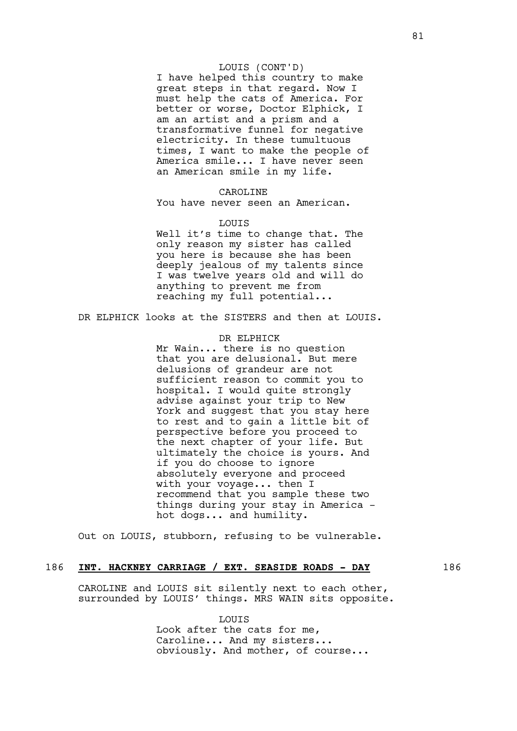# LOUIS (CONT'D)

I have helped this country to make great steps in that regard. Now I must help the cats of America. For better or worse, Doctor Elphick, I am an artist and a prism and a transformative funnel for negative electricity. In these tumultuous times, I want to make the people of America smile... I have never seen an American smile in my life.

#### CAROLINE

You have never seen an American.

#### LOUIS

Well it's time to change that. The only reason my sister has called you here is because she has been deeply jealous of my talents since I was twelve years old and will do anything to prevent me from reaching my full potential...

DR ELPHICK looks at the SISTERS and then at LOUIS.

DR ELPHICK Mr Wain... there is no question that you are delusional. But mere delusions of grandeur are not sufficient reason to commit you to hospital. I would quite strongly advise against your trip to New York and suggest that you stay here to rest and to gain a little bit of perspective before you proceed to the next chapter of your life. But ultimately the choice is yours. And if you do choose to ignore absolutely everyone and proceed with your voyage... then I recommend that you sample these two things during your stay in America hot dogs... and humility.

Out on LOUIS, stubborn, refusing to be vulnerable.

# 186 **INT. HACKNEY CARRIAGE / EXT. SEASIDE ROADS - DAY** 186

CAROLINE and LOUIS sit silently next to each other, surrounded by LOUIS' things. MRS WAIN sits opposite.

> **LOUTS** Look after the cats for me, Caroline... And my sisters... obviously. And mother, of course...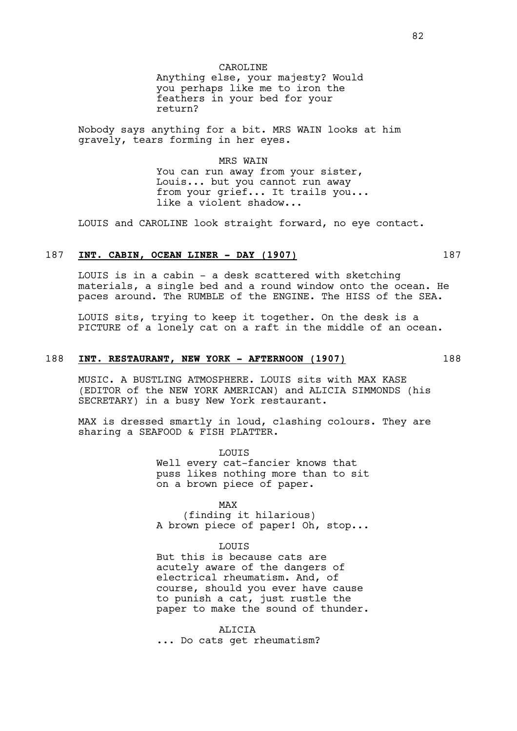CAROLINE Anything else, your majesty? Would you perhaps like me to iron the feathers in your bed for your return?

Nobody says anything for a bit. MRS WAIN looks at him gravely, tears forming in her eyes.

> MRS WAIN You can run away from your sister, Louis... but you cannot run away from your grief... It trails you... like a violent shadow...

LOUIS and CAROLINE look straight forward, no eye contact.

# 187 **INT. CABIN, OCEAN LINER - DAY (1907)** 187

LOUIS is in a cabin - a desk scattered with sketching materials, a single bed and a round window onto the ocean. He paces around. The RUMBLE of the ENGINE. The HISS of the SEA.

LOUIS sits, trying to keep it together. On the desk is a PICTURE of a lonely cat on a raft in the middle of an ocean.

## 188 **INT. RESTAURANT, NEW YORK - AFTERNOON (1907)** 188

MUSIC. A BUSTLING ATMOSPHERE. LOUIS sits with MAX KASE (EDITOR of the NEW YORK AMERICAN) and ALICIA SIMMONDS (his SECRETARY) in a busy New York restaurant.

MAX is dressed smartly in loud, clashing colours. They are sharing a SEAFOOD & FISH PLATTER.

> LOUIS Well every cat-fancier knows that puss likes nothing more than to sit on a brown piece of paper.

> MAX (finding it hilarious) A brown piece of paper! Oh, stop...

# **LOUTS**

But this is because cats are acutely aware of the dangers of electrical rheumatism. And, of course, should you ever have cause to punish a cat, just rustle the paper to make the sound of thunder.

ALICIA ... Do cats get rheumatism?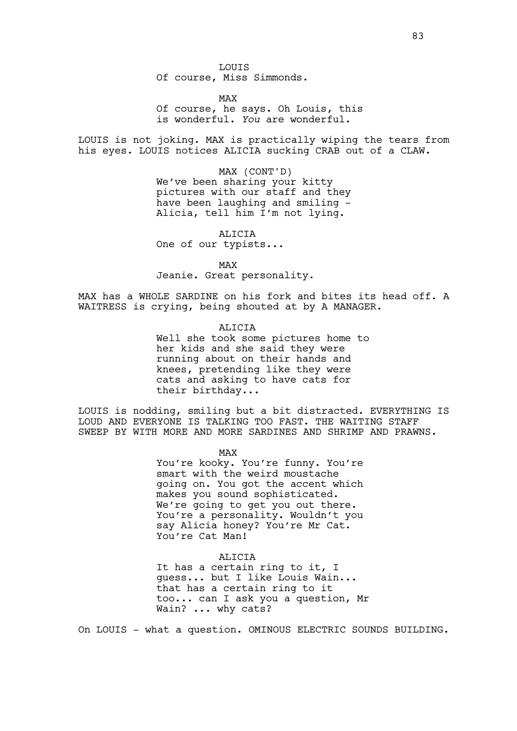LOUIS Of course, Miss Simmonds.

MAX Of course, he says. Oh Louis, this is wonderful. *You* are wonderful.

LOUIS is not joking. MAX is practically wiping the tears from his eyes. LOUIS notices ALICIA sucking CRAB out of a CLAW.

> MAX (CONT'D) We've been sharing your kitty pictures with our staff and they have been laughing and smiling - Alicia, tell him I'm not lying.

ALICIA One of our typists...

MAX Jeanie. Great personality.

MAX has a WHOLE SARDINE on his fork and bites its head off. A WAITRESS is crying, being shouted at by A MANAGER.

> ALICIA Well she took some pictures home to her kids and she said they were running about on their hands and knees, pretending like they were cats and asking to have cats for their birthday...

LOUIS is nodding, smiling but a bit distracted. EVERYTHING IS LOUD AND EVERYONE IS TALKING TOO FAST. THE WAITING STAFF SWEEP BY WITH MORE AND MORE SARDINES AND SHRIMP AND PRAWNS.

MAX

You're kooky. You're funny. You're smart with the weird moustache going on. You got the accent which makes you sound sophisticated. We're going to get you out there. You're a personality. Wouldn't you say Alicia honey? You're Mr Cat. You're Cat Man!

## ALICIA

It has a certain ring to it, I guess... but I like Louis Wain... that has a certain ring to it too... can I ask you a question, Mr Wain? ... why cats?

On LOUIS - what a question. OMINOUS ELECTRIC SOUNDS BUILDING.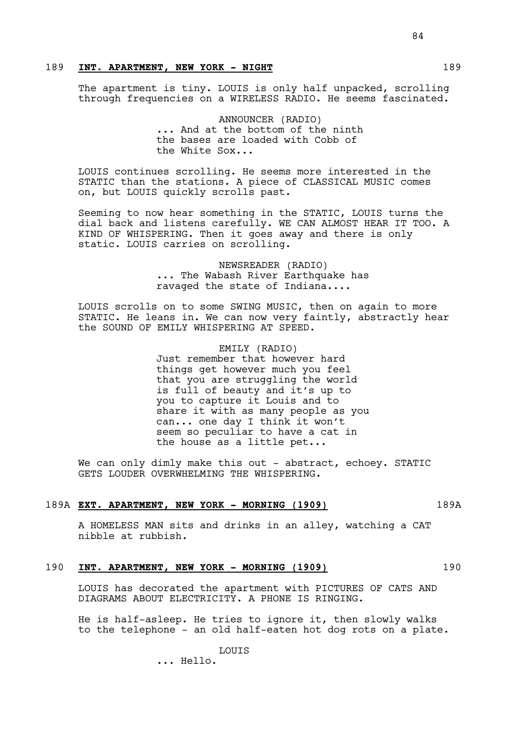# 189 **INT. APARTMENT, NEW YORK - NIGHT** 189

The apartment is tiny. LOUIS is only half unpacked, scrolling through frequencies on a WIRELESS RADIO. He seems fascinated.

> ANNOUNCER (RADIO) ... And at the bottom of the ninth the bases are loaded with Cobb of the White Sox...

LOUIS continues scrolling. He seems more interested in the STATIC than the stations. A piece of CLASSICAL MUSIC comes on, but LOUIS quickly scrolls past.

Seeming to now hear something in the STATIC, LOUIS turns the dial back and listens carefully. WE CAN ALMOST HEAR IT TOO. A KIND OF WHISPERING. Then it goes away and there is only static. LOUIS carries on scrolling.

> NEWSREADER (RADIO) ... The Wabash River Earthquake has ravaged the state of Indiana....

LOUIS scrolls on to some SWING MUSIC, then on again to more STATIC. He leans in. We can now very faintly, abstractly hear the SOUND OF EMILY WHISPERING AT SPEED.

> EMILY (RADIO) Just remember that however hard things get however much you feel that you are struggling the world is full of beauty and it's up to you to capture it Louis and to share it with as many people as you can... one day I think it won't seem so peculiar to have a cat in the house as a little pet...

We can only dimly make this out - abstract, echoey. STATIC GETS LOUDER OVERWHELMING THE WHISPERING.

#### 189A **EXT. APARTMENT, NEW YORK - MORNING (1909)** 189A

A HOMELESS MAN sits and drinks in an alley, watching a CAT nibble at rubbish.

# 190 **INT. APARTMENT, NEW YORK - MORNING (1909)** 190

LOUIS has decorated the apartment with PICTURES OF CATS AND DIAGRAMS ABOUT ELECTRICITY. A PHONE IS RINGING.

He is half-asleep. He tries to ignore it, then slowly walks to the telephone - an old half-eaten hot dog rots on a plate.

LOUIS

... Hello.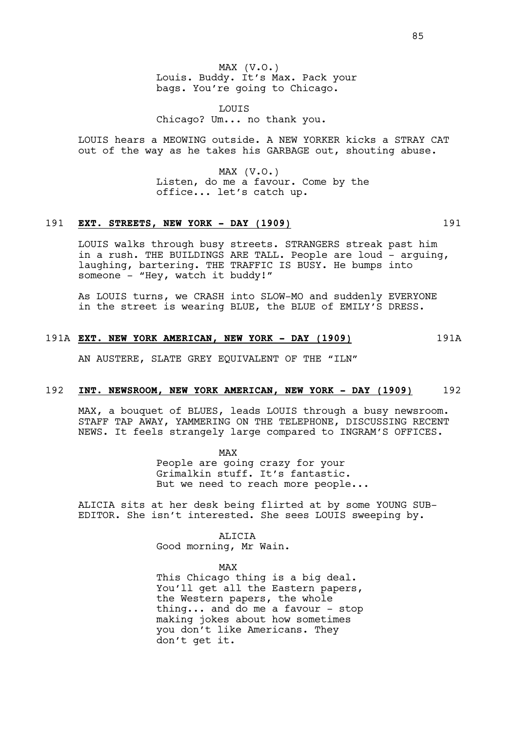MAX (V.O.) Louis. Buddy. It's Max. Pack your bags. You're going to Chicago.

LOUIS Chicago? Um... no thank you.

LOUIS hears a MEOWING outside. A NEW YORKER kicks a STRAY CAT out of the way as he takes his GARBAGE out, shouting abuse.

> $MAX (V.O.)$ Listen, do me a favour. Come by the office... let's catch up.

# 191 **EXT. STREETS, NEW YORK - DAY (1909)** 191

LOUIS walks through busy streets. STRANGERS streak past him in a rush. THE BUILDINGS ARE TALL. People are loud - arguing, laughing, bartering. THE TRAFFIC IS BUSY. He bumps into someone - "Hey, watch it buddy!"

As LOUIS turns, we CRASH into SLOW-MO and suddenly EVERYONE in the street is wearing BLUE, the BLUE of EMILY'S DRESS.

# 191A **EXT. NEW YORK AMERICAN, NEW YORK - DAY (1909)** 191A

AN AUSTERE, SLATE GREY EQUIVALENT OF THE "ILN"

#### 192 **INT. NEWSROOM, NEW YORK AMERICAN, NEW YORK - DAY (1909)** 192

MAX, a bouquet of BLUES, leads LOUIS through a busy newsroom. STAFF TAP AWAY, YAMMERING ON THE TELEPHONE, DISCUSSING RECENT NEWS. It feels strangely large compared to INGRAM'S OFFICES.

> MAX People are going crazy for your Grimalkin stuff. It's fantastic. But we need to reach more people...

ALICIA sits at her desk being flirted at by some YOUNG SUB-EDITOR. She isn't interested. She sees LOUIS sweeping by.

> ALICIA Good morning, Mr Wain.

MAX This Chicago thing is a big deal. You'll get all the Eastern papers, the Western papers, the whole thing... and do me a favour - stop making jokes about how sometimes you don't like Americans. They don't get it.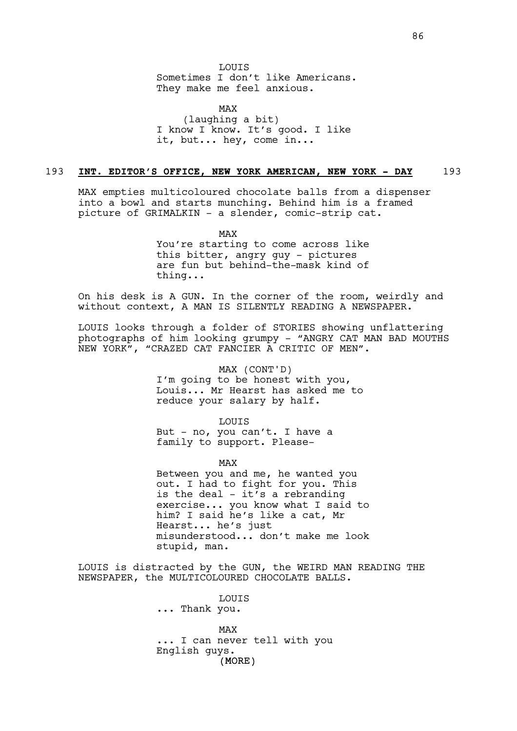LOUIS Sometimes I don't like Americans. They make me feel anxious.

MAX (laughing a bit) I know I know. It's good. I like it, but... hey, come in...

#### 193 **INT. EDITOR'S OFFICE, NEW YORK AMERICAN, NEW YORK - DAY** 193

MAX empties multicoloured chocolate balls from a dispenser into a bowl and starts munching. Behind him is a framed picture of GRIMALKIN - a slender, comic-strip cat.

> MAX You're starting to come across like this bitter, angry guy - pictures are fun but behind-the-mask kind of thing...

On his desk is A GUN. In the corner of the room, weirdly and without context, A MAN IS SILENTLY READING A NEWSPAPER.

LOUIS looks through a folder of STORIES showing unflattering photographs of him looking grumpy - "ANGRY CAT MAN BAD MOUTHS NEW YORK", "CRAZED CAT FANCIER A CRITIC OF MEN".

MAX (CONT'D)

I'm going to be honest with you, Louis... Mr Hearst has asked me to reduce your salary by half.

LOUIS

But - no, you can't. I have a family to support. Please-

MAX

Between you and me, he wanted you out. I had to fight for you. This is the deal  $-$  it's a rebranding exercise... you know what I said to him? I said he's like a cat, Mr Hearst... he's just misunderstood... don't make me look stupid, man.

LOUIS is distracted by the GUN, the WEIRD MAN READING THE NEWSPAPER, the MULTICOLOURED CHOCOLATE BALLS.

> (MORE) LOUIS ... Thank you. MAX ... I can never tell with you English guys.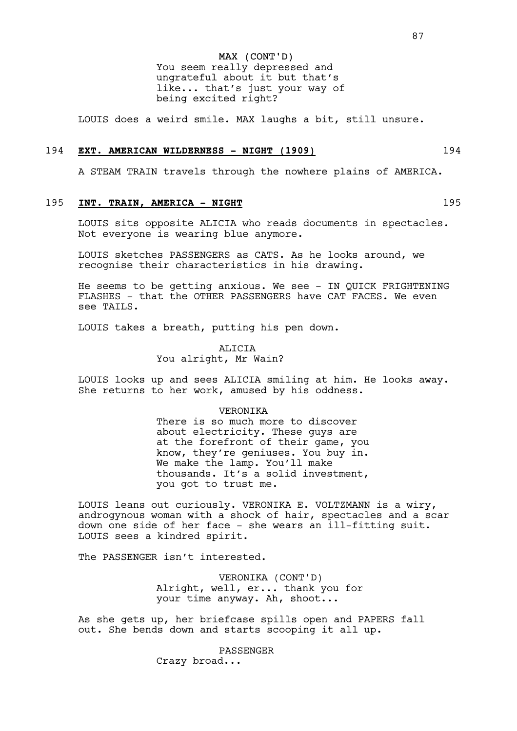MAX (CONT'D) You seem really depressed and ungrateful about it but that's like... that's just your way of being excited right?

LOUIS does a weird smile. MAX laughs a bit, still unsure.

## 194 **EXT. AMERICAN WILDERNESS - NIGHT (1909)** 194

A STEAM TRAIN travels through the nowhere plains of AMERICA.

#### 195 **INT. TRAIN, AMERICA - NIGHT** 195

LOUIS sits opposite ALICIA who reads documents in spectacles. Not everyone is wearing blue anymore.

LOUIS sketches PASSENGERS as CATS. As he looks around, we recognise their characteristics in his drawing.

He seems to be getting anxious. We see - IN QUICK FRIGHTENING FLASHES - that the OTHER PASSENGERS have CAT FACES. We even see TAILS.

LOUIS takes a breath, putting his pen down.

ALICIA You alright, Mr Wain?

LOUIS looks up and sees ALICIA smiling at him. He looks away. She returns to her work, amused by his oddness.

#### VERONIKA

There is so much more to discover about electricity. These guys are at the forefront of their game, you know, they're geniuses. You buy in. We make the lamp. You'll make thousands. It's a solid investment, you got to trust me.

LOUIS leans out curiously. VERONIKA E. VOLTZMANN is a wiry, androgynous woman with a shock of hair, spectacles and a scar down one side of her face - she wears an ill-fitting suit. LOUIS sees a kindred spirit.

The PASSENGER isn't interested.

VERONIKA (CONT'D) Alright, well, er... thank you for your time anyway. Ah, shoot...

As she gets up, her briefcase spills open and PAPERS fall out. She bends down and starts scooping it all up.

> PASSENGER Crazy broad...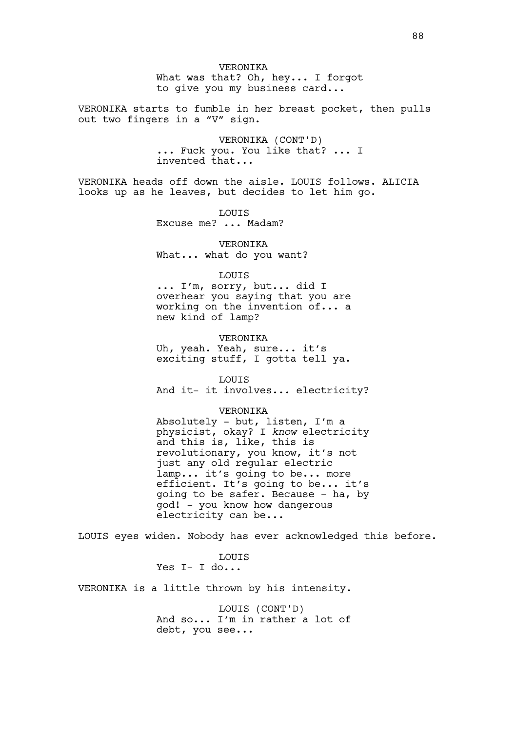VERONIKA What was that? Oh, hey... I forgot to give you my business card...

VERONIKA starts to fumble in her breast pocket, then pulls out two fingers in a "V" sign.

> VERONIKA (CONT'D) ... Fuck you. You like that? ... I invented that...

VERONIKA heads off down the aisle. LOUIS follows. ALICIA looks up as he leaves, but decides to let him go.

LOUIS

Excuse me? ... Madam?

VERONIKA What... what do you want?

#### LOUIS

... I'm, sorry, but... did I overhear you saying that you are working on the invention of... a new kind of lamp?

#### VERONIKA

Uh, yeah. Yeah, sure... it's exciting stuff, I gotta tell ya.

LOUIS And it- it involves... electricity?

#### VERONIKA

Absolutely - but, listen, I'm a physicist, okay? I *know* electricity and this is, like, this is revolutionary, you know, it's not just any old regular electric lamp... it's going to be... more efficient. It's going to be... it's going to be safer. Because - ha, by god! - you know how dangerous electricity can be...

LOUIS eyes widen. Nobody has ever acknowledged this before.

**LOUTS** Yes  $I - I$  do...

VERONIKA is a little thrown by his intensity.

LOUIS (CONT'D) And so... I'm in rather a lot of debt, you see...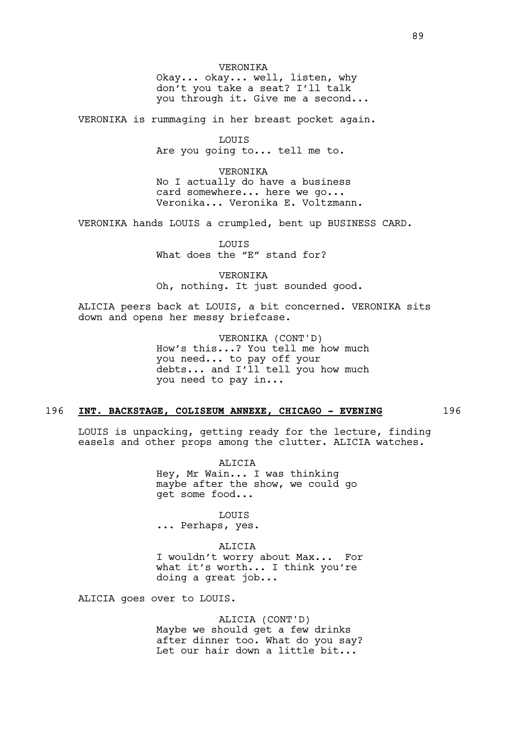VERONIKA Okay... okay... well, listen, why don't you take a seat? I'll talk you through it. Give me a second...

VERONIKA is rummaging in her breast pocket again.

**LOUTS** Are you going to... tell me to.

VERONIKA No I actually do have a business card somewhere... here we go... Veronika... Veronika E. Voltzmann.

VERONIKA hands LOUIS a crumpled, bent up BUSINESS CARD.

LOUIS What does the "E" stand for?

VERONIKA Oh, nothing. It just sounded good.

ALICIA peers back at LOUIS, a bit concerned. VERONIKA sits down and opens her messy briefcase.

> VERONIKA (CONT'D) How's this...? You tell me how much you need... to pay off your debts... and I'll tell you how much you need to pay in...

### 196 **INT. BACKSTAGE, COLISEUM ANNEXE, CHICAGO - EVENING** 196

LOUIS is unpacking, getting ready for the lecture, finding easels and other props among the clutter. ALICIA watches.

> ALICIA Hey, Mr Wain... I was thinking maybe after the show, we could go get some food...

LOUIS ... Perhaps, yes.

ALICIA

I wouldn't worry about Max... For what it's worth... I think you're doing a great job...

ALICIA goes over to LOUIS.

ALICIA (CONT'D) Maybe we should get a few drinks after dinner too. What do you say? Let our hair down a little bit...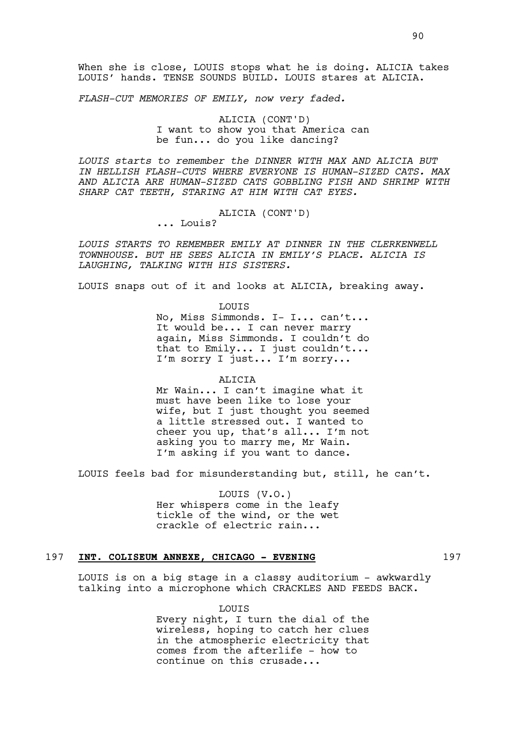*FLASH-CUT MEMORIES OF EMILY, now very faded.* 

ALICIA (CONT'D) I want to show you that America can be fun... do you like dancing?

*LOUIS starts to remember the DINNER WITH MAX AND ALICIA BUT IN HELLISH FLASH-CUTS WHERE EVERYONE IS HUMAN-SIZED CATS. MAX AND ALICIA ARE HUMAN-SIZED CATS GOBBLING FISH AND SHRIMP WITH SHARP CAT TEETH, STARING AT HIM WITH CAT EYES.*

ALICIA (CONT'D)

... Louis?

*LOUIS STARTS TO REMEMBER EMILY AT DINNER IN THE CLERKENWELL TOWNHOUSE. BUT HE SEES ALICIA IN EMILY'S PLACE. ALICIA IS LAUGHING, TALKING WITH HIS SISTERS.* 

LOUIS snaps out of it and looks at ALICIA, breaking away.

LOUIS No, Miss Simmonds. I- I... can't... It would be... I can never marry again, Miss Simmonds. I couldn't do that to Emily... I just couldn't... I'm sorry I just... I'm sorry...

ALICIA Mr Wain... I can't imagine what it must have been like to lose your wife, but I just thought you seemed a little stressed out. I wanted to cheer you up, that's all... I'm not asking you to marry me, Mr Wain. I'm asking if you want to dance.

LOUIS feels bad for misunderstanding but, still, he can't.

LOUIS (V.O.) Her whispers come in the leafy tickle of the wind, or the wet crackle of electric rain...

## 197 INT. COLISEUM ANNEXE, CHICAGO - EVENING 197

LOUIS is on a big stage in a classy auditorium - awkwardly talking into a microphone which CRACKLES AND FEEDS BACK.

> **LOUTS** Every night, I turn the dial of the wireless, hoping to catch her clues in the atmospheric electricity that comes from the afterlife - how to continue on this crusade...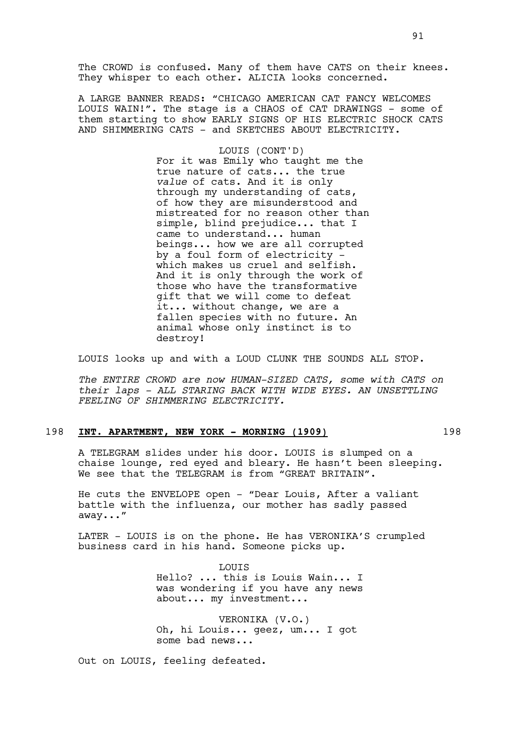The CROWD is confused. Many of them have CATS on their knees. They whisper to each other. ALICIA looks concerned.

A LARGE BANNER READS: "CHICAGO AMERICAN CAT FANCY WELCOMES LOUIS WAIN!". The stage is a CHAOS of CAT DRAWINGS - some of them starting to show EARLY SIGNS OF HIS ELECTRIC SHOCK CATS AND SHIMMERING CATS - and SKETCHES ABOUT ELECTRICITY.

> LOUIS (CONT'D) For it was Emily who taught me the true nature of cats... the true *value* of cats. And it is only through my understanding of cats, of how they are misunderstood and mistreated for no reason other than simple, blind prejudice... that I came to understand... human beings... how we are all corrupted by a foul form of electricity which makes us cruel and selfish. And it is only through the work of those who have the transformative gift that we will come to defeat it... without change, we are a fallen species with no future. An animal whose only instinct is to destroy!

LOUIS looks up and with a LOUD CLUNK THE SOUNDS ALL STOP.

*The ENTIRE CROWD are now HUMAN-SIZED CATS, some with CATS on their laps - ALL STARING BACK WITH WIDE EYES. AN UNSETTLING FEELING OF SHIMMERING ELECTRICITY.*

## 198 **INT. APARTMENT, NEW YORK - MORNING (1909)** 198

A TELEGRAM slides under his door. LOUIS is slumped on a chaise lounge, red eyed and bleary. He hasn't been sleeping. We see that the TELEGRAM is from "GREAT BRITAIN".

He cuts the ENVELOPE open - "Dear Louis, After a valiant battle with the influenza, our mother has sadly passed away..."

LATER - LOUIS is on the phone. He has VERONIKA'S crumpled business card in his hand. Someone picks up.

> LOUIS Hello? ... this is Louis Wain... I was wondering if you have any news about... my investment...

VERONIKA (V.O.) Oh, hi Louis... geez, um... I got some bad news...

Out on LOUIS, feeling defeated.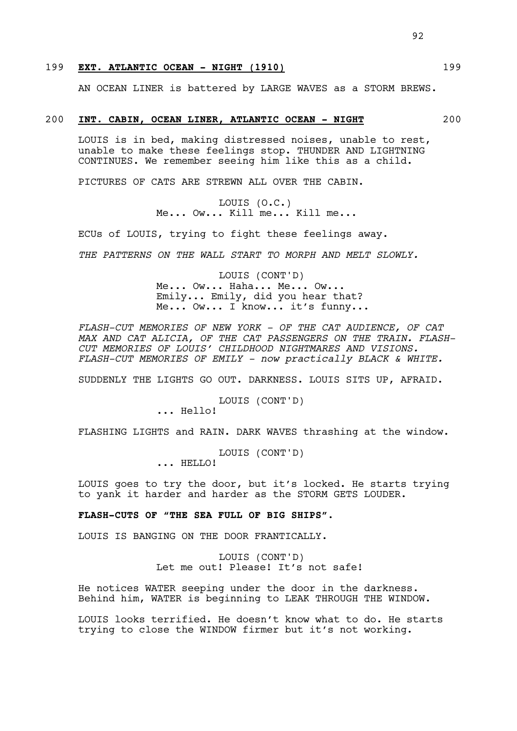# 199 **EXT. ATLANTIC OCEAN - NIGHT (1910)** 199

AN OCEAN LINER is battered by LARGE WAVES as a STORM BREWS.

#### 200 **INT. CABIN, OCEAN LINER, ATLANTIC OCEAN - NIGHT** 200

LOUIS is in bed, making distressed noises, unable to rest, unable to make these feelings stop. THUNDER AND LIGHTNING CONTINUES. We remember seeing him like this as a child.

PICTURES OF CATS ARE STREWN ALL OVER THE CABIN.

LOUIS (O.C.) Me... Ow... Kill me... Kill me...

ECUs of LOUIS, trying to fight these feelings away.

*THE PATTERNS ON THE WALL START TO MORPH AND MELT SLOWLY.* 

LOUIS (CONT'D) Me... Ow... Haha... Me... Ow... Emily... Emily, did you hear that? Me... Ow... I know... it's funny...

*FLASH-CUT MEMORIES OF NEW YORK - OF THE CAT AUDIENCE, OF CAT MAX AND CAT ALICIA, OF THE CAT PASSENGERS ON THE TRAIN. FLASH-CUT MEMORIES OF LOUIS' CHILDHOOD NIGHTMARES AND VISIONS. FLASH-CUT MEMORIES OF EMILY - now practically BLACK & WHITE.* 

SUDDENLY THE LIGHTS GO OUT. DARKNESS. LOUIS SITS UP, AFRAID.

LOUIS (CONT'D)

... Hello!

FLASHING LIGHTS and RAIN. DARK WAVES thrashing at the window.

LOUIS (CONT'D)

... HELLO!

LOUIS goes to try the door, but it's locked. He starts trying to yank it harder and harder as the STORM GETS LOUDER.

# **FLASH-CUTS OF "THE SEA FULL OF BIG SHIPS".**

LOUIS IS BANGING ON THE DOOR FRANTICALLY.

LOUIS (CONT'D) Let me out! Please! It's not safe!

He notices WATER seeping under the door in the darkness. Behind him, WATER is beginning to LEAK THROUGH THE WINDOW.

LOUIS looks terrified. He doesn't know what to do. He starts trying to close the WINDOW firmer but it's not working.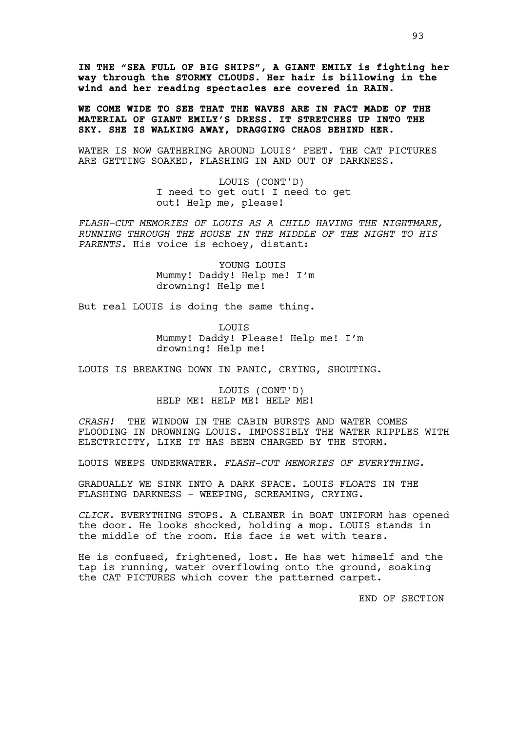**IN THE "SEA FULL OF BIG SHIPS", A GIANT EMILY is fighting her way through the STORMY CLOUDS. Her hair is billowing in the wind and her reading spectacles are covered in RAIN.**

**WE COME WIDE TO SEE THAT THE WAVES ARE IN FACT MADE OF THE MATERIAL OF GIANT EMILY'S DRESS. IT STRETCHES UP INTO THE SKY. SHE IS WALKING AWAY, DRAGGING CHAOS BEHIND HER.**

WATER IS NOW GATHERING AROUND LOUIS' FEET. THE CAT PICTURES ARE GETTING SOAKED, FLASHING IN AND OUT OF DARKNESS.

> LOUIS (CONT'D) I need to get out! I need to get out! Help me, please!

*FLASH-CUT MEMORIES OF LOUIS AS A CHILD HAVING THE NIGHTMARE, RUNNING THROUGH THE HOUSE IN THE MIDDLE OF THE NIGHT TO HIS PARENTS.* His voice is echoey, distant:

> YOUNG LOUIS Mummy! Daddy! Help me! I'm drowning! Help me!

But real LOUIS is doing the same thing.

LOUIS Mummy! Daddy! Please! Help me! I'm drowning! Help me!

LOUIS IS BREAKING DOWN IN PANIC, CRYING, SHOUTING.

LOUIS (CONT'D) HELP ME! HELP ME! HELP ME!

*CRASH!* THE WINDOW IN THE CABIN BURSTS AND WATER COMES FLOODING IN DROWNING LOUIS. IMPOSSIBLY THE WATER RIPPLES WITH ELECTRICITY, LIKE IT HAS BEEN CHARGED BY THE STORM.

LOUIS WEEPS UNDERWATER. *FLASH-CUT MEMORIES OF EVERYTHING.*

GRADUALLY WE SINK INTO A DARK SPACE. LOUIS FLOATS IN THE FLASHING DARKNESS - WEEPING, SCREAMING, CRYING.

*CLICK.* EVERYTHING STOPS. A CLEANER in BOAT UNIFORM has opened the door. He looks shocked, holding a mop. LOUIS stands in the middle of the room. His face is wet with tears.

He is confused, frightened, lost. He has wet himself and the tap is running, water overflowing onto the ground, soaking the CAT PICTURES which cover the patterned carpet.

END OF SECTION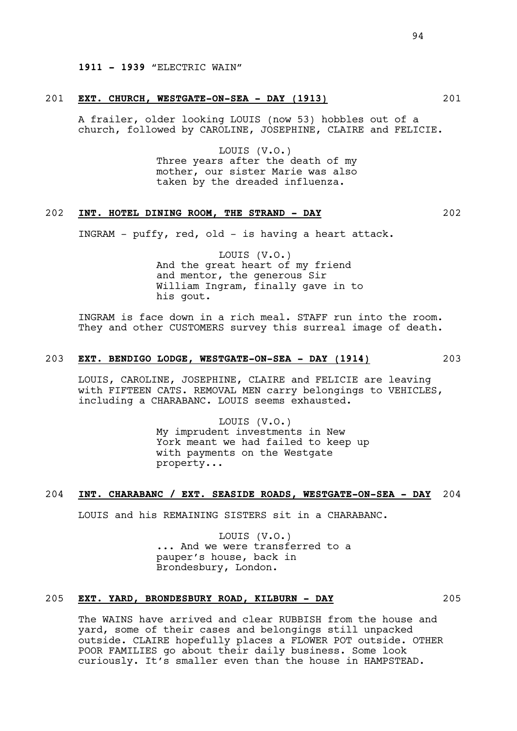#### 201 **EXT. CHURCH, WESTGATE-ON-SEA - DAY (1913)** 201

A frailer, older looking LOUIS (now 53) hobbles out of a church, followed by CAROLINE, JOSEPHINE, CLAIRE and FELICIE.

> LOUIS (V.O.) Three years after the death of my mother, our sister Marie was also taken by the dreaded influenza.

# 202 **INT. HOTEL DINING ROOM, THE STRAND - DAY** 202

INGRAM - puffy, red, old - is having a heart attack.

LOUIS (V.O.) And the great heart of my friend and mentor, the generous Sir William Ingram, finally gave in to his gout.

INGRAM is face down in a rich meal. STAFF run into the room. They and other CUSTOMERS survey this surreal image of death.

## 203 **EXT. BENDIGO LODGE, WESTGATE-ON-SEA - DAY (1914)** 203

LOUIS, CAROLINE, JOSEPHINE, CLAIRE and FELICIE are leaving with FIFTEEN CATS. REMOVAL MEN carry belongings to VEHICLES, including a CHARABANC. LOUIS seems exhausted.

> LOUIS (V.O.) My imprudent investments in New York meant we had failed to keep up with payments on the Westgate property...

#### 204 **INT. CHARABANC / EXT. SEASIDE ROADS, WESTGATE-ON-SEA - DAY** 204

LOUIS and his REMAINING SISTERS sit in a CHARABANC.

LOUIS (V.O.) ... And we were transferred to a pauper's house, back in Brondesbury, London.

# 205 **EXT. YARD, BRONDESBURY ROAD, KILBURN - DAY** 205

The WAINS have arrived and clear RUBBISH from the house and yard, some of their cases and belongings still unpacked outside. CLAIRE hopefully places a FLOWER POT outside. OTHER POOR FAMILIES go about their daily business. Some look curiously. It's smaller even than the house in HAMPSTEAD.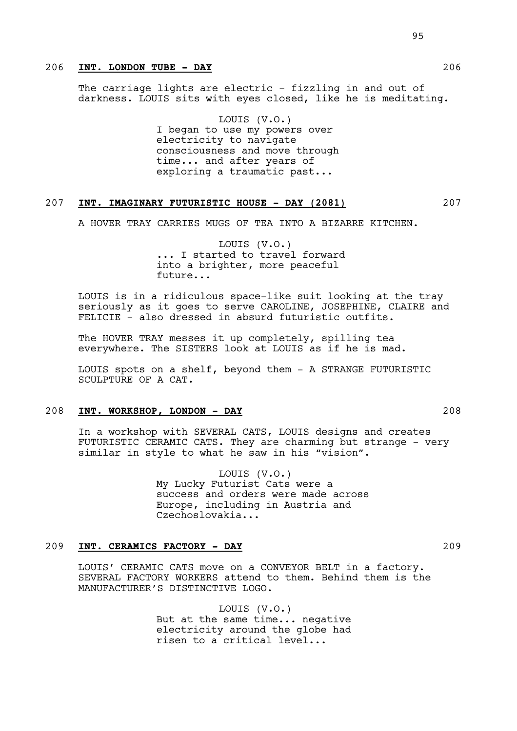# 206 **INT. LONDON TUBE - DAY** 206

The carriage lights are electric - fizzling in and out of darkness. LOUIS sits with eyes closed, like he is meditating.

> LOUIS (V.O.) I began to use my powers over electricity to navigate consciousness and move through time... and after years of exploring a traumatic past...

## 207 **INT. IMAGINARY FUTURISTIC HOUSE - DAY (2081)** 207

A HOVER TRAY CARRIES MUGS OF TEA INTO A BIZARRE KITCHEN.

LOUIS (V.O.) ... I started to travel forward into a brighter, more peaceful future...

LOUIS is in a ridiculous space-like suit looking at the tray seriously as it goes to serve CAROLINE, JOSEPHINE, CLAIRE and FELICIE - also dressed in absurd futuristic outfits.

The HOVER TRAY messes it up completely, spilling tea everywhere. The SISTERS look at LOUIS as if he is mad.

LOUIS spots on a shelf, beyond them - A STRANGE FUTURISTIC SCULPTURE OF A CAT.

### 208 **INT. WORKSHOP, LONDON - DAY** 208

In a workshop with SEVERAL CATS, LOUIS designs and creates FUTURISTIC CERAMIC CATS. They are charming but strange - very similar in style to what he saw in his "vision".

> LOUIS (V.O.) My Lucky Futurist Cats were a success and orders were made across Europe, including in Austria and Czechoslovakia...

# 209 **INT. CERAMICS FACTORY - DAY** 209

LOUIS' CERAMIC CATS move on a CONVEYOR BELT in a factory. SEVERAL FACTORY WORKERS attend to them. Behind them is the MANUFACTURER'S DISTINCTIVE LOGO.

> LOUIS (V.O.) But at the same time... negative electricity around the globe had risen to a critical level...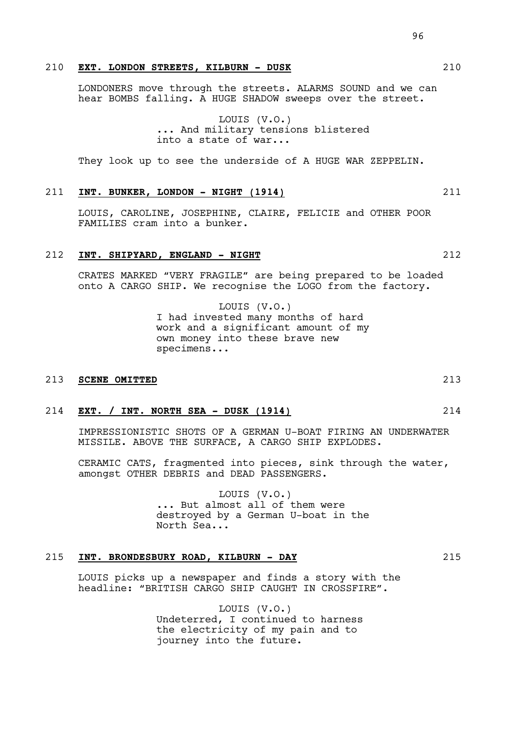LONDONERS move through the streets. ALARMS SOUND and we can hear BOMBS falling. A HUGE SHADOW sweeps over the street.

> LOUIS (V.O.) ... And military tensions blistered into a state of war...

They look up to see the underside of A HUGE WAR ZEPPELIN.

#### 211 **INT. BUNKER, LONDON - NIGHT (1914)** 211

LOUIS, CAROLINE, JOSEPHINE, CLAIRE, FELICIE and OTHER POOR FAMILIES cram into a bunker.

# 212 **INT. SHIPYARD, ENGLAND - NIGHT** 212

CRATES MARKED "VERY FRAGILE" are being prepared to be loaded onto A CARGO SHIP. We recognise the LOGO from the factory.

> LOUIS (V.O.) I had invested many months of hard work and a significant amount of my own money into these brave new specimens...

## 213 **SCENE OMITTED** 213

### 214 **EXT. / INT. NORTH SEA - DUSK (1914)** 214

IMPRESSIONISTIC SHOTS OF A GERMAN U-BOAT FIRING AN UNDERWATER MISSILE. ABOVE THE SURFACE, A CARGO SHIP EXPLODES.

CERAMIC CATS, fragmented into pieces, sink through the water, amongst OTHER DEBRIS and DEAD PASSENGERS.

> LOUIS (V.O.) ... But almost all of them were destroyed by a German U-boat in the North Sea...

#### 215 **INT. BRONDESBURY ROAD, KILBURN - DAY** 215

LOUIS picks up a newspaper and finds a story with the headline: "BRITISH CARGO SHIP CAUGHT IN CROSSFIRE".

> LOUIS (V.O.) Undeterred, I continued to harness the electricity of my pain and to journey into the future.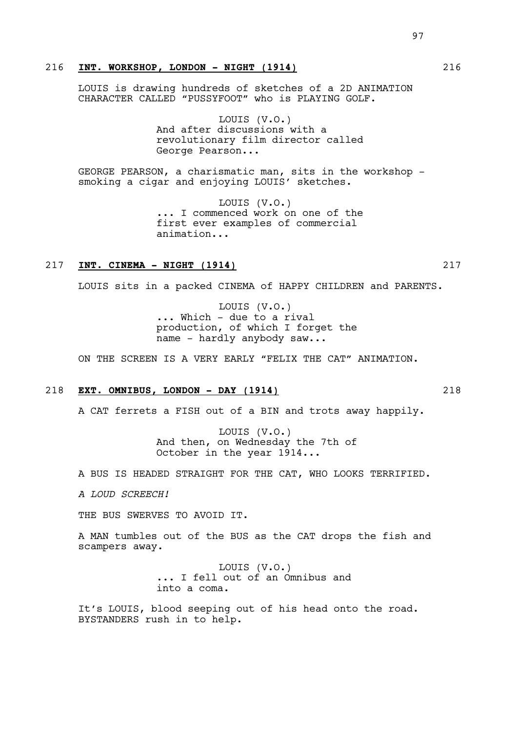# 216 **INT. WORKSHOP, LONDON - NIGHT (1914)** 216

LOUIS is drawing hundreds of sketches of a 2D ANIMATION CHARACTER CALLED "PUSSYFOOT" who is PLAYING GOLF.

> LOUIS (V.O.) And after discussions with a revolutionary film director called George Pearson...

GEORGE PEARSON, a charismatic man, sits in the workshop smoking a cigar and enjoying LOUIS' sketches.

> LOUIS (V.O.) ... I commenced work on one of the first ever examples of commercial animation...

## 217 **INT. CINEMA - NIGHT (1914)** 217

LOUIS sits in a packed CINEMA of HAPPY CHILDREN and PARENTS.

LOUIS (V.O.) ... Which - due to a rival production, of which I forget the name - hardly anybody saw...

ON THE SCREEN IS A VERY EARLY "FELIX THE CAT" ANIMATION.

#### 218 **EXT. OMNIBUS, LONDON - DAY (1914)** 218

A CAT ferrets a FISH out of a BIN and trots away happily.

LOUIS (V.O.) And then, on Wednesday the 7th of October in the year 1914...

A BUS IS HEADED STRAIGHT FOR THE CAT, WHO LOOKS TERRIFIED.

*A LOUD SCREECH!*

THE BUS SWERVES TO AVOID IT.

A MAN tumbles out of the BUS as the CAT drops the fish and scampers away.

> LOUIS (V.O.) ... I fell out of an Omnibus and into a coma.

It's LOUIS, blood seeping out of his head onto the road. BYSTANDERS rush in to help.

97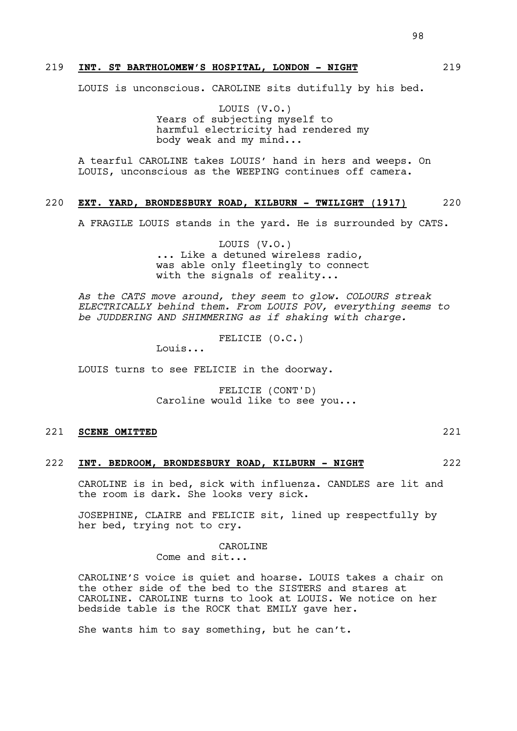## 219 **INT. ST BARTHOLOMEW'S HOSPITAL, LONDON - NIGHT** 219

LOUIS is unconscious. CAROLINE sits dutifully by his bed.

LOUIS (V.O.) Years of subjecting myself to harmful electricity had rendered my body weak and my mind...

A tearful CAROLINE takes LOUIS' hand in hers and weeps. On LOUIS, unconscious as the WEEPING continues off camera.

## 220 **EXT. YARD, BRONDESBURY ROAD, KILBURN - TWILIGHT (1917)** 220

A FRAGILE LOUIS stands in the yard. He is surrounded by CATS.

LOUIS (V.O.) ... Like a detuned wireless radio, was able only fleetingly to connect with the signals of reality...

*As the CATS move around, they seem to glow. COLOURS streak ELECTRICALLY behind them. From LOUIS POV, everything seems to be JUDDERING AND SHIMMERING as if shaking with charge.*

FELICIE (O.C.)

Louis...

LOUIS turns to see FELICIE in the doorway.

FELICIE (CONT'D) Caroline would like to see you...

# 221 **SCENE OMITTED** 221

#### 222 **INT. BEDROOM, BRONDESBURY ROAD, KILBURN - NIGHT** 222

CAROLINE is in bed, sick with influenza. CANDLES are lit and the room is dark. She looks very sick.

JOSEPHINE, CLAIRE and FELICIE sit, lined up respectfully by her bed, trying not to cry.

CAROLINE

Come and sit...

CAROLINE'S voice is quiet and hoarse. LOUIS takes a chair on the other side of the bed to the SISTERS and stares at CAROLINE. CAROLINE turns to look at LOUIS. We notice on her bedside table is the ROCK that EMILY gave her.

She wants him to say something, but he can't.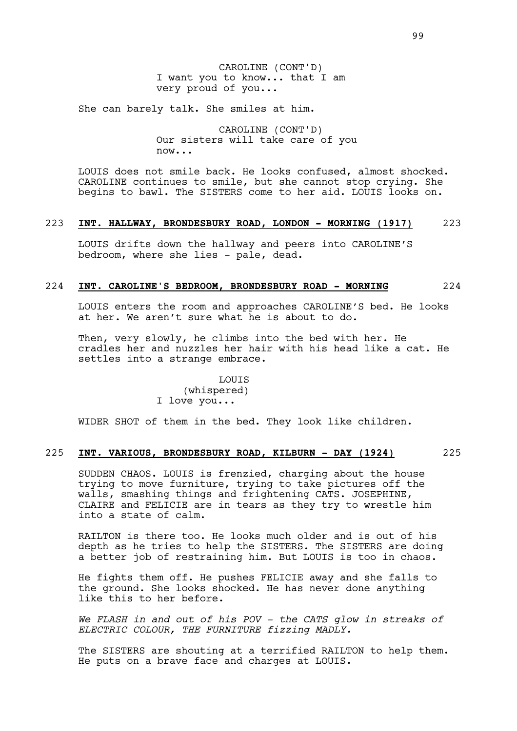CAROLINE (CONT'D) I want you to know... that I am very proud of you...

She can barely talk. She smiles at him.

CAROLINE (CONT'D) Our sisters will take care of you  $n \cap W$ ...

LOUIS does not smile back. He looks confused, almost shocked. CAROLINE continues to smile, but she cannot stop crying. She begins to bawl. The SISTERS come to her aid. LOUIS looks on.

# 223 **INT. HALLWAY, BRONDESBURY ROAD, LONDON - MORNING (1917)** 223

LOUIS drifts down the hallway and peers into CAROLINE'S bedroom, where she lies - pale, dead.

#### 224 **INT. CAROLINE'S BEDROOM, BRONDESBURY ROAD - MORNING** 224

LOUIS enters the room and approaches CAROLINE'S bed. He looks at her. We aren't sure what he is about to do.

Then, very slowly, he climbs into the bed with her. He cradles her and nuzzles her hair with his head like a cat. He settles into a strange embrace.

> LOUIS (whispered) I love you...

WIDER SHOT of them in the bed. They look like children.

# 225 **INT. VARIOUS, BRONDESBURY ROAD, KILBURN - DAY (1924)** 225

SUDDEN CHAOS. LOUIS is frenzied, charging about the house trying to move furniture, trying to take pictures off the walls, smashing things and frightening CATS. JOSEPHINE, CLAIRE and FELICIE are in tears as they try to wrestle him into a state of calm.

RAILTON is there too. He looks much older and is out of his depth as he tries to help the SISTERS. The SISTERS are doing a better job of restraining him. But LOUIS is too in chaos.

He fights them off. He pushes FELICIE away and she falls to the ground. She looks shocked. He has never done anything like this to her before.

*We FLASH in and out of his POV - the CATS glow in streaks of ELECTRIC COLOUR, THE FURNITURE fizzing MADLY.* 

The SISTERS are shouting at a terrified RAILTON to help them. He puts on a brave face and charges at LOUIS.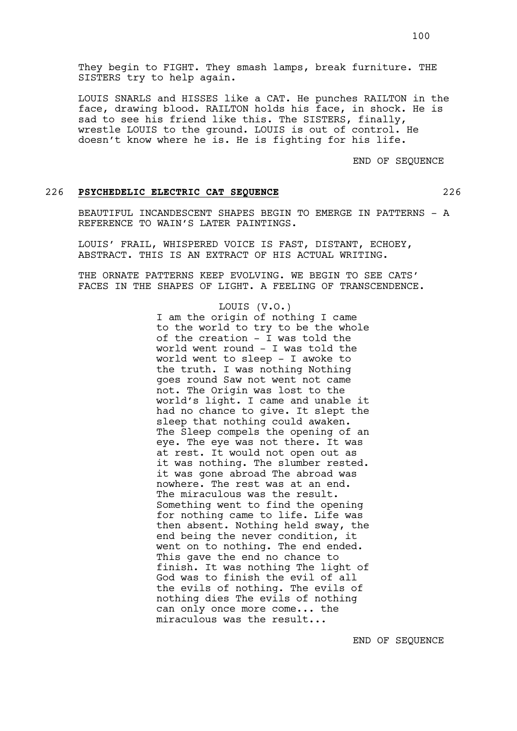They begin to FIGHT. They smash lamps, break furniture. THE SISTERS try to help again.

LOUIS SNARLS and HISSES like a CAT. He punches RAILTON in the face, drawing blood. RAILTON holds his face, in shock. He is sad to see his friend like this. The SISTERS, finally, wrestle LOUIS to the ground. LOUIS is out of control. He doesn't know where he is. He is fighting for his life.

END OF SEQUENCE

#### 226 **PSYCHEDELIC ELECTRIC CAT SEQUENCE** 226

BEAUTIFUL INCANDESCENT SHAPES BEGIN TO EMERGE IN PATTERNS - A REFERENCE TO WAIN'S LATER PAINTINGS.

LOUIS' FRAIL, WHISPERED VOICE IS FAST, DISTANT, ECHOEY, ABSTRACT. THIS IS AN EXTRACT OF HIS ACTUAL WRITING.

THE ORNATE PATTERNS KEEP EVOLVING. WE BEGIN TO SEE CATS' FACES IN THE SHAPES OF LIGHT. A FEELING OF TRANSCENDENCE.

#### LOUIS (V.O.)

I am the origin of nothing I came to the world to try to be the whole of the creation - I was told the world went round - I was told the world went to sleep - I awoke to the truth. I was nothing Nothing goes round Saw not went not came not. The Origin was lost to the world's light. I came and unable it had no chance to give. It slept the sleep that nothing could awaken. The Sleep compels the opening of an eye. The eye was not there. It was at rest. It would not open out as it was nothing. The slumber rested. it was gone abroad The abroad was nowhere. The rest was at an end. The miraculous was the result. Something went to find the opening for nothing came to life. Life was then absent. Nothing held sway, the end being the never condition, it went on to nothing. The end ended. This gave the end no chance to finish. It was nothing The light of God was to finish the evil of all the evils of nothing. The evils of nothing dies The evils of nothing can only once more come... the miraculous was the result...

END OF SEQUENCE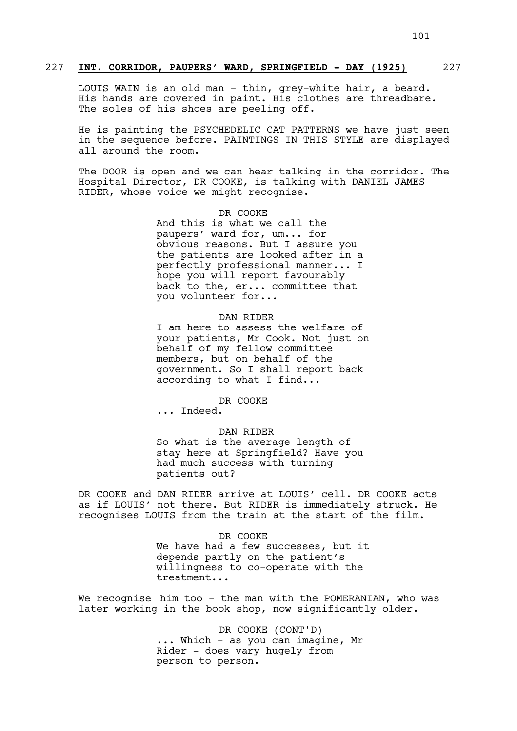## 227 **INT. CORRIDOR, PAUPERS' WARD, SPRINGFIELD - DAY (1925)** 227

LOUIS WAIN is an old man - thin, grey-white hair, a beard. His hands are covered in paint. His clothes are threadbare. The soles of his shoes are peeling off.

He is painting the PSYCHEDELIC CAT PATTERNS we have just seen in the sequence before. PAINTINGS IN THIS STYLE are displayed all around the room.

The DOOR is open and we can hear talking in the corridor. The Hospital Director, DR COOKE, is talking with DANIEL JAMES RIDER, whose voice we might recognise.

# DR COOKE

And this is what we call the paupers' ward for, um... for obvious reasons. But I assure you the patients are looked after in a perfectly professional manner... I hope you will report favourably back to the, er... committee that you volunteer for...

#### DAN RIDER

I am here to assess the welfare of your patients, Mr Cook. Not just on behalf of my fellow committee members, but on behalf of the government. So I shall report back according to what I find...

#### DR COOKE

... Indeed.

#### DAN RIDER

So what is the average length of stay here at Springfield? Have you had much success with turning patients out?

DR COOKE and DAN RIDER arrive at LOUIS' cell. DR COOKE acts as if LOUIS' not there. But RIDER is immediately struck. He recognises LOUIS from the train at the start of the film.

> DR COOKE We have had a few successes, but it depends partly on the patient's willingness to co-operate with the treatment...

We recognise him too - the man with the POMERANIAN, who was later working in the book shop, now significantly older.

> DR COOKE (CONT'D) ... Which - as you can imagine, Mr Rider - does vary hugely from person to person.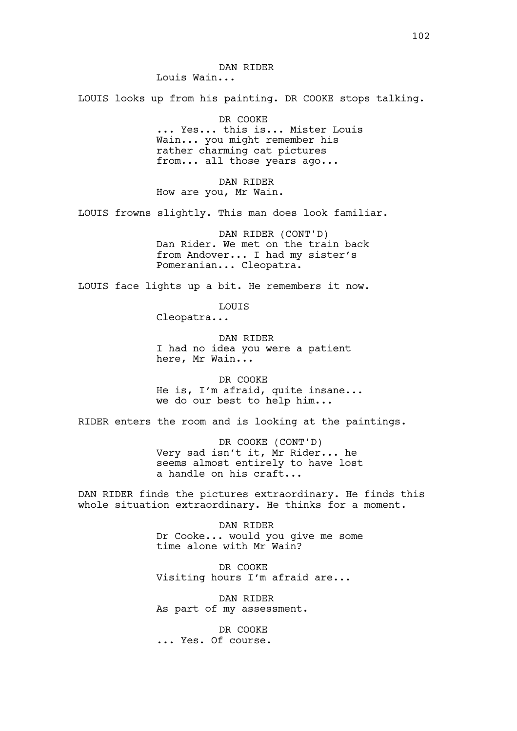DAN RIDER Louis Wain...

LOUIS looks up from his painting. DR COOKE stops talking.

DR COOKE ... Yes... this is... Mister Louis Wain... you might remember his rather charming cat pictures from... all those years ago...

DAN RIDER How are you, Mr Wain.

LOUIS frowns slightly. This man does look familiar.

DAN RIDER (CONT'D) Dan Rider. We met on the train back from Andover... I had my sister's Pomeranian... Cleopatra.

LOUIS face lights up a bit. He remembers it now.

LOUIS

Cleopatra...

DAN RIDER I had no idea you were a patient here, Mr Wain...

DR COOKE He is, I'm afraid, quite insane... we do our best to help him...

RIDER enters the room and is looking at the paintings.

DR COOKE (CONT'D) Very sad isn't it, Mr Rider... he seems almost entirely to have lost a handle on his craft...

DAN RIDER finds the pictures extraordinary. He finds this whole situation extraordinary. He thinks for a moment.

> DAN RIDER Dr Cooke... would you give me some time alone with Mr Wain?

DR COOKE Visiting hours I'm afraid are...

DAN RIDER As part of my assessment.

DR COOKE ... Yes. Of course.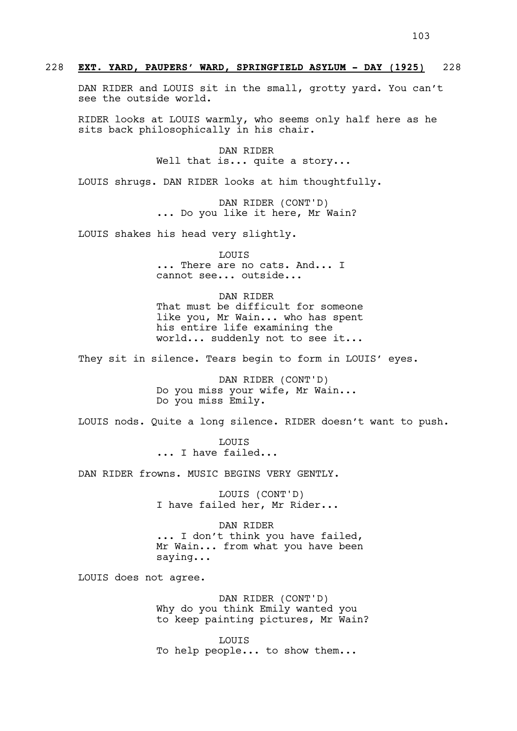DAN RIDER and LOUIS sit in the small, grotty yard. You can't see the outside world.

RIDER looks at LOUIS warmly, who seems only half here as he sits back philosophically in his chair.

> DAN RIDER Well that is... quite a story...

LOUIS shrugs. DAN RIDER looks at him thoughtfully.

DAN RIDER (CONT'D) ... Do you like it here, Mr Wain?

LOUIS shakes his head very slightly.

LOUIS ... There are no cats. And... I cannot see... outside...

DAN RIDER That must be difficult for someone like you, Mr Wain... who has spent his entire life examining the world... suddenly not to see it...

They sit in silence. Tears begin to form in LOUIS' eyes.

DAN RIDER (CONT'D) Do you miss your wife, Mr Wain... Do you miss Emily.

LOUIS nods. Quite a long silence. RIDER doesn't want to push.

LOUIS ... I have failed...

DAN RIDER frowns. MUSIC BEGINS VERY GENTLY.

LOUIS (CONT'D) I have failed her, Mr Rider...

DAN RIDER ... I don't think you have failed, Mr Wain... from what you have been saying...

LOUIS does not agree.

DAN RIDER (CONT'D) Why do you think Emily wanted you to keep painting pictures, Mr Wain?

LOUIS To help people... to show them...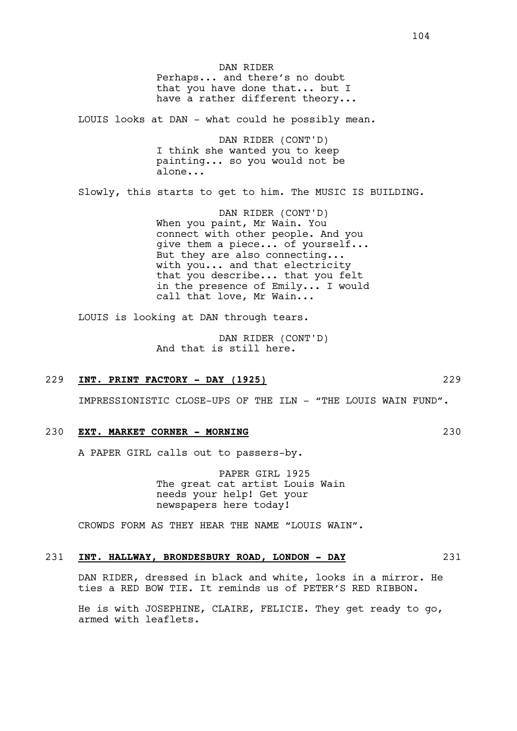DAN RIDER Perhaps... and there's no doubt that you have done that... but I have a rather different theory...

LOUIS looks at DAN - what could he possibly mean.

DAN RIDER (CONT'D) I think she wanted you to keep painting... so you would not be alone...

Slowly, this starts to get to him. The MUSIC IS BUILDING.

DAN RIDER (CONT'D) When you paint, Mr Wain. You connect with other people. And you give them a piece... of yourself... But they are also connecting... with you... and that electricity that you describe... that you felt in the presence of Emily... I would call that love, Mr Wain...

LOUIS is looking at DAN through tears.

DAN RIDER (CONT'D) And that is still here.

## 229 **INT. PRINT FACTORY - DAY (1925)** 229

IMPRESSIONISTIC CLOSE-UPS OF THE ILN - "THE LOUIS WAIN FUND".

## 230 **EXT. MARKET CORNER - MORNING** 230

A PAPER GIRL calls out to passers-by.

PAPER GIRL 1925 The great cat artist Louis Wain needs your help! Get your newspapers here today!

CROWDS FORM AS THEY HEAR THE NAME "LOUIS WAIN".

#### 231 **INT. HALLWAY, BRONDESBURY ROAD, LONDON - DAY** 231

DAN RIDER, dressed in black and white, looks in a mirror. He ties a RED BOW TIE. It reminds us of PETER'S RED RIBBON.

He is with JOSEPHINE, CLAIRE, FELICIE. They get ready to go, armed with leaflets.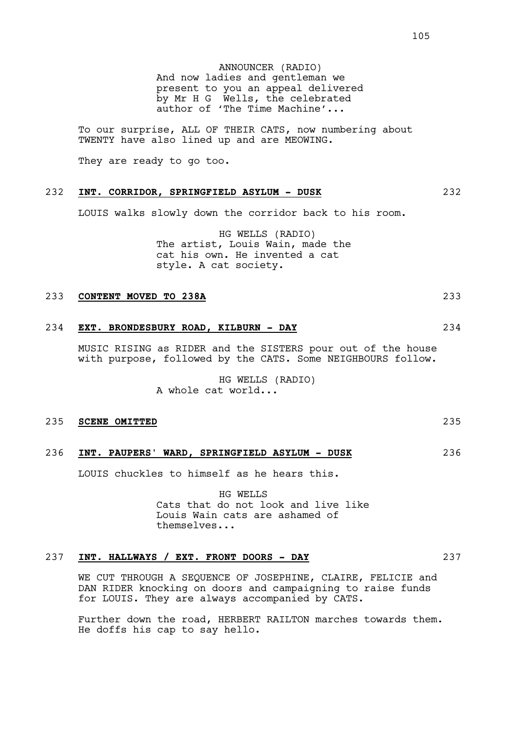ANNOUNCER (RADIO) And now ladies and gentleman we present to you an appeal delivered by Mr H G Wells, the celebrated author of 'The Time Machine'...

To our surprise, ALL OF THEIR CATS, now numbering about TWENTY have also lined up and are MEOWING.

They are ready to go too.

#### 232 **INT. CORRIDOR, SPRINGFIELD ASYLUM - DUSK** 232

LOUIS walks slowly down the corridor back to his room.

HG WELLS (RADIO) The artist, Louis Wain, made the cat his own. He invented a cat style. A cat society.

### 233 **CONTENT MOVED TO 238A** 233

# 234 **EXT. BRONDESBURY ROAD, KILBURN - DAY** 234

MUSIC RISING as RIDER and the SISTERS pour out of the house with purpose, followed by the CATS. Some NEIGHBOURS follow.

> HG WELLS (RADIO) A whole cat world...

#### 235 **SCENE OMITTED** 235

# 236 **INT. PAUPERS' WARD, SPRINGFIELD ASYLUM - DUSK** 236

LOUIS chuckles to himself as he hears this.

HG WELLS Cats that do not look and live like Louis Wain cats are ashamed of themselves...

## 237 **INT. HALLWAYS / EXT. FRONT DOORS - DAY** 237

WE CUT THROUGH A SEOUENCE OF JOSEPHINE, CLAIRE, FELICIE and DAN RIDER knocking on doors and campaigning to raise funds for LOUIS. They are always accompanied by CATS.

Further down the road, HERBERT RAILTON marches towards them. He doffs his cap to say hello.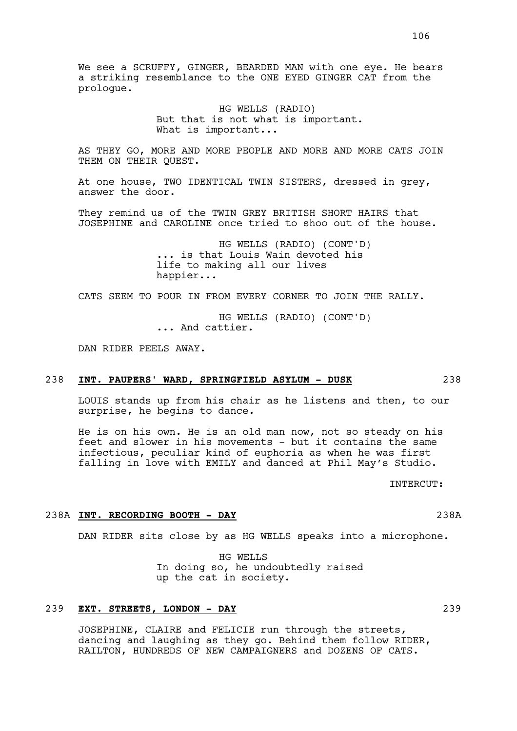We see a SCRUFFY, GINGER, BEARDED MAN with one eye. He bears a striking resemblance to the ONE EYED GINGER CAT from the prologue.

> HG WELLS (RADIO) But that is not what is important. What is important...

AS THEY GO, MORE AND MORE PEOPLE AND MORE AND MORE CATS JOIN THEM ON THEIR QUEST.

At one house, TWO IDENTICAL TWIN SISTERS, dressed in grey, answer the door.

They remind us of the TWIN GREY BRITISH SHORT HAIRS that JOSEPHINE and CAROLINE once tried to shoo out of the house.

> HG WELLS (RADIO) (CONT'D) ... is that Louis Wain devoted his life to making all our lives happier...

CATS SEEM TO POUR IN FROM EVERY CORNER TO JOIN THE RALLY.

HG WELLS (RADIO) (CONT'D) ... And cattier.

DAN RIDER PEELS AWAY.

## 238 **INT. PAUPERS' WARD, SPRINGFIELD ASYLUM - DUSK** 238

LOUIS stands up from his chair as he listens and then, to our surprise, he begins to dance.

He is on his own. He is an old man now, not so steady on his feet and slower in his movements - but it contains the same infectious, peculiar kind of euphoria as when he was first falling in love with EMILY and danced at Phil May's Studio.

INTERCUT:

#### 238A **INT. RECORDING BOOTH - DAY** 238A

DAN RIDER sits close by as HG WELLS speaks into a microphone.

HG WELLS In doing so, he undoubtedly raised up the cat in society.

# 239 **EXT. STREETS, LONDON - DAY** 239

JOSEPHINE, CLAIRE and FELICIE run through the streets, dancing and laughing as they go. Behind them follow RIDER, RAILTON, HUNDREDS OF NEW CAMPAIGNERS and DOZENS OF CATS.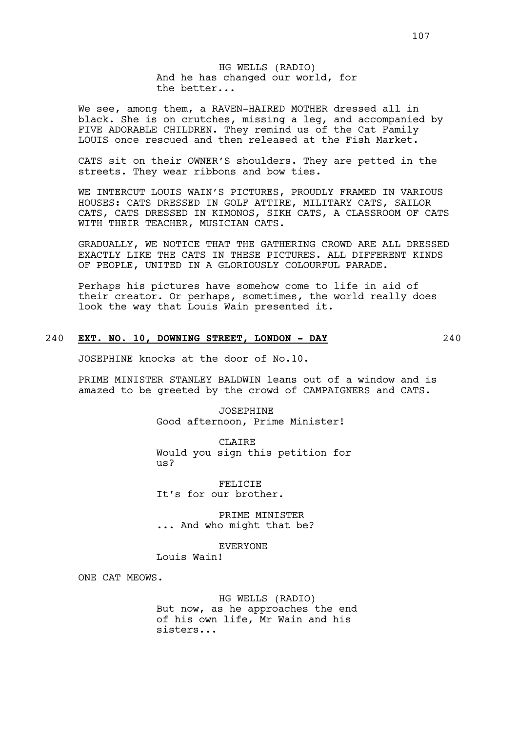HG WELLS (RADIO) And he has changed our world, for the better...

We see, among them, a RAVEN-HAIRED MOTHER dressed all in black. She is on crutches, missing a leg, and accompanied by FIVE ADORABLE CHILDREN. They remind us of the Cat Family LOUIS once rescued and then released at the Fish Market.

CATS sit on their OWNER'S shoulders. They are petted in the streets. They wear ribbons and bow ties.

WE INTERCUT LOUIS WAIN'S PICTURES, PROUDLY FRAMED IN VARIOUS HOUSES: CATS DRESSED IN GOLF ATTIRE, MILITARY CATS, SAILOR CATS, CATS DRESSED IN KIMONOS, SIKH CATS, A CLASSROOM OF CATS WITH THEIR TEACHER, MUSICIAN CATS.

GRADUALLY, WE NOTICE THAT THE GATHERING CROWD ARE ALL DRESSED EXACTLY LIKE THE CATS IN THESE PICTURES. ALL DIFFERENT KINDS OF PEOPLE, UNITED IN A GLORIOUSLY COLOURFUL PARADE.

Perhaps his pictures have somehow come to life in aid of their creator. Or perhaps, sometimes, the world really does look the way that Louis Wain presented it.

# 240 **EXT. NO. 10, DOWNING STREET, LONDON - DAY** 240

JOSEPHINE knocks at the door of No.10.

PRIME MINISTER STANLEY BALDWIN leans out of a window and is amazed to be greeted by the crowd of CAMPAIGNERS and CATS.

> JOSEPHINE Good afternoon, Prime Minister!

CLAIRE Would you sign this petition for  $\overline{u}$ s?

FELICIE It's for our brother.

PRIME MINISTER ... And who might that be?

**EVERYONE** 

Louis Wain!

ONE CAT MEOWS.

HG WELLS (RADIO) But now, as he approaches the end of his own life, Mr Wain and his sisters...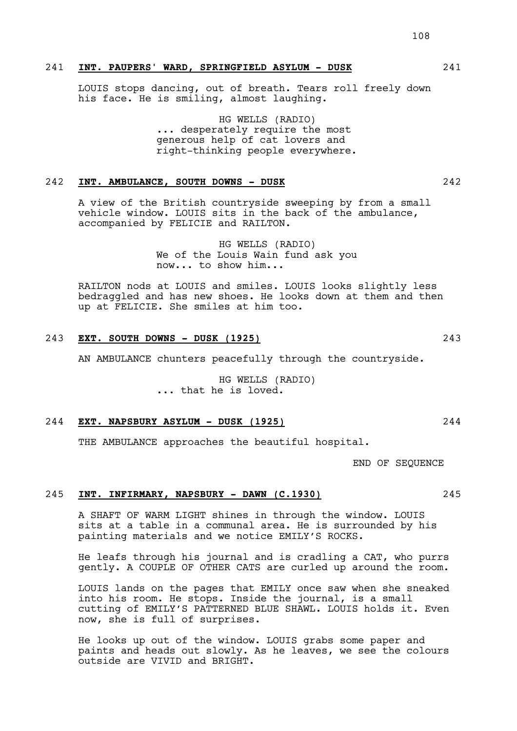## 241 **INT. PAUPERS' WARD, SPRINGFIELD ASYLUM - DUSK** 241

LOUIS stops dancing, out of breath. Tears roll freely down his face. He is smiling, almost laughing.

> HG WELLS (RADIO) ... desperately require the most generous help of cat lovers and right-thinking people everywhere.

# 242 **INT. AMBULANCE, SOUTH DOWNS - DUSK** 242

A view of the British countryside sweeping by from a small vehicle window. LOUIS sits in the back of the ambulance, accompanied by FELICIE and RAILTON.

> HG WELLS (RADIO) We of the Louis Wain fund ask you now... to show him...

RAILTON nods at LOUIS and smiles. LOUIS looks slightly less bedraggled and has new shoes. He looks down at them and then up at FELICIE. She smiles at him too.

# 243 **EXT. SOUTH DOWNS - DUSK (1925)** 243

AN AMBULANCE chunters peacefully through the countryside.

HG WELLS (RADIO) ... that he is loved.

#### 244 **EXT. NAPSBURY ASYLUM - DUSK (1925)** 244

THE AMBULANCE approaches the beautiful hospital.

END OF SEQUENCE

## 245 **INT. INFIRMARY, NAPSBURY - DAWN (C.1930)** 245

A SHAFT OF WARM LIGHT shines in through the window. LOUIS sits at a table in a communal area. He is surrounded by his painting materials and we notice EMILY'S ROCKS.

He leafs through his journal and is cradling a CAT, who purrs gently. A COUPLE OF OTHER CATS are curled up around the room.

LOUIS lands on the pages that EMILY once saw when she sneaked into his room. He stops. Inside the journal, is a small cutting of EMILY'S PATTERNED BLUE SHAWL. LOUIS holds it. Even now, she is full of surprises.

He looks up out of the window. LOUIS grabs some paper and paints and heads out slowly. As he leaves, we see the colours outside are VIVID and BRIGHT.